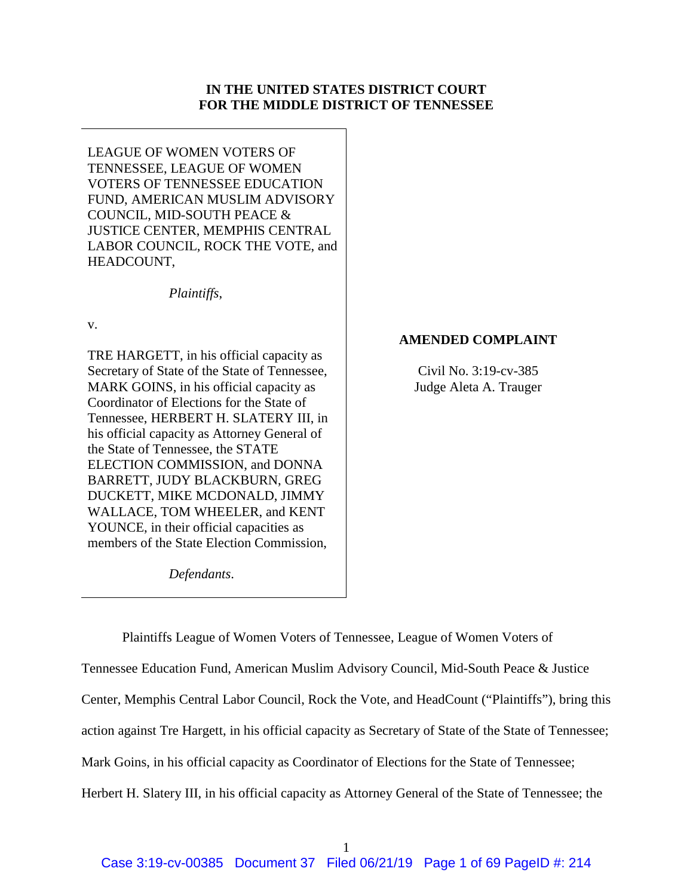# **IN THE UNITED STATES DISTRICT COURT FOR THE MIDDLE DISTRICT OF TENNESSEE**

LEAGUE OF WOMEN VOTERS OF TENNESSEE, LEAGUE OF WOMEN VOTERS OF TENNESSEE EDUCATION FUND, AMERICAN MUSLIM ADVISORY COUNCIL, MID-SOUTH PEACE & JUSTICE CENTER, MEMPHIS CENTRAL LABOR COUNCIL, ROCK THE VOTE, and HEADCOUNT,

*Plaintiffs*,

v.

TRE HARGETT, in his official capacity as Secretary of State of the State of Tennessee, MARK GOINS, in his official capacity as Coordinator of Elections for the State of Tennessee, HERBERT H. SLATERY III, in his official capacity as Attorney General of the State of Tennessee, the STATE ELECTION COMMISSION, and DONNA BARRETT, JUDY BLACKBURN, GREG DUCKETT, MIKE MCDONALD, JIMMY WALLACE, TOM WHEELER, and KENT YOUNCE, in their official capacities as members of the State Election Commission,

**AMENDED COMPLAINT**

Civil No. 3:19-cv-385 Judge Aleta A. Trauger

*Defendants*.

Plaintiffs League of Women Voters of Tennessee, League of Women Voters of Tennessee Education Fund, American Muslim Advisory Council, Mid-South Peace & Justice Center, Memphis Central Labor Council, Rock the Vote, and HeadCount ("Plaintiffs"), bring this action against Tre Hargett, in his official capacity as Secretary of State of the State of Tennessee; Mark Goins, in his official capacity as Coordinator of Elections for the State of Tennessee; Herbert H. Slatery III, in his official capacity as Attorney General of the State of Tennessee; the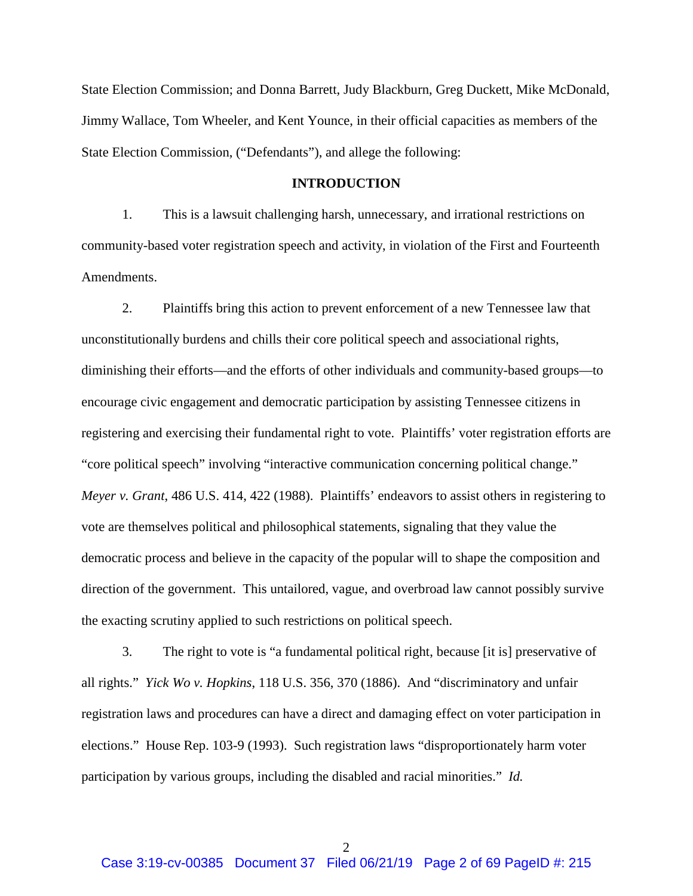State Election Commission; and Donna Barrett, Judy Blackburn, Greg Duckett, Mike McDonald, Jimmy Wallace, Tom Wheeler, and Kent Younce, in their official capacities as members of the State Election Commission, ("Defendants"), and allege the following:

## **INTRODUCTION**

1. This is a lawsuit challenging harsh, unnecessary, and irrational restrictions on community-based voter registration speech and activity, in violation of the First and Fourteenth Amendments.

2. Plaintiffs bring this action to prevent enforcement of a new Tennessee law that unconstitutionally burdens and chills their core political speech and associational rights, diminishing their efforts—and the efforts of other individuals and community-based groups—to encourage civic engagement and democratic participation by assisting Tennessee citizens in registering and exercising their fundamental right to vote. Plaintiffs' voter registration efforts are "core political speech" involving "interactive communication concerning political change." *Meyer v. Grant*, 486 U.S. 414, 422 (1988). Plaintiffs' endeavors to assist others in registering to vote are themselves political and philosophical statements, signaling that they value the democratic process and believe in the capacity of the popular will to shape the composition and direction of the government. This untailored, vague, and overbroad law cannot possibly survive the exacting scrutiny applied to such restrictions on political speech.

3. The right to vote is "a fundamental political right, because [it is] preservative of all rights." *Yick Wo v. Hopkins*, 118 U.S. 356, 370 (1886). And "discriminatory and unfair registration laws and procedures can have a direct and damaging effect on voter participation in elections." House Rep. 103-9 (1993). Such registration laws "disproportionately harm voter participation by various groups, including the disabled and racial minorities." *Id.*

2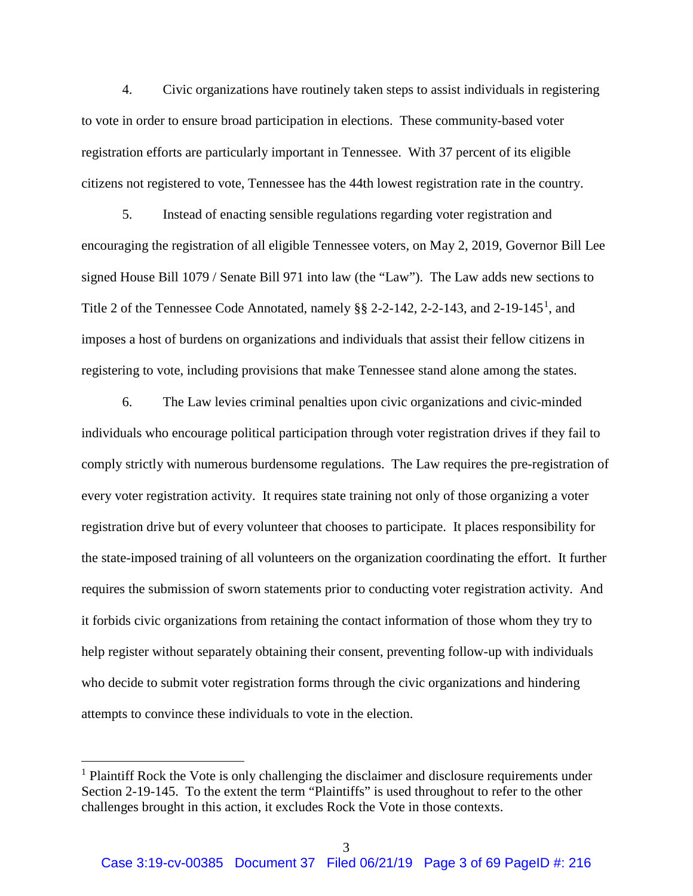4. Civic organizations have routinely taken steps to assist individuals in registering to vote in order to ensure broad participation in elections. These community-based voter registration efforts are particularly important in Tennessee. With 37 percent of its eligible citizens not registered to vote, Tennessee has the 44th lowest registration rate in the country.

5. Instead of enacting sensible regulations regarding voter registration and encouraging the registration of all eligible Tennessee voters, on May 2, 2019, Governor Bill Lee signed House Bill 1079 / Senate Bill 971 into law (the "Law"). The Law adds new sections to Title 2 of the Tennessee Code Annotated, namely  $\S$  2-2-[1](#page-2-0)42, 2-2-143, and 2-19-145<sup>1</sup>, and imposes a host of burdens on organizations and individuals that assist their fellow citizens in registering to vote, including provisions that make Tennessee stand alone among the states.

6. The Law levies criminal penalties upon civic organizations and civic-minded individuals who encourage political participation through voter registration drives if they fail to comply strictly with numerous burdensome regulations. The Law requires the pre-registration of every voter registration activity. It requires state training not only of those organizing a voter registration drive but of every volunteer that chooses to participate. It places responsibility for the state-imposed training of all volunteers on the organization coordinating the effort. It further requires the submission of sworn statements prior to conducting voter registration activity. And it forbids civic organizations from retaining the contact information of those whom they try to help register without separately obtaining their consent, preventing follow-up with individuals who decide to submit voter registration forms through the civic organizations and hindering attempts to convince these individuals to vote in the election.

<span id="page-2-0"></span><sup>&</sup>lt;sup>1</sup> Plaintiff Rock the Vote is only challenging the disclaimer and disclosure requirements under Section 2-19-145. To the extent the term "Plaintiffs" is used throughout to refer to the other challenges brought in this action, it excludes Rock the Vote in those contexts.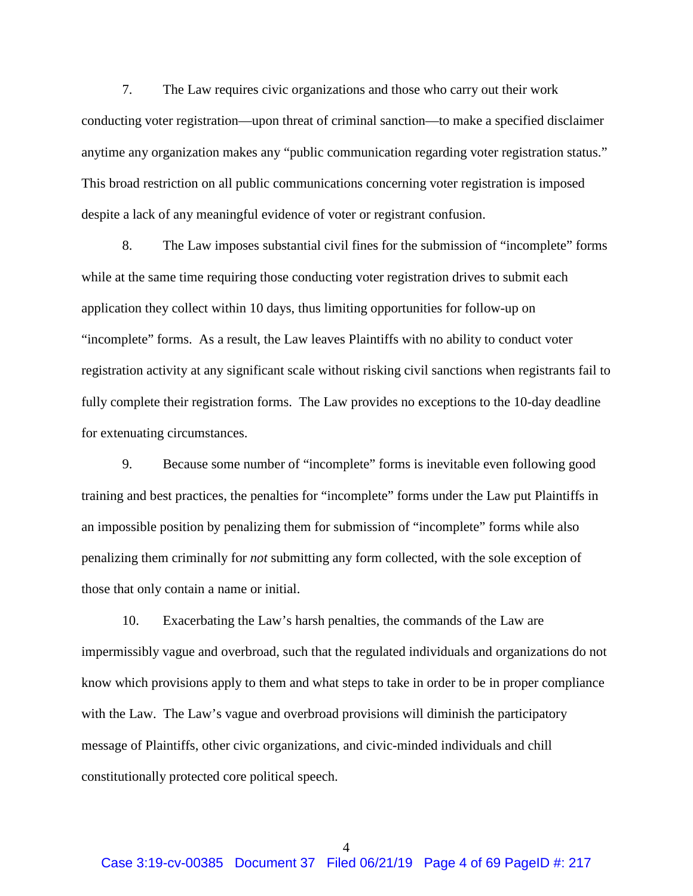7. The Law requires civic organizations and those who carry out their work conducting voter registration—upon threat of criminal sanction—to make a specified disclaimer anytime any organization makes any "public communication regarding voter registration status." This broad restriction on all public communications concerning voter registration is imposed despite a lack of any meaningful evidence of voter or registrant confusion.

8. The Law imposes substantial civil fines for the submission of "incomplete" forms while at the same time requiring those conducting voter registration drives to submit each application they collect within 10 days, thus limiting opportunities for follow-up on "incomplete" forms. As a result, the Law leaves Plaintiffs with no ability to conduct voter registration activity at any significant scale without risking civil sanctions when registrants fail to fully complete their registration forms. The Law provides no exceptions to the 10-day deadline for extenuating circumstances.

9. Because some number of "incomplete" forms is inevitable even following good training and best practices, the penalties for "incomplete" forms under the Law put Plaintiffs in an impossible position by penalizing them for submission of "incomplete" forms while also penalizing them criminally for *not* submitting any form collected, with the sole exception of those that only contain a name or initial.

10. Exacerbating the Law's harsh penalties, the commands of the Law are impermissibly vague and overbroad, such that the regulated individuals and organizations do not know which provisions apply to them and what steps to take in order to be in proper compliance with the Law. The Law's vague and overbroad provisions will diminish the participatory message of Plaintiffs, other civic organizations, and civic-minded individuals and chill constitutionally protected core political speech.

4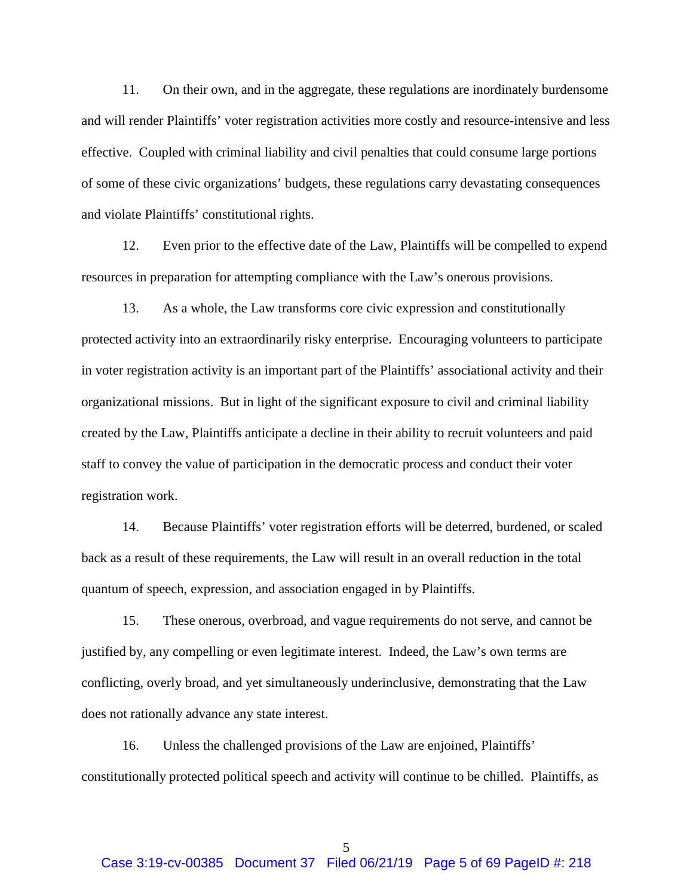11. On their own, and in the aggregate, these regulations are inordinately burdensome and will render Plaintiffs' voter registration activities more costly and resource-intensive and less effective. Coupled with criminal liability and civil penalties that could consume large portions of some of these civic organizations' budgets, these regulations carry devastating consequences and violate Plaintiffs' constitutional rights.

12. Even prior to the effective date of the Law, Plaintiffs will be compelled to expend resources in preparation for attempting compliance with the Law's onerous provisions.

13. As a whole, the Law transforms core civic expression and constitutionally protected activity into an extraordinarily risky enterprise. Encouraging volunteers to participate in voter registration activity is an important part of the Plaintiffs' associational activity and their organizational missions. But in light of the significant exposure to civil and criminal liability created by the Law, Plaintiffs anticipate a decline in their ability to recruit volunteers and paid staff to convey the value of participation in the democratic process and conduct their voter registration work.

14. Because Plaintiffs' voter registration efforts will be deterred, burdened, or scaled back as a result of these requirements, the Law will result in an overall reduction in the total quantum of speech, expression, and association engaged in by Plaintiffs.

15. These onerous, overbroad, and vague requirements do not serve, and cannot be justified by, any compelling or even legitimate interest. Indeed, the Law's own terms are conflicting, overly broad, and yet simultaneously underinclusive, demonstrating that the Law does not rationally advance any state interest.

16. Unless the challenged provisions of the Law are enjoined, Plaintiffs' constitutionally protected political speech and activity will continue to be chilled. Plaintiffs, as

5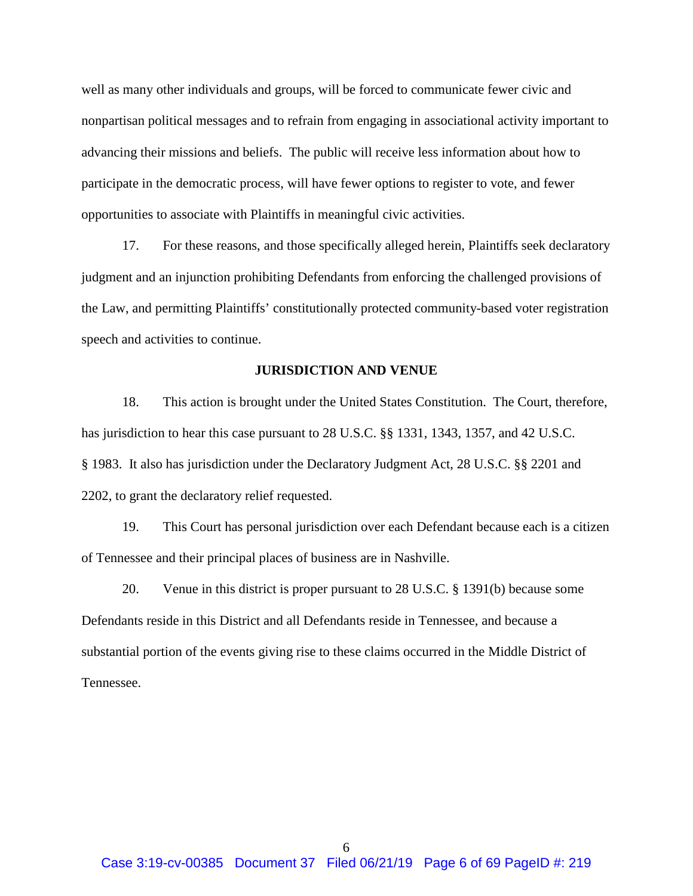well as many other individuals and groups, will be forced to communicate fewer civic and nonpartisan political messages and to refrain from engaging in associational activity important to advancing their missions and beliefs. The public will receive less information about how to participate in the democratic process, will have fewer options to register to vote, and fewer opportunities to associate with Plaintiffs in meaningful civic activities.

17. For these reasons, and those specifically alleged herein, Plaintiffs seek declaratory judgment and an injunction prohibiting Defendants from enforcing the challenged provisions of the Law, and permitting Plaintiffs' constitutionally protected community-based voter registration speech and activities to continue.

## **JURISDICTION AND VENUE**

18. This action is brought under the United States Constitution. The Court, therefore, has jurisdiction to hear this case pursuant to 28 U.S.C. §§ 1331, 1343, 1357, and 42 U.S.C. § 1983. It also has jurisdiction under the Declaratory Judgment Act, 28 U.S.C. §§ 2201 and 2202, to grant the declaratory relief requested.

19. This Court has personal jurisdiction over each Defendant because each is a citizen of Tennessee and their principal places of business are in Nashville.

20. Venue in this district is proper pursuant to 28 U.S.C. § 1391(b) because some Defendants reside in this District and all Defendants reside in Tennessee, and because a substantial portion of the events giving rise to these claims occurred in the Middle District of Tennessee.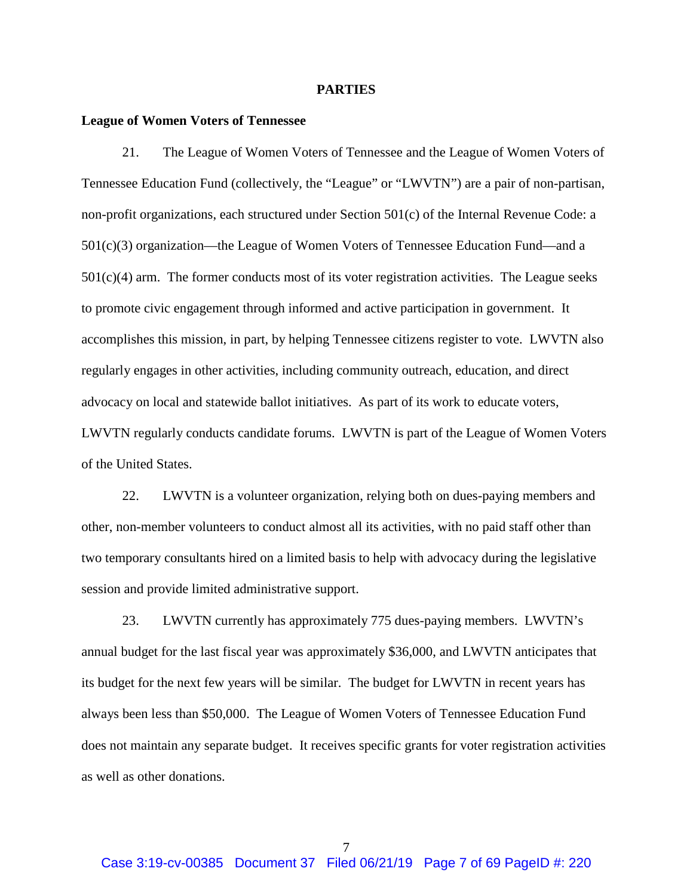#### **PARTIES**

### **League of Women Voters of Tennessee**

21. The League of Women Voters of Tennessee and the League of Women Voters of Tennessee Education Fund (collectively, the "League" or "LWVTN") are a pair of non-partisan, non-profit organizations, each structured under Section 501(c) of the Internal Revenue Code: a 501(c)(3) organization—the League of Women Voters of Tennessee Education Fund—and a  $501(c)(4)$  arm. The former conducts most of its voter registration activities. The League seeks to promote civic engagement through informed and active participation in government. It accomplishes this mission, in part, by helping Tennessee citizens register to vote. LWVTN also regularly engages in other activities, including community outreach, education, and direct advocacy on local and statewide ballot initiatives. As part of its work to educate voters, LWVTN regularly conducts candidate forums. LWVTN is part of the League of Women Voters of the United States.

22. LWVTN is a volunteer organization, relying both on dues-paying members and other, non-member volunteers to conduct almost all its activities, with no paid staff other than two temporary consultants hired on a limited basis to help with advocacy during the legislative session and provide limited administrative support.

23. LWVTN currently has approximately 775 dues-paying members. LWVTN's annual budget for the last fiscal year was approximately \$36,000, and LWVTN anticipates that its budget for the next few years will be similar. The budget for LWVTN in recent years has always been less than \$50,000. The League of Women Voters of Tennessee Education Fund does not maintain any separate budget. It receives specific grants for voter registration activities as well as other donations.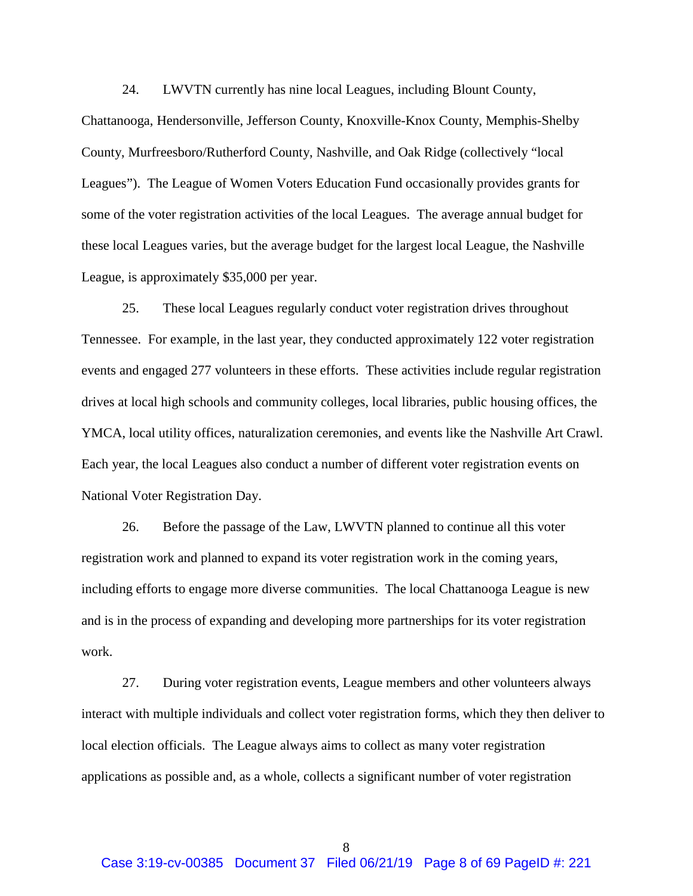24. LWVTN currently has nine local Leagues, including Blount County,

Chattanooga, Hendersonville, Jefferson County, Knoxville-Knox County, Memphis-Shelby County, Murfreesboro/Rutherford County, Nashville, and Oak Ridge (collectively "local Leagues"). The League of Women Voters Education Fund occasionally provides grants for some of the voter registration activities of the local Leagues. The average annual budget for these local Leagues varies, but the average budget for the largest local League, the Nashville League, is approximately \$35,000 per year.

25. These local Leagues regularly conduct voter registration drives throughout Tennessee. For example, in the last year, they conducted approximately 122 voter registration events and engaged 277 volunteers in these efforts. These activities include regular registration drives at local high schools and community colleges, local libraries, public housing offices, the YMCA, local utility offices, naturalization ceremonies, and events like the Nashville Art Crawl. Each year, the local Leagues also conduct a number of different voter registration events on National Voter Registration Day.

26. Before the passage of the Law, LWVTN planned to continue all this voter registration work and planned to expand its voter registration work in the coming years, including efforts to engage more diverse communities. The local Chattanooga League is new and is in the process of expanding and developing more partnerships for its voter registration work.

27. During voter registration events, League members and other volunteers always interact with multiple individuals and collect voter registration forms, which they then deliver to local election officials. The League always aims to collect as many voter registration applications as possible and, as a whole, collects a significant number of voter registration

8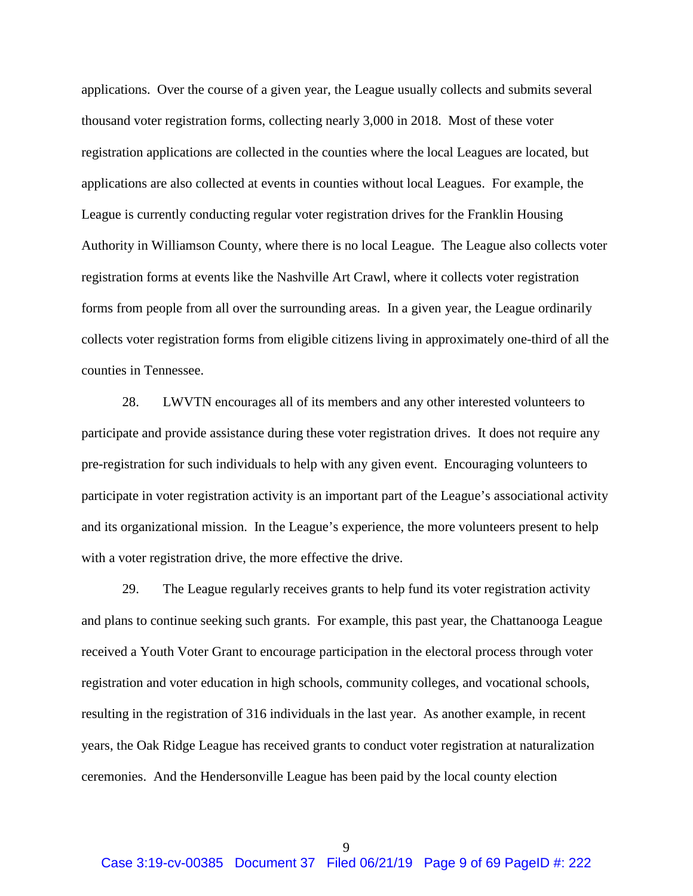applications. Over the course of a given year, the League usually collects and submits several thousand voter registration forms, collecting nearly 3,000 in 2018. Most of these voter registration applications are collected in the counties where the local Leagues are located, but applications are also collected at events in counties without local Leagues. For example, the League is currently conducting regular voter registration drives for the Franklin Housing Authority in Williamson County, where there is no local League. The League also collects voter registration forms at events like the Nashville Art Crawl, where it collects voter registration forms from people from all over the surrounding areas. In a given year, the League ordinarily collects voter registration forms from eligible citizens living in approximately one-third of all the counties in Tennessee.

28. LWVTN encourages all of its members and any other interested volunteers to participate and provide assistance during these voter registration drives. It does not require any pre-registration for such individuals to help with any given event. Encouraging volunteers to participate in voter registration activity is an important part of the League's associational activity and its organizational mission. In the League's experience, the more volunteers present to help with a voter registration drive, the more effective the drive.

29. The League regularly receives grants to help fund its voter registration activity and plans to continue seeking such grants. For example, this past year, the Chattanooga League received a Youth Voter Grant to encourage participation in the electoral process through voter registration and voter education in high schools, community colleges, and vocational schools, resulting in the registration of 316 individuals in the last year. As another example, in recent years, the Oak Ridge League has received grants to conduct voter registration at naturalization ceremonies. And the Hendersonville League has been paid by the local county election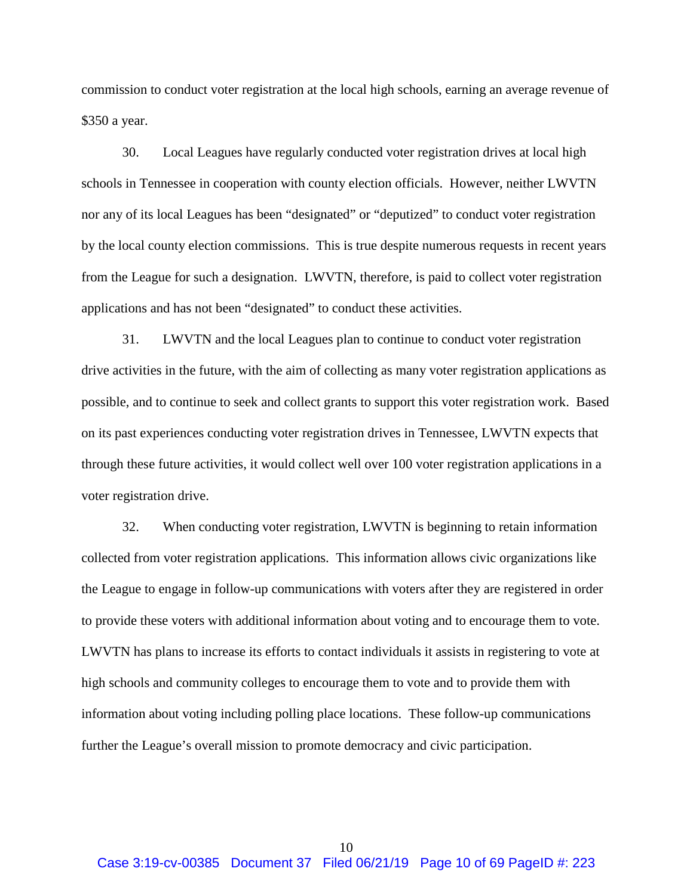commission to conduct voter registration at the local high schools, earning an average revenue of \$350 a year.

30. Local Leagues have regularly conducted voter registration drives at local high schools in Tennessee in cooperation with county election officials. However, neither LWVTN nor any of its local Leagues has been "designated" or "deputized" to conduct voter registration by the local county election commissions. This is true despite numerous requests in recent years from the League for such a designation. LWVTN, therefore, is paid to collect voter registration applications and has not been "designated" to conduct these activities.

31. LWVTN and the local Leagues plan to continue to conduct voter registration drive activities in the future, with the aim of collecting as many voter registration applications as possible, and to continue to seek and collect grants to support this voter registration work. Based on its past experiences conducting voter registration drives in Tennessee, LWVTN expects that through these future activities, it would collect well over 100 voter registration applications in a voter registration drive.

32. When conducting voter registration, LWVTN is beginning to retain information collected from voter registration applications. This information allows civic organizations like the League to engage in follow-up communications with voters after they are registered in order to provide these voters with additional information about voting and to encourage them to vote. LWVTN has plans to increase its efforts to contact individuals it assists in registering to vote at high schools and community colleges to encourage them to vote and to provide them with information about voting including polling place locations. These follow-up communications further the League's overall mission to promote democracy and civic participation.

10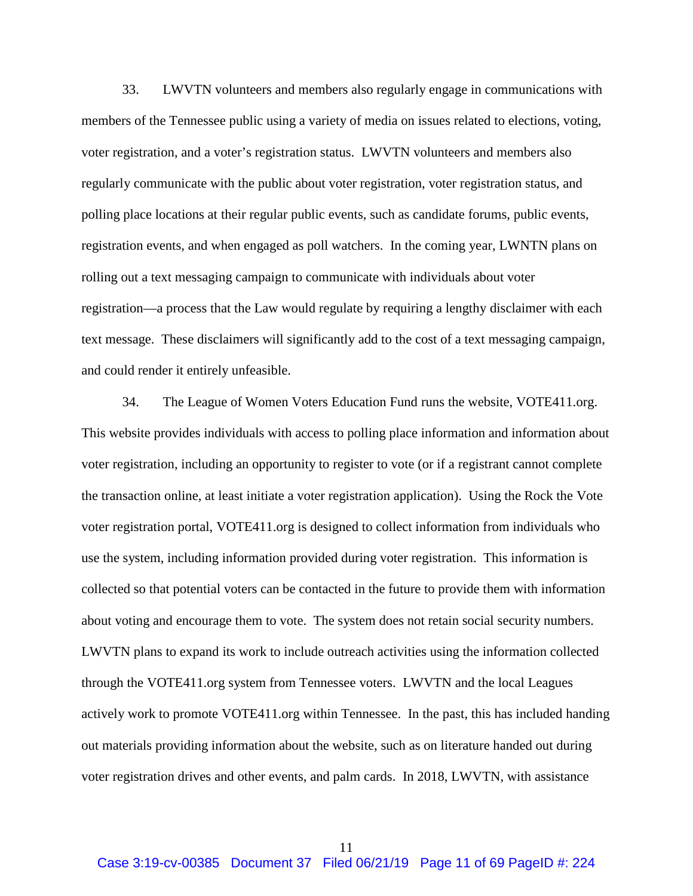33. LWVTN volunteers and members also regularly engage in communications with members of the Tennessee public using a variety of media on issues related to elections, voting, voter registration, and a voter's registration status. LWVTN volunteers and members also regularly communicate with the public about voter registration, voter registration status, and polling place locations at their regular public events, such as candidate forums, public events, registration events, and when engaged as poll watchers. In the coming year, LWNTN plans on rolling out a text messaging campaign to communicate with individuals about voter registration—a process that the Law would regulate by requiring a lengthy disclaimer with each text message. These disclaimers will significantly add to the cost of a text messaging campaign, and could render it entirely unfeasible.

34. The League of Women Voters Education Fund runs the website, VOTE411.org. This website provides individuals with access to polling place information and information about voter registration, including an opportunity to register to vote (or if a registrant cannot complete the transaction online, at least initiate a voter registration application). Using the Rock the Vote voter registration portal, VOTE411.org is designed to collect information from individuals who use the system, including information provided during voter registration. This information is collected so that potential voters can be contacted in the future to provide them with information about voting and encourage them to vote. The system does not retain social security numbers. LWVTN plans to expand its work to include outreach activities using the information collected through the VOTE411.org system from Tennessee voters. LWVTN and the local Leagues actively work to promote VOTE411.org within Tennessee. In the past, this has included handing out materials providing information about the website, such as on literature handed out during voter registration drives and other events, and palm cards. In 2018, LWVTN, with assistance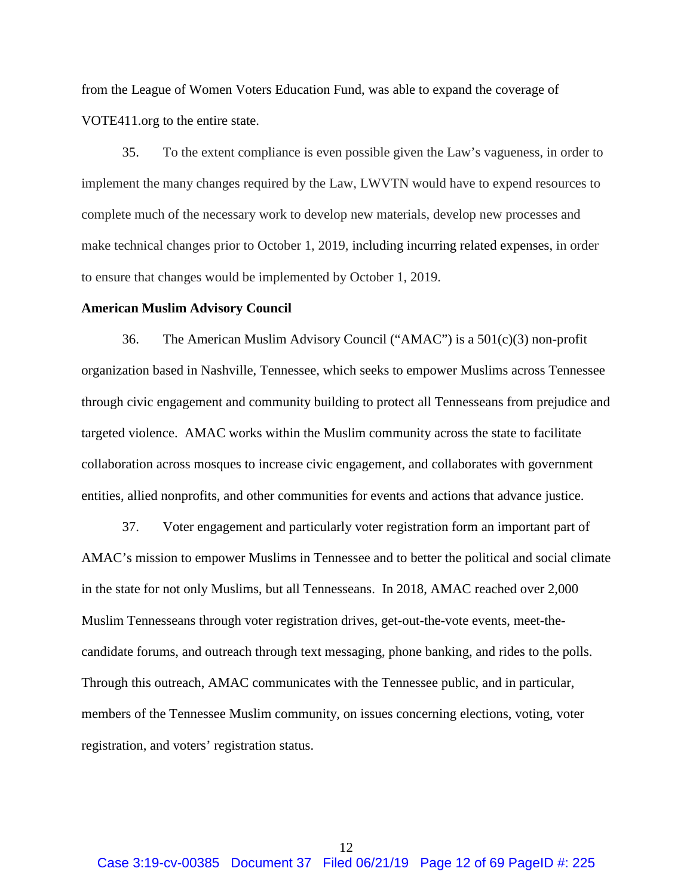from the League of Women Voters Education Fund, was able to expand the coverage of VOTE411.org to the entire state.

35. To the extent compliance is even possible given the Law's vagueness, in order to implement the many changes required by the Law, LWVTN would have to expend resources to complete much of the necessary work to develop new materials, develop new processes and make technical changes prior to October 1, 2019, including incurring related expenses, in order to ensure that changes would be implemented by October 1, 2019.

#### **American Muslim Advisory Council**

36. The American Muslim Advisory Council ("AMAC") is a 501(c)(3) non-profit organization based in Nashville, Tennessee, which seeks to empower Muslims across Tennessee through civic engagement and community building to protect all Tennesseans from prejudice and targeted violence. AMAC works within the Muslim community across the state to facilitate collaboration across mosques to increase civic engagement, and collaborates with government entities, allied nonprofits, and other communities for events and actions that advance justice.

37. Voter engagement and particularly voter registration form an important part of AMAC's mission to empower Muslims in Tennessee and to better the political and social climate in the state for not only Muslims, but all Tennesseans. In 2018, AMAC reached over 2,000 Muslim Tennesseans through voter registration drives, get-out-the-vote events, meet-thecandidate forums, and outreach through text messaging, phone banking, and rides to the polls. Through this outreach, AMAC communicates with the Tennessee public, and in particular, members of the Tennessee Muslim community, on issues concerning elections, voting, voter registration, and voters' registration status.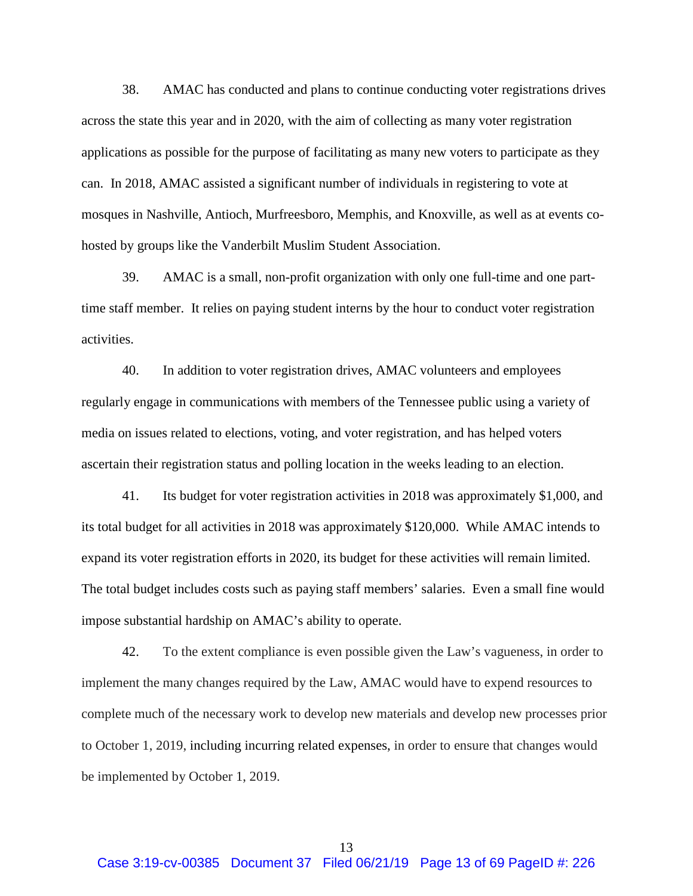38. AMAC has conducted and plans to continue conducting voter registrations drives across the state this year and in 2020, with the aim of collecting as many voter registration applications as possible for the purpose of facilitating as many new voters to participate as they can. In 2018, AMAC assisted a significant number of individuals in registering to vote at mosques in Nashville, Antioch, Murfreesboro, Memphis, and Knoxville, as well as at events cohosted by groups like the Vanderbilt Muslim Student Association.

39. AMAC is a small, non-profit organization with only one full-time and one parttime staff member. It relies on paying student interns by the hour to conduct voter registration activities.

40. In addition to voter registration drives, AMAC volunteers and employees regularly engage in communications with members of the Tennessee public using a variety of media on issues related to elections, voting, and voter registration, and has helped voters ascertain their registration status and polling location in the weeks leading to an election.

41. Its budget for voter registration activities in 2018 was approximately \$1,000, and its total budget for all activities in 2018 was approximately \$120,000. While AMAC intends to expand its voter registration efforts in 2020, its budget for these activities will remain limited. The total budget includes costs such as paying staff members' salaries. Even a small fine would impose substantial hardship on AMAC's ability to operate.

42. To the extent compliance is even possible given the Law's vagueness, in order to implement the many changes required by the Law, AMAC would have to expend resources to complete much of the necessary work to develop new materials and develop new processes prior to October 1, 2019, including incurring related expenses, in order to ensure that changes would be implemented by October 1, 2019.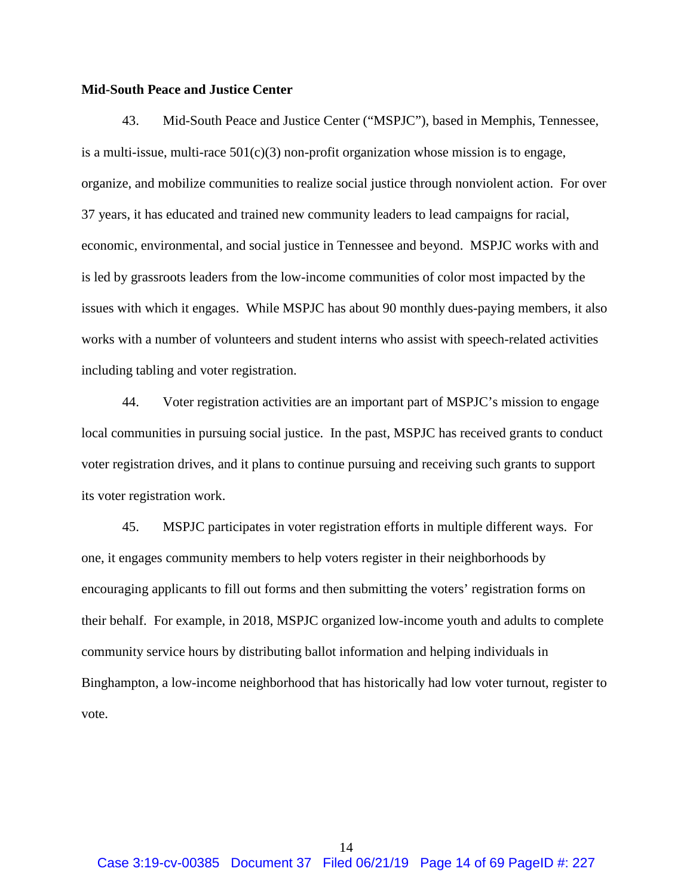## **Mid-South Peace and Justice Center**

43. Mid-South Peace and Justice Center ("MSPJC"), based in Memphis, Tennessee, is a multi-issue, multi-race  $501(c)(3)$  non-profit organization whose mission is to engage, organize, and mobilize communities to realize social justice through nonviolent action. For over 37 years, it has educated and trained new community leaders to lead campaigns for racial, economic, environmental, and social justice in Tennessee and beyond. MSPJC works with and is led by grassroots leaders from the low-income communities of color most impacted by the issues with which it engages. While MSPJC has about 90 monthly dues-paying members, it also works with a number of volunteers and student interns who assist with speech-related activities including tabling and voter registration.

44. Voter registration activities are an important part of MSPJC's mission to engage local communities in pursuing social justice. In the past, MSPJC has received grants to conduct voter registration drives, and it plans to continue pursuing and receiving such grants to support its voter registration work.

45. MSPJC participates in voter registration efforts in multiple different ways. For one, it engages community members to help voters register in their neighborhoods by encouraging applicants to fill out forms and then submitting the voters' registration forms on their behalf. For example, in 2018, MSPJC organized low-income youth and adults to complete community service hours by distributing ballot information and helping individuals in Binghampton, a low-income neighborhood that has historically had low voter turnout, register to vote.

14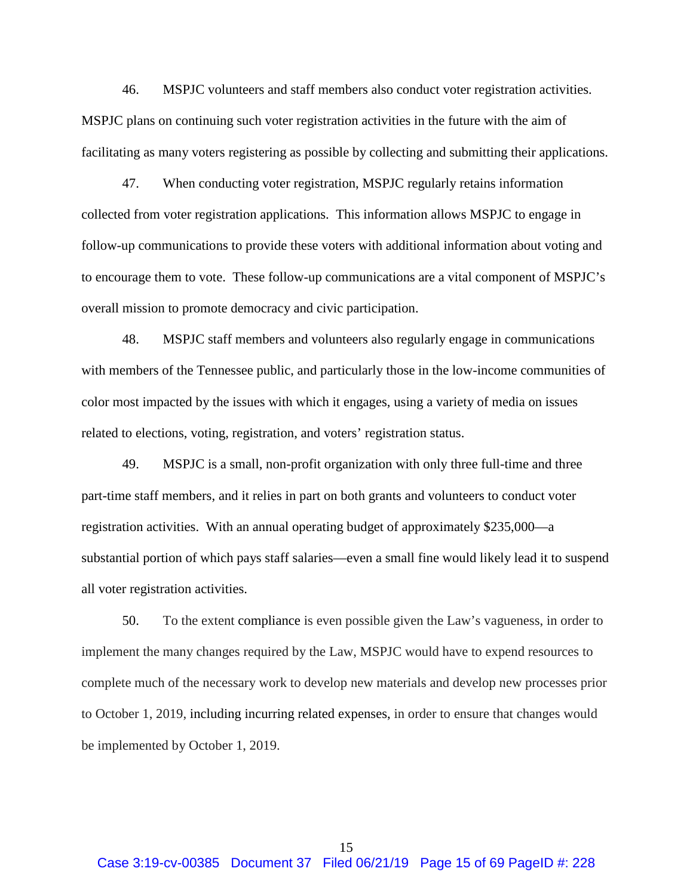46. MSPJC volunteers and staff members also conduct voter registration activities. MSPJC plans on continuing such voter registration activities in the future with the aim of facilitating as many voters registering as possible by collecting and submitting their applications.

47. When conducting voter registration, MSPJC regularly retains information collected from voter registration applications. This information allows MSPJC to engage in follow-up communications to provide these voters with additional information about voting and to encourage them to vote. These follow-up communications are a vital component of MSPJC's overall mission to promote democracy and civic participation.

48. MSPJC staff members and volunteers also regularly engage in communications with members of the Tennessee public, and particularly those in the low-income communities of color most impacted by the issues with which it engages, using a variety of media on issues related to elections, voting, registration, and voters' registration status.

49. MSPJC is a small, non-profit organization with only three full-time and three part-time staff members, and it relies in part on both grants and volunteers to conduct voter registration activities. With an annual operating budget of approximately \$235,000—a substantial portion of which pays staff salaries—even a small fine would likely lead it to suspend all voter registration activities.

50. To the extent compliance is even possible given the Law's vagueness, in order to implement the many changes required by the Law, MSPJC would have to expend resources to complete much of the necessary work to develop new materials and develop new processes prior to October 1, 2019, including incurring related expenses, in order to ensure that changes would be implemented by October 1, 2019.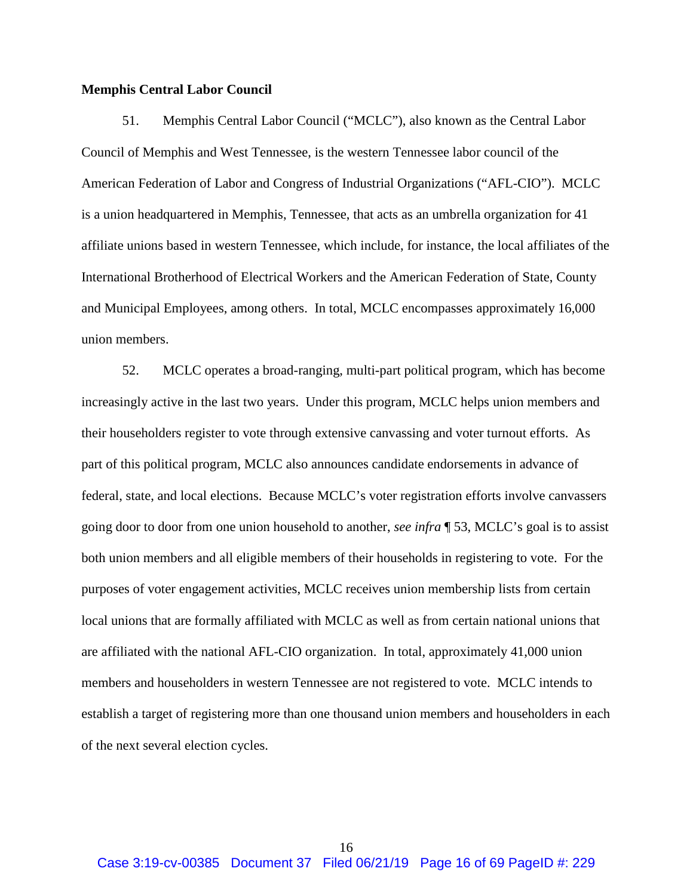## **Memphis Central Labor Council**

51. Memphis Central Labor Council ("MCLC"), also known as the Central Labor Council of Memphis and West Tennessee, is the western Tennessee labor council of the American Federation of Labor and Congress of Industrial Organizations ("AFL-CIO"). MCLC is a union headquartered in Memphis, Tennessee, that acts as an umbrella organization for 41 affiliate unions based in western Tennessee, which include, for instance, the local affiliates of the International Brotherhood of Electrical Workers and the American Federation of State, County and Municipal Employees, among others. In total, MCLC encompasses approximately 16,000 union members.

52. MCLC operates a broad-ranging, multi-part political program, which has become increasingly active in the last two years. Under this program, MCLC helps union members and their householders register to vote through extensive canvassing and voter turnout efforts. As part of this political program, MCLC also announces candidate endorsements in advance of federal, state, and local elections. Because MCLC's voter registration efforts involve canvassers going door to door from one union household to another, *see infra* ¶ [53,](#page-16-0) MCLC's goal is to assist both union members and all eligible members of their households in registering to vote. For the purposes of voter engagement activities, MCLC receives union membership lists from certain local unions that are formally affiliated with MCLC as well as from certain national unions that are affiliated with the national AFL-CIO organization. In total, approximately 41,000 union members and householders in western Tennessee are not registered to vote. MCLC intends to establish a target of registering more than one thousand union members and householders in each of the next several election cycles.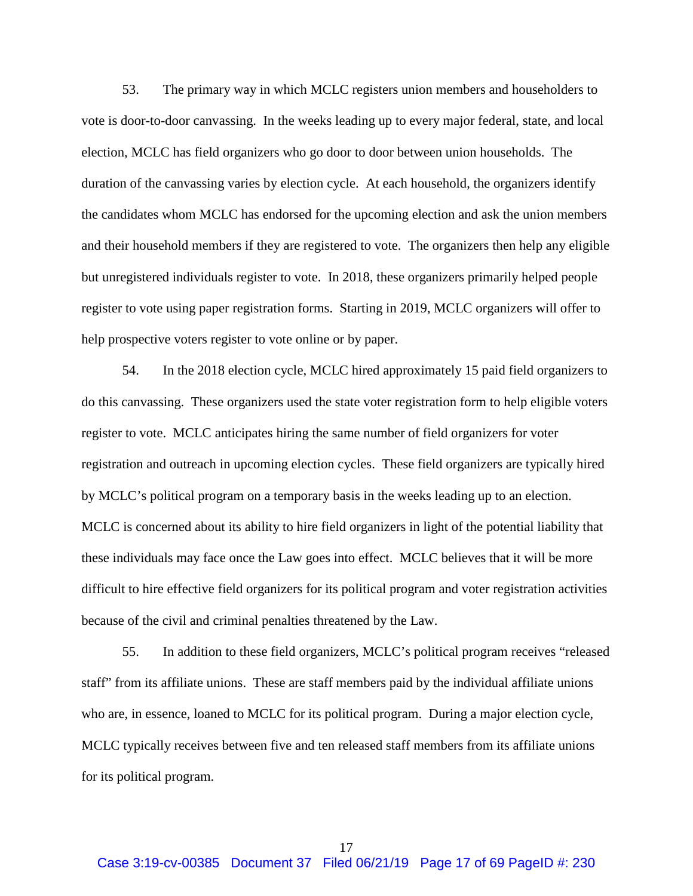<span id="page-16-0"></span>53. The primary way in which MCLC registers union members and householders to vote is door-to-door canvassing. In the weeks leading up to every major federal, state, and local election, MCLC has field organizers who go door to door between union households. The duration of the canvassing varies by election cycle. At each household, the organizers identify the candidates whom MCLC has endorsed for the upcoming election and ask the union members and their household members if they are registered to vote. The organizers then help any eligible but unregistered individuals register to vote. In 2018, these organizers primarily helped people register to vote using paper registration forms. Starting in 2019, MCLC organizers will offer to help prospective voters register to vote online or by paper.

54. In the 2018 election cycle, MCLC hired approximately 15 paid field organizers to do this canvassing. These organizers used the state voter registration form to help eligible voters register to vote. MCLC anticipates hiring the same number of field organizers for voter registration and outreach in upcoming election cycles. These field organizers are typically hired by MCLC's political program on a temporary basis in the weeks leading up to an election. MCLC is concerned about its ability to hire field organizers in light of the potential liability that these individuals may face once the Law goes into effect. MCLC believes that it will be more difficult to hire effective field organizers for its political program and voter registration activities because of the civil and criminal penalties threatened by the Law.

55. In addition to these field organizers, MCLC's political program receives "released staff" from its affiliate unions. These are staff members paid by the individual affiliate unions who are, in essence, loaned to MCLC for its political program. During a major election cycle, MCLC typically receives between five and ten released staff members from its affiliate unions for its political program.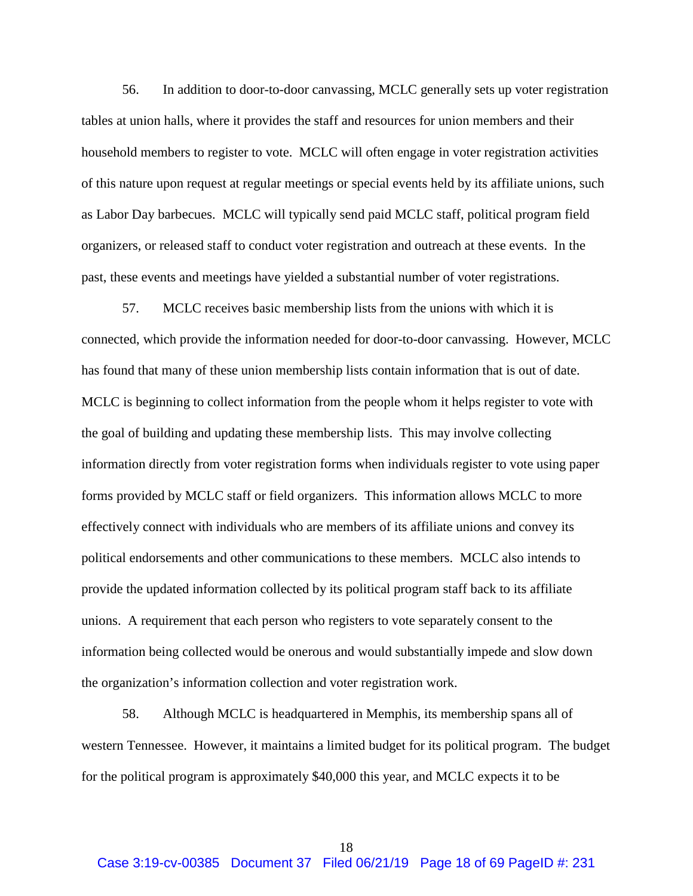56. In addition to door-to-door canvassing, MCLC generally sets up voter registration tables at union halls, where it provides the staff and resources for union members and their household members to register to vote. MCLC will often engage in voter registration activities of this nature upon request at regular meetings or special events held by its affiliate unions, such as Labor Day barbecues. MCLC will typically send paid MCLC staff, political program field organizers, or released staff to conduct voter registration and outreach at these events. In the past, these events and meetings have yielded a substantial number of voter registrations.

57. MCLC receives basic membership lists from the unions with which it is connected, which provide the information needed for door-to-door canvassing. However, MCLC has found that many of these union membership lists contain information that is out of date. MCLC is beginning to collect information from the people whom it helps register to vote with the goal of building and updating these membership lists. This may involve collecting information directly from voter registration forms when individuals register to vote using paper forms provided by MCLC staff or field organizers. This information allows MCLC to more effectively connect with individuals who are members of its affiliate unions and convey its political endorsements and other communications to these members. MCLC also intends to provide the updated information collected by its political program staff back to its affiliate unions. A requirement that each person who registers to vote separately consent to the information being collected would be onerous and would substantially impede and slow down the organization's information collection and voter registration work.

58. Although MCLC is headquartered in Memphis, its membership spans all of western Tennessee. However, it maintains a limited budget for its political program. The budget for the political program is approximately \$40,000 this year, and MCLC expects it to be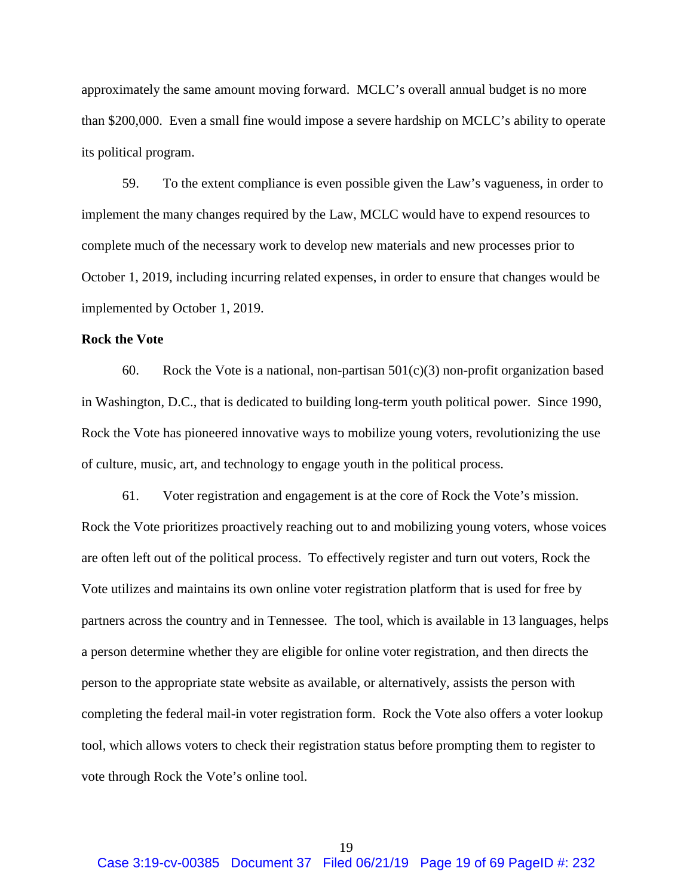approximately the same amount moving forward. MCLC's overall annual budget is no more than \$200,000. Even a small fine would impose a severe hardship on MCLC's ability to operate its political program.

59. To the extent compliance is even possible given the Law's vagueness, in order to implement the many changes required by the Law, MCLC would have to expend resources to complete much of the necessary work to develop new materials and new processes prior to October 1, 2019, including incurring related expenses, in order to ensure that changes would be implemented by October 1, 2019.

## **Rock the Vote**

60. Rock the Vote is a national, non-partisan  $501(c)(3)$  non-profit organization based in Washington, D.C., that is dedicated to building long-term youth political power. Since 1990, Rock the Vote has pioneered innovative ways to mobilize young voters, revolutionizing the use of culture, music, art, and technology to engage youth in the political process.

61. Voter registration and engagement is at the core of Rock the Vote's mission. Rock the Vote prioritizes proactively reaching out to and mobilizing young voters, whose voices are often left out of the political process. To effectively register and turn out voters, Rock the Vote utilizes and maintains its own online voter registration platform that is used for free by partners across the country and in Tennessee. The tool, which is available in 13 languages, helps a person determine whether they are eligible for online voter registration, and then directs the person to the appropriate state website as available, or alternatively, assists the person with completing the federal mail-in voter registration form. Rock the Vote also offers a voter lookup tool, which allows voters to check their registration status before prompting them to register to vote through Rock the Vote's online tool.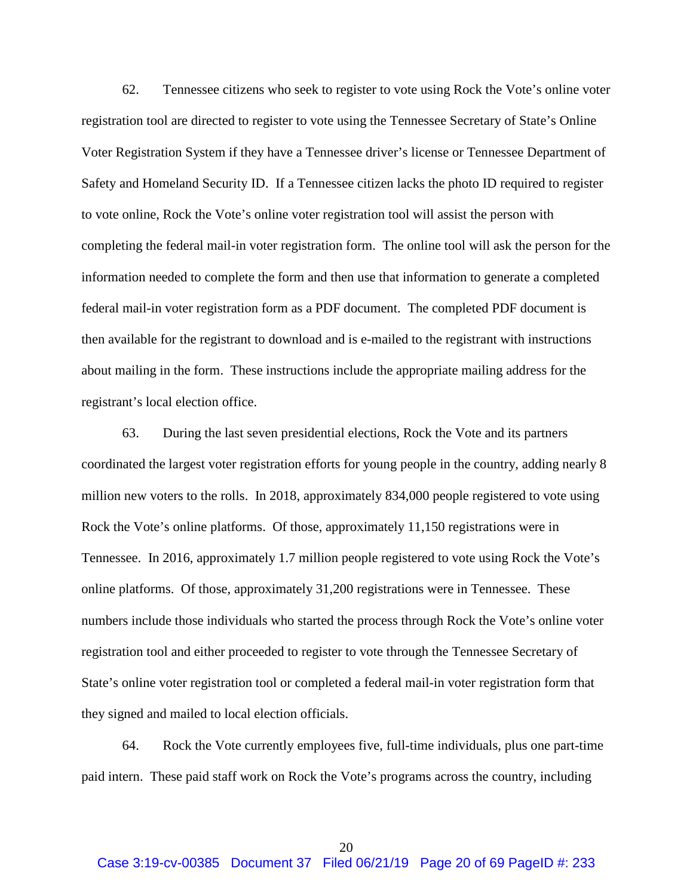62. Tennessee citizens who seek to register to vote using Rock the Vote's online voter registration tool are directed to register to vote using the Tennessee Secretary of State's Online Voter Registration System if they have a Tennessee driver's license or Tennessee Department of Safety and Homeland Security ID. If a Tennessee citizen lacks the photo ID required to register to vote online, Rock the Vote's online voter registration tool will assist the person with completing the federal mail-in voter registration form. The online tool will ask the person for the information needed to complete the form and then use that information to generate a completed federal mail-in voter registration form as a PDF document. The completed PDF document is then available for the registrant to download and is e-mailed to the registrant with instructions about mailing in the form. These instructions include the appropriate mailing address for the registrant's local election office.

63. During the last seven presidential elections, Rock the Vote and its partners coordinated the largest voter registration efforts for young people in the country, adding nearly 8 million new voters to the rolls. In 2018, approximately 834,000 people registered to vote using Rock the Vote's online platforms. Of those, approximately 11,150 registrations were in Tennessee. In 2016, approximately 1.7 million people registered to vote using Rock the Vote's online platforms. Of those, approximately 31,200 registrations were in Tennessee. These numbers include those individuals who started the process through Rock the Vote's online voter registration tool and either proceeded to register to vote through the Tennessee Secretary of State's online voter registration tool or completed a federal mail-in voter registration form that they signed and mailed to local election officials.

64. Rock the Vote currently employees five, full-time individuals, plus one part-time paid intern. These paid staff work on Rock the Vote's programs across the country, including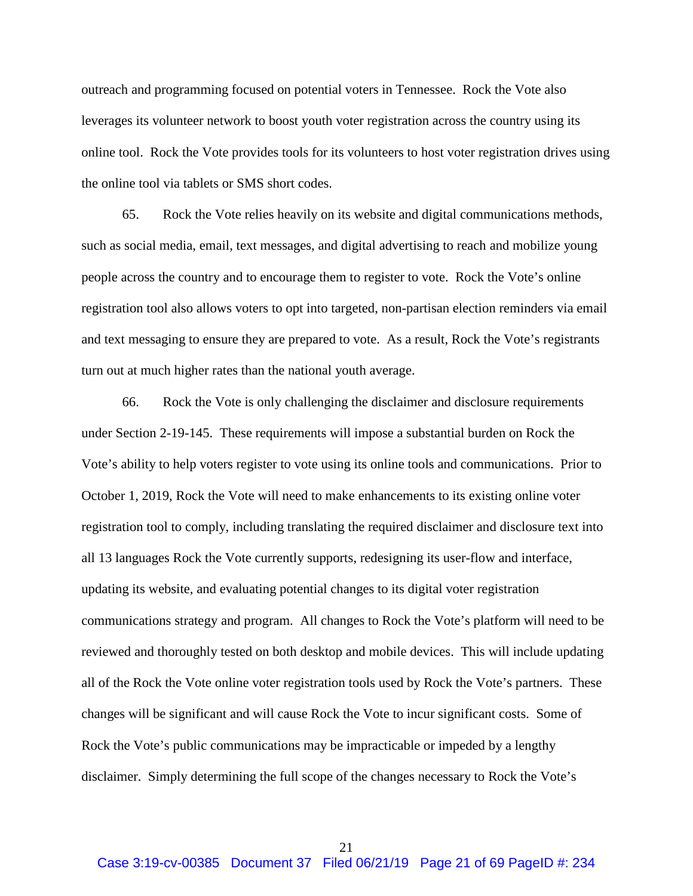outreach and programming focused on potential voters in Tennessee. Rock the Vote also leverages its volunteer network to boost youth voter registration across the country using its online tool. Rock the Vote provides tools for its volunteers to host voter registration drives using the online tool via tablets or SMS short codes.

65. Rock the Vote relies heavily on its website and digital communications methods, such as social media, email, text messages, and digital advertising to reach and mobilize young people across the country and to encourage them to register to vote. Rock the Vote's online registration tool also allows voters to opt into targeted, non-partisan election reminders via email and text messaging to ensure they are prepared to vote. As a result, Rock the Vote's registrants turn out at much higher rates than the national youth average.

66. Rock the Vote is only challenging the disclaimer and disclosure requirements under Section 2-19-145. These requirements will impose a substantial burden on Rock the Vote's ability to help voters register to vote using its online tools and communications. Prior to October 1, 2019, Rock the Vote will need to make enhancements to its existing online voter registration tool to comply, including translating the required disclaimer and disclosure text into all 13 languages Rock the Vote currently supports, redesigning its user-flow and interface, updating its website, and evaluating potential changes to its digital voter registration communications strategy and program. All changes to Rock the Vote's platform will need to be reviewed and thoroughly tested on both desktop and mobile devices. This will include updating all of the Rock the Vote online voter registration tools used by Rock the Vote's partners. These changes will be significant and will cause Rock the Vote to incur significant costs. Some of Rock the Vote's public communications may be impracticable or impeded by a lengthy disclaimer. Simply determining the full scope of the changes necessary to Rock the Vote's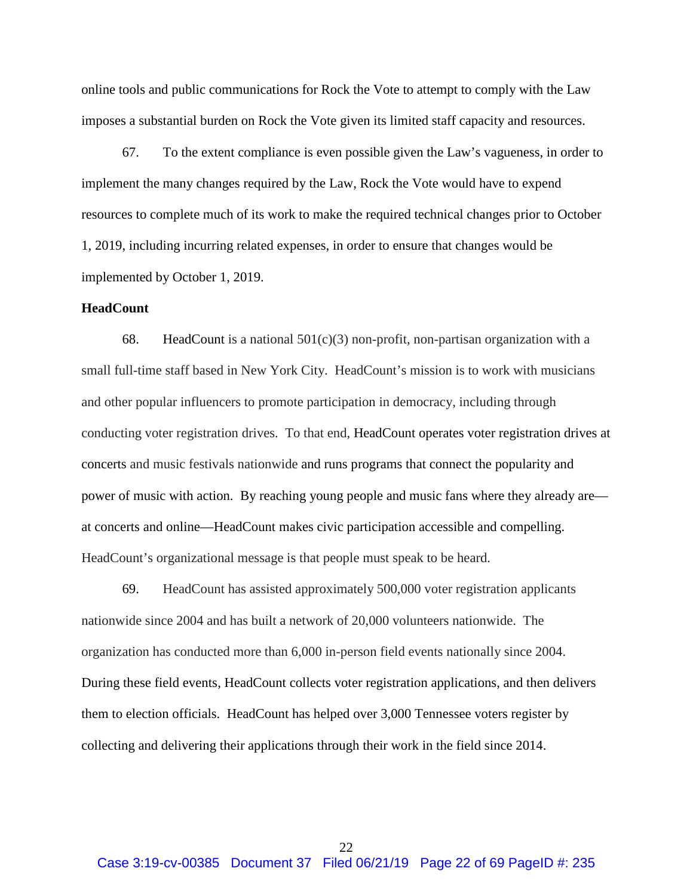online tools and public communications for Rock the Vote to attempt to comply with the Law imposes a substantial burden on Rock the Vote given its limited staff capacity and resources.

67. To the extent compliance is even possible given the Law's vagueness, in order to implement the many changes required by the Law, Rock the Vote would have to expend resources to complete much of its work to make the required technical changes prior to October 1, 2019, including incurring related expenses, in order to ensure that changes would be implemented by October 1, 2019.

### **HeadCount**

68. HeadCount is a national  $501(c)(3)$  non-profit, non-partisan organization with a small full-time staff based in New York City. HeadCount's mission is to work with musicians and other popular influencers to promote participation in democracy, including through conducting voter registration drives. To that end, HeadCount operates voter registration drives at concerts and music festivals nationwide and runs programs that connect the popularity and power of music with action. By reaching young people and music fans where they already are at concerts and online—HeadCount makes civic participation accessible and compelling. HeadCount's organizational message is that people must speak to be heard.

69. HeadCount has assisted approximately 500,000 voter registration applicants nationwide since 2004 and has built a network of 20,000 volunteers nationwide. The organization has conducted more than 6,000 in-person field events nationally since 2004. During these field events, HeadCount collects voter registration applications, and then delivers them to election officials. HeadCount has helped over 3,000 Tennessee voters register by collecting and delivering their applications through their work in the field since 2014.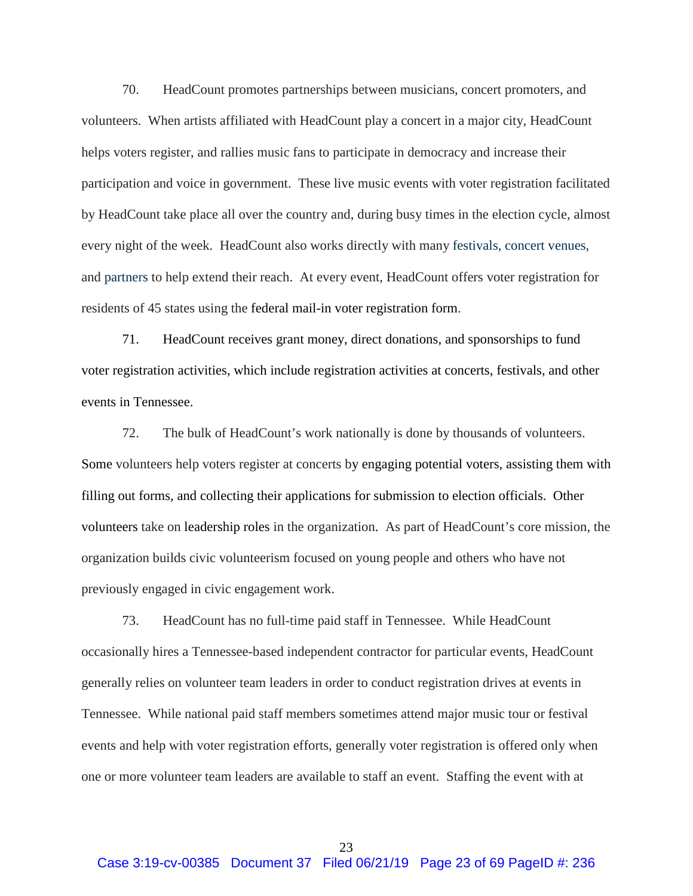70. HeadCount promotes partnerships between musicians, concert promoters, and volunteers. When artists affiliated with HeadCount play a concert in a major city, HeadCount helps voters register, and rallies music fans to participate in democracy and increase their participation and voice in government. These live music events with voter registration facilitated by HeadCount take place all over the country and, during busy times in the election cycle, almost every night of the week. HeadCount also works directly with many festivals, concert venues, and partners to help extend their reach. At every event, HeadCount offers voter registration for residents of 45 states using the federal mail-in voter registration form.

71. HeadCount receives grant money, direct donations, and sponsorships to fund voter registration activities, which include registration activities at concerts, festivals, and other events in Tennessee.

72. The bulk of HeadCount's work nationally is done by thousands of volunteers. Some volunteers help voters register at concerts by engaging potential voters, assisting them with filling out forms, and collecting their applications for submission to election officials. Other volunteers take on leadership roles in the organization. As part of HeadCount's core mission, the organization builds civic volunteerism focused on young people and others who have not previously engaged in civic engagement work.

73. HeadCount has no full-time paid staff in Tennessee. While HeadCount occasionally hires a Tennessee-based independent contractor for particular events, HeadCount generally relies on volunteer team leaders in order to conduct registration drives at events in Tennessee. While national paid staff members sometimes attend major music tour or festival events and help with voter registration efforts, generally voter registration is offered only when one or more volunteer team leaders are available to staff an event. Staffing the event with at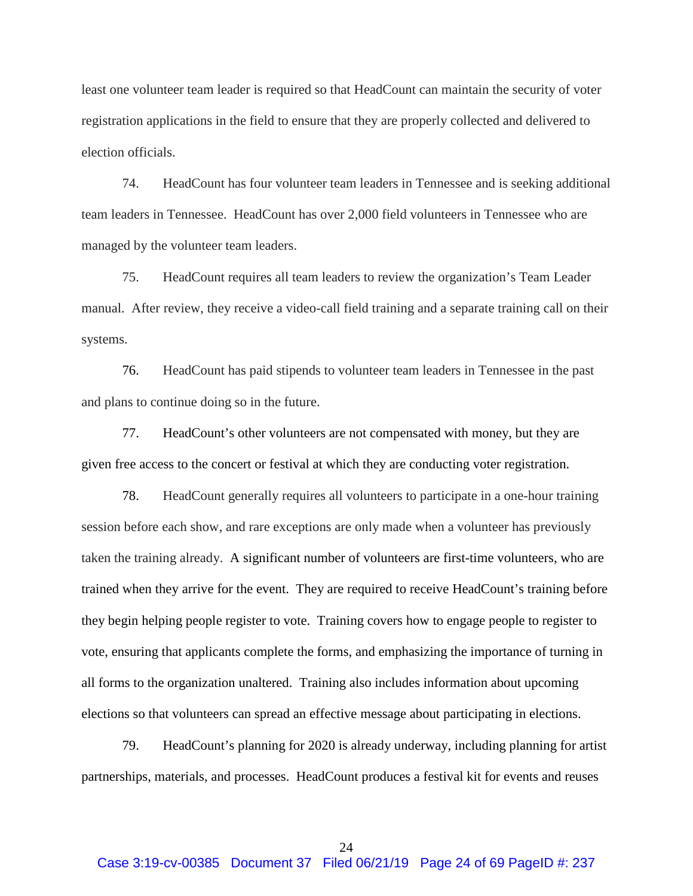least one volunteer team leader is required so that HeadCount can maintain the security of voter registration applications in the field to ensure that they are properly collected and delivered to election officials.

74. HeadCount has four volunteer team leaders in Tennessee and is seeking additional team leaders in Tennessee. HeadCount has over 2,000 field volunteers in Tennessee who are managed by the volunteer team leaders.

75. HeadCount requires all team leaders to review the organization's Team Leader manual. After review, they receive a video-call field training and a separate training call on their systems.

76. HeadCount has paid stipends to volunteer team leaders in Tennessee in the past and plans to continue doing so in the future.

77. HeadCount's other volunteers are not compensated with money, but they are given free access to the concert or festival at which they are conducting voter registration.

78. HeadCount generally requires all volunteers to participate in a one-hour training session before each show, and rare exceptions are only made when a volunteer has previously taken the training already. A significant number of volunteers are first-time volunteers, who are trained when they arrive for the event. They are required to receive HeadCount's training before they begin helping people register to vote. Training covers how to engage people to register to vote, ensuring that applicants complete the forms, and emphasizing the importance of turning in all forms to the organization unaltered. Training also includes information about upcoming elections so that volunteers can spread an effective message about participating in elections.

79. HeadCount's planning for 2020 is already underway, including planning for artist partnerships, materials, and processes. HeadCount produces a festival kit for events and reuses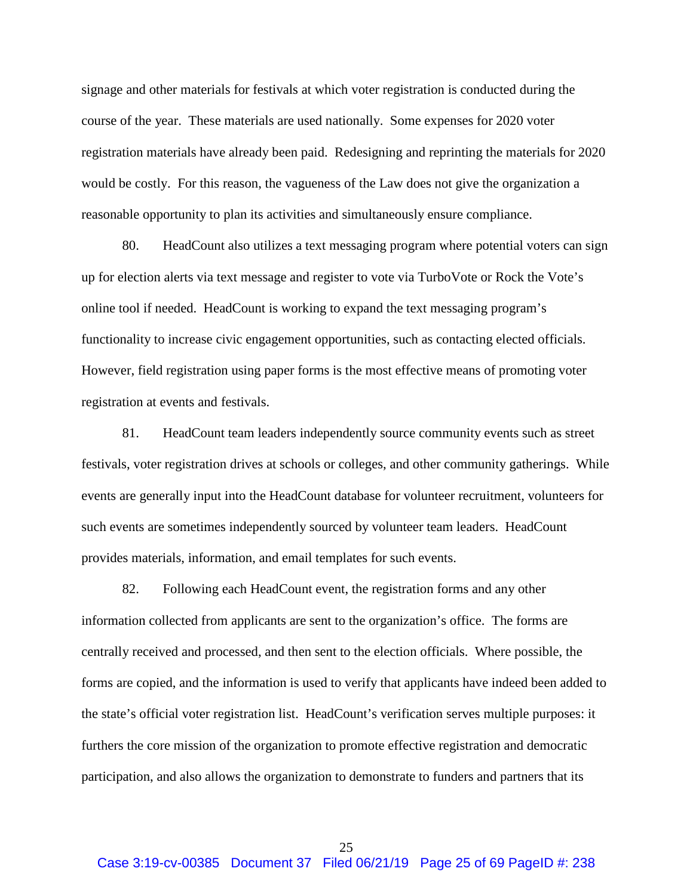signage and other materials for festivals at which voter registration is conducted during the course of the year. These materials are used nationally. Some expenses for 2020 voter registration materials have already been paid. Redesigning and reprinting the materials for 2020 would be costly. For this reason, the vagueness of the Law does not give the organization a reasonable opportunity to plan its activities and simultaneously ensure compliance.

80. HeadCount also utilizes a text messaging program where potential voters can sign up for election alerts via text message and register to vote via TurboVote or Rock the Vote's online tool if needed. HeadCount is working to expand the text messaging program's functionality to increase civic engagement opportunities, such as contacting elected officials. However, field registration using paper forms is the most effective means of promoting voter registration at events and festivals.

81. HeadCount team leaders independently source community events such as street festivals, voter registration drives at schools or colleges, and other community gatherings. While events are generally input into the HeadCount database for volunteer recruitment, volunteers for such events are sometimes independently sourced by volunteer team leaders. HeadCount provides materials, information, and email templates for such events.

82. Following each HeadCount event, the registration forms and any other information collected from applicants are sent to the organization's office. The forms are centrally received and processed, and then sent to the election officials. Where possible, the forms are copied, and the information is used to verify that applicants have indeed been added to the state's official voter registration list. HeadCount's verification serves multiple purposes: it furthers the core mission of the organization to promote effective registration and democratic participation, and also allows the organization to demonstrate to funders and partners that its

25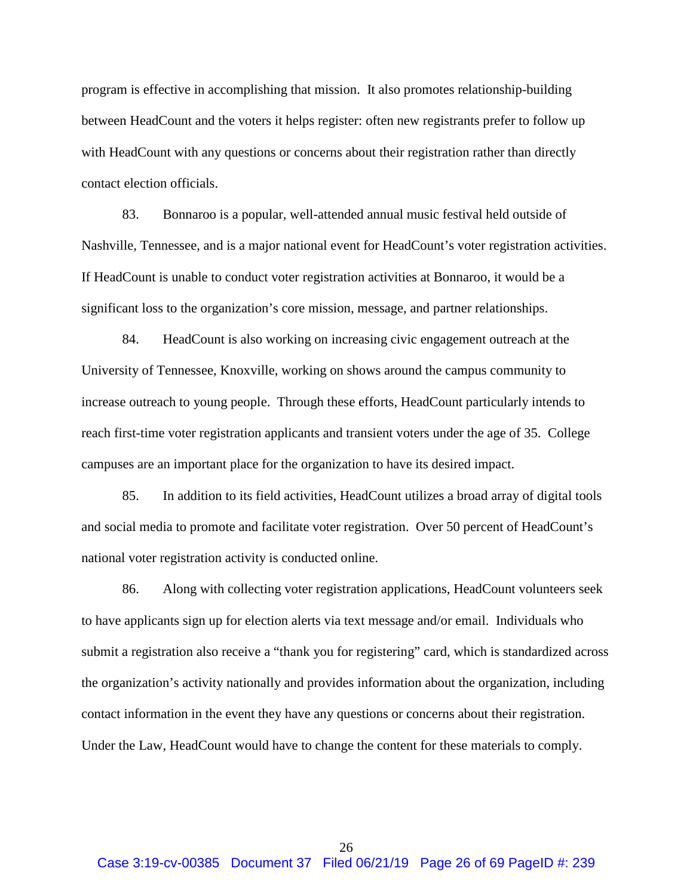program is effective in accomplishing that mission. It also promotes relationship-building between HeadCount and the voters it helps register: often new registrants prefer to follow up with HeadCount with any questions or concerns about their registration rather than directly contact election officials.

83. Bonnaroo is a popular, well-attended annual music festival held outside of Nashville, Tennessee, and is a major national event for HeadCount's voter registration activities. If HeadCount is unable to conduct voter registration activities at Bonnaroo, it would be a significant loss to the organization's core mission, message, and partner relationships.

84. HeadCount is also working on increasing civic engagement outreach at the University of Tennessee, Knoxville, working on shows around the campus community to increase outreach to young people. Through these efforts, HeadCount particularly intends to reach first-time voter registration applicants and transient voters under the age of 35. College campuses are an important place for the organization to have its desired impact.

85. In addition to its field activities, HeadCount utilizes a broad array of digital tools and social media to promote and facilitate voter registration. Over 50 percent of HeadCount's national voter registration activity is conducted online.

86. Along with collecting voter registration applications, HeadCount volunteers seek to have applicants sign up for election alerts via text message and/or email. Individuals who submit a registration also receive a "thank you for registering" card, which is standardized across the organization's activity nationally and provides information about the organization, including contact information in the event they have any questions or concerns about their registration. Under the Law, HeadCount would have to change the content for these materials to comply.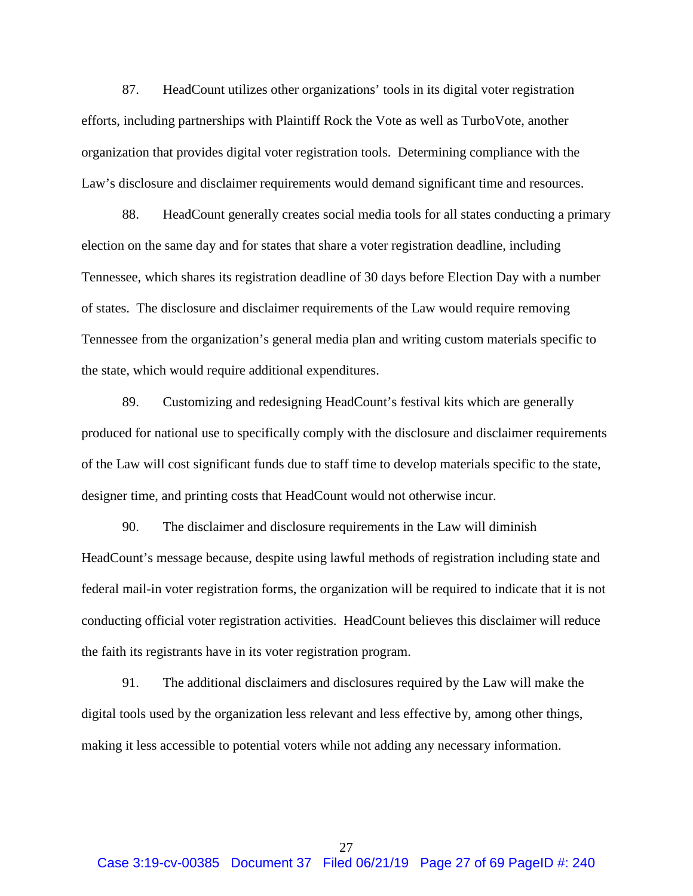87. HeadCount utilizes other organizations' tools in its digital voter registration efforts, including partnerships with Plaintiff Rock the Vote as well as TurboVote, another organization that provides digital voter registration tools. Determining compliance with the Law's disclosure and disclaimer requirements would demand significant time and resources.

88. HeadCount generally creates social media tools for all states conducting a primary election on the same day and for states that share a voter registration deadline, including Tennessee, which shares its registration deadline of 30 days before Election Day with a number of states. The disclosure and disclaimer requirements of the Law would require removing Tennessee from the organization's general media plan and writing custom materials specific to the state, which would require additional expenditures.

89. Customizing and redesigning HeadCount's festival kits which are generally produced for national use to specifically comply with the disclosure and disclaimer requirements of the Law will cost significant funds due to staff time to develop materials specific to the state, designer time, and printing costs that HeadCount would not otherwise incur.

90. The disclaimer and disclosure requirements in the Law will diminish HeadCount's message because, despite using lawful methods of registration including state and federal mail-in voter registration forms, the organization will be required to indicate that it is not conducting official voter registration activities. HeadCount believes this disclaimer will reduce the faith its registrants have in its voter registration program.

91. The additional disclaimers and disclosures required by the Law will make the digital tools used by the organization less relevant and less effective by, among other things, making it less accessible to potential voters while not adding any necessary information.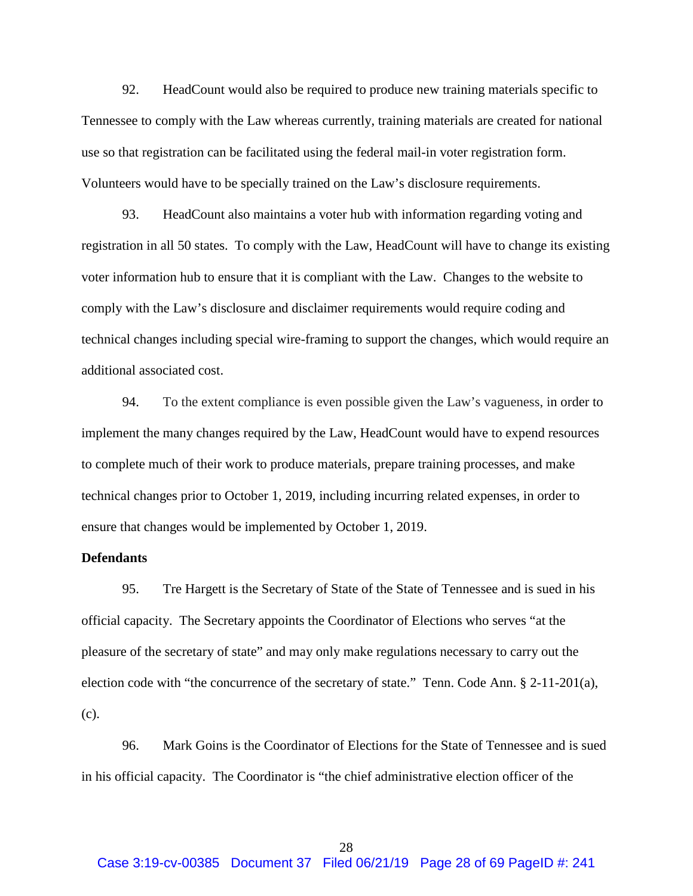92. HeadCount would also be required to produce new training materials specific to Tennessee to comply with the Law whereas currently, training materials are created for national use so that registration can be facilitated using the federal mail-in voter registration form. Volunteers would have to be specially trained on the Law's disclosure requirements.

93. HeadCount also maintains a voter hub with information regarding voting and registration in all 50 states. To comply with the Law, HeadCount will have to change its existing voter information hub to ensure that it is compliant with the Law. Changes to the website to comply with the Law's disclosure and disclaimer requirements would require coding and technical changes including special wire-framing to support the changes, which would require an additional associated cost.

94. To the extent compliance is even possible given the Law's vagueness, in order to implement the many changes required by the Law, HeadCount would have to expend resources to complete much of their work to produce materials, prepare training processes, and make technical changes prior to October 1, 2019, including incurring related expenses, in order to ensure that changes would be implemented by October 1, 2019.

## **Defendants**

95. Tre Hargett is the Secretary of State of the State of Tennessee and is sued in his official capacity. The Secretary appoints the Coordinator of Elections who serves "at the pleasure of the secretary of state" and may only make regulations necessary to carry out the election code with "the concurrence of the secretary of state." Tenn. Code Ann. § 2-11-201(a), (c).

96. Mark Goins is the Coordinator of Elections for the State of Tennessee and is sued in his official capacity. The Coordinator is "the chief administrative election officer of the

28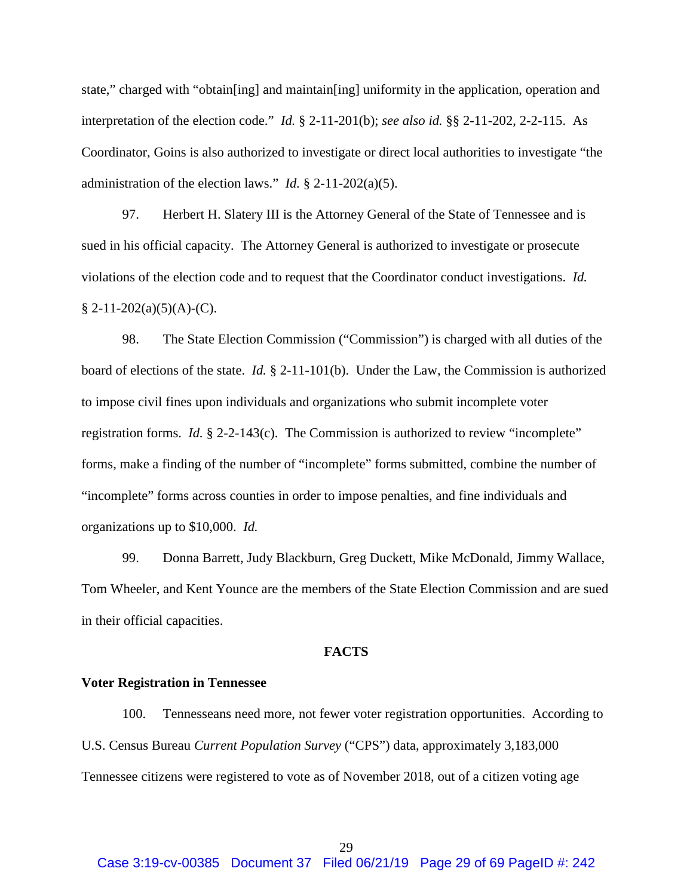state," charged with "obtain[ing] and maintain[ing] uniformity in the application, operation and interpretation of the election code." *Id.* § 2-11-201(b); *see also id.* §§ 2-11-202, 2-2-115. As Coordinator, Goins is also authorized to investigate or direct local authorities to investigate "the administration of the election laws." *Id.* § 2-11-202(a)(5).

97. Herbert H. Slatery III is the Attorney General of the State of Tennessee and is sued in his official capacity. The Attorney General is authorized to investigate or prosecute violations of the election code and to request that the Coordinator conduct investigations. *Id.*  $§ 2-11-202(a)(5)(A)-(C).$ 

98. The State Election Commission ("Commission") is charged with all duties of the board of elections of the state. *Id.* § 2-11-101(b). Under the Law, the Commission is authorized to impose civil fines upon individuals and organizations who submit incomplete voter registration forms. *Id.* § 2-2-143(c). The Commission is authorized to review "incomplete" forms, make a finding of the number of "incomplete" forms submitted, combine the number of "incomplete" forms across counties in order to impose penalties, and fine individuals and organizations up to \$10,000. *Id.*

99. Donna Barrett, Judy Blackburn, Greg Duckett, Mike McDonald, Jimmy Wallace, Tom Wheeler, and Kent Younce are the members of the State Election Commission and are sued in their official capacities.

#### **FACTS**

#### **Voter Registration in Tennessee**

100. Tennesseans need more, not fewer voter registration opportunities. According to U.S. Census Bureau *Current Population Survey* ("CPS") data, approximately 3,183,000 Tennessee citizens were registered to vote as of November 2018, out of a citizen voting age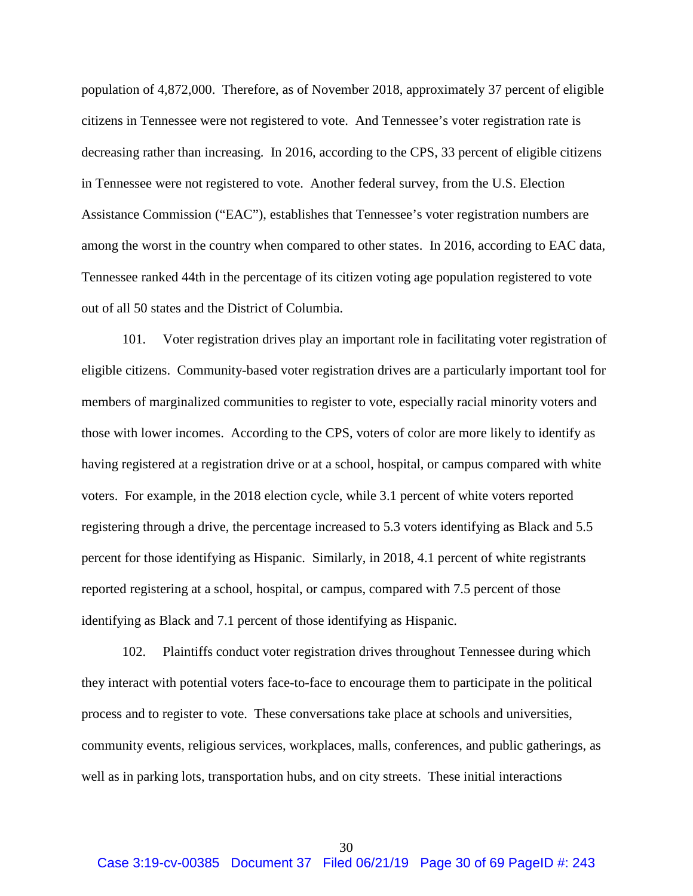population of 4,872,000. Therefore, as of November 2018, approximately 37 percent of eligible citizens in Tennessee were not registered to vote. And Tennessee's voter registration rate is decreasing rather than increasing. In 2016, according to the CPS, 33 percent of eligible citizens in Tennessee were not registered to vote. Another federal survey, from the U.S. Election Assistance Commission ("EAC"), establishes that Tennessee's voter registration numbers are among the worst in the country when compared to other states. In 2016, according to EAC data, Tennessee ranked 44th in the percentage of its citizen voting age population registered to vote out of all 50 states and the District of Columbia.

101. Voter registration drives play an important role in facilitating voter registration of eligible citizens. Community-based voter registration drives are a particularly important tool for members of marginalized communities to register to vote, especially racial minority voters and those with lower incomes. According to the CPS, voters of color are more likely to identify as having registered at a registration drive or at a school, hospital, or campus compared with white voters.For example, in the 2018 election cycle, while 3.1 percent of white voters reported registering through a drive, the percentage increased to 5.3 voters identifying as Black and 5.5 percent for those identifying as Hispanic. Similarly, in 2018, 4.1 percent of white registrants reported registering at a school, hospital, or campus, compared with 7.5 percent of those identifying as Black and 7.1 percent of those identifying as Hispanic.

102. Plaintiffs conduct voter registration drives throughout Tennessee during which they interact with potential voters face-to-face to encourage them to participate in the political process and to register to vote. These conversations take place at schools and universities, community events, religious services, workplaces, malls, conferences, and public gatherings, as well as in parking lots, transportation hubs, and on city streets. These initial interactions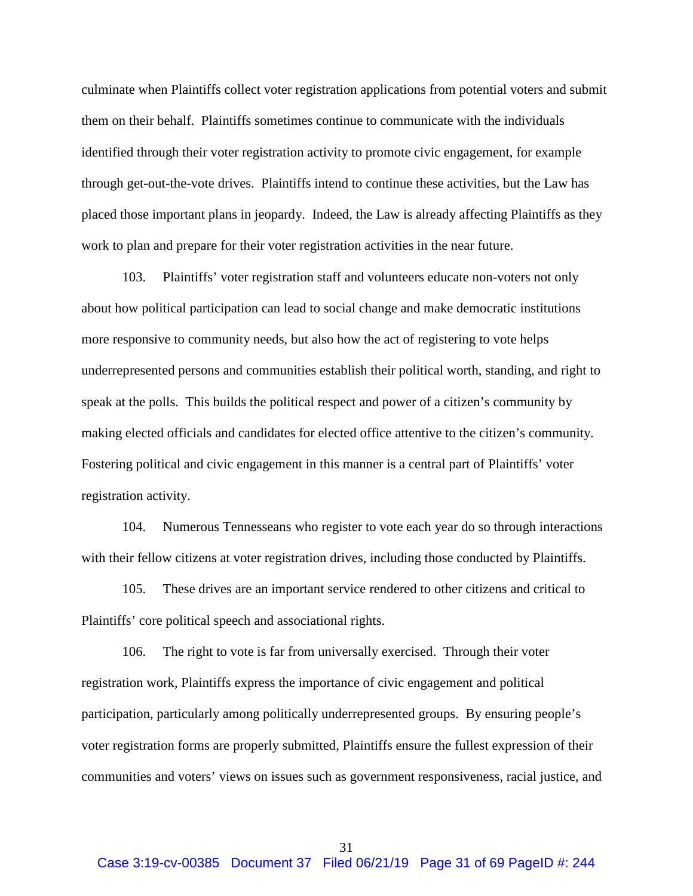culminate when Plaintiffs collect voter registration applications from potential voters and submit them on their behalf. Plaintiffs sometimes continue to communicate with the individuals identified through their voter registration activity to promote civic engagement, for example through get-out-the-vote drives. Plaintiffs intend to continue these activities, but the Law has placed those important plans in jeopardy. Indeed, the Law is already affecting Plaintiffs as they work to plan and prepare for their voter registration activities in the near future.

103. Plaintiffs' voter registration staff and volunteers educate non-voters not only about how political participation can lead to social change and make democratic institutions more responsive to community needs, but also how the act of registering to vote helps underrepresented persons and communities establish their political worth, standing, and right to speak at the polls. This builds the political respect and power of a citizen's community by making elected officials and candidates for elected office attentive to the citizen's community. Fostering political and civic engagement in this manner is a central part of Plaintiffs' voter registration activity.

104. Numerous Tennesseans who register to vote each year do so through interactions with their fellow citizens at voter registration drives, including those conducted by Plaintiffs.

105. These drives are an important service rendered to other citizens and critical to Plaintiffs' core political speech and associational rights.

106. The right to vote is far from universally exercised. Through their voter registration work, Plaintiffs express the importance of civic engagement and political participation, particularly among politically underrepresented groups. By ensuring people's voter registration forms are properly submitted, Plaintiffs ensure the fullest expression of their communities and voters' views on issues such as government responsiveness, racial justice, and

31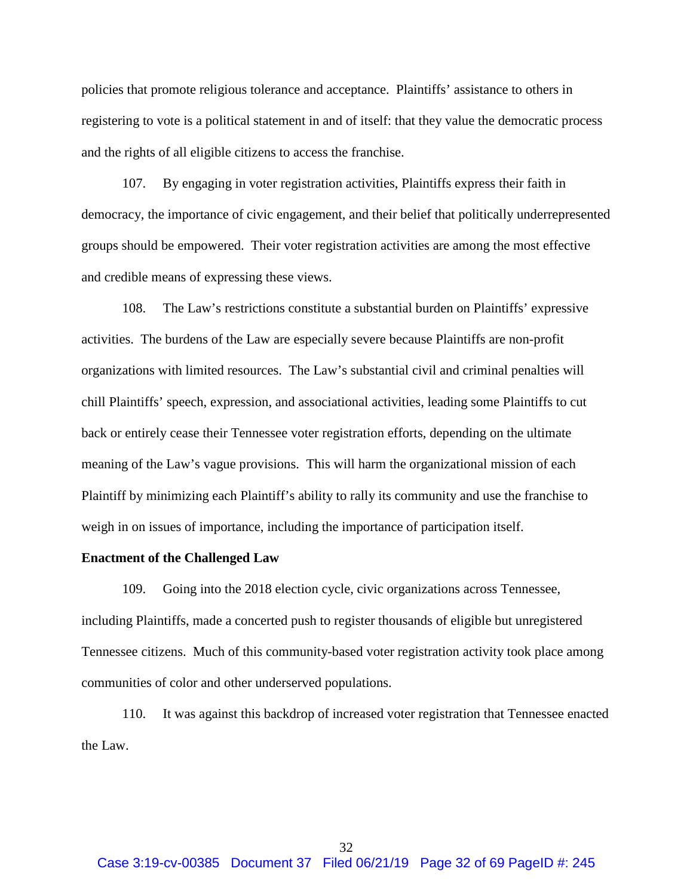policies that promote religious tolerance and acceptance. Plaintiffs' assistance to others in registering to vote is a political statement in and of itself: that they value the democratic process and the rights of all eligible citizens to access the franchise.

107. By engaging in voter registration activities, Plaintiffs express their faith in democracy, the importance of civic engagement, and their belief that politically underrepresented groups should be empowered. Their voter registration activities are among the most effective and credible means of expressing these views.

108. The Law's restrictions constitute a substantial burden on Plaintiffs' expressive activities. The burdens of the Law are especially severe because Plaintiffs are non-profit organizations with limited resources. The Law's substantial civil and criminal penalties will chill Plaintiffs' speech, expression, and associational activities, leading some Plaintiffs to cut back or entirely cease their Tennessee voter registration efforts, depending on the ultimate meaning of the Law's vague provisions. This will harm the organizational mission of each Plaintiff by minimizing each Plaintiff's ability to rally its community and use the franchise to weigh in on issues of importance, including the importance of participation itself.

## **Enactment of the Challenged Law**

109. Going into the 2018 election cycle, civic organizations across Tennessee, including Plaintiffs, made a concerted push to register thousands of eligible but unregistered Tennessee citizens. Much of this community-based voter registration activity took place among communities of color and other underserved populations.

110. It was against this backdrop of increased voter registration that Tennessee enacted the Law.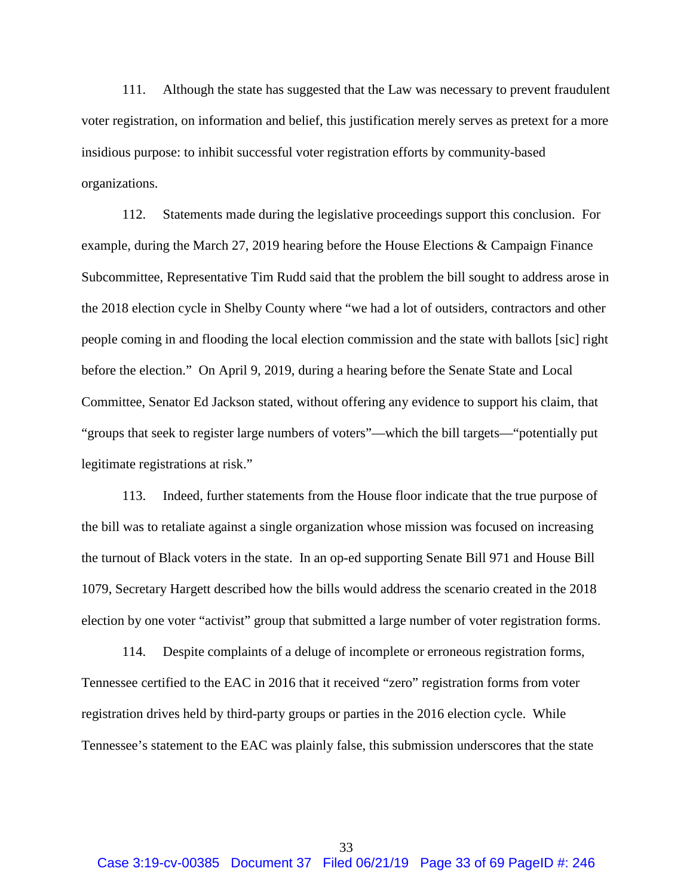111. Although the state has suggested that the Law was necessary to prevent fraudulent voter registration, on information and belief, this justification merely serves as pretext for a more insidious purpose: to inhibit successful voter registration efforts by community-based organizations.

112. Statements made during the legislative proceedings support this conclusion. For example, during the March 27, 2019 hearing before the House Elections & Campaign Finance Subcommittee, Representative Tim Rudd said that the problem the bill sought to address arose in the 2018 election cycle in Shelby County where "we had a lot of outsiders, contractors and other people coming in and flooding the local election commission and the state with ballots [sic] right before the election." On April 9, 2019, during a hearing before the Senate State and Local Committee, Senator Ed Jackson stated, without offering any evidence to support his claim, that "groups that seek to register large numbers of voters"—which the bill targets—"potentially put legitimate registrations at risk."

113. Indeed, further statements from the House floor indicate that the true purpose of the bill was to retaliate against a single organization whose mission was focused on increasing the turnout of Black voters in the state. In an op-ed supporting Senate Bill 971 and House Bill 1079, Secretary Hargett described how the bills would address the scenario created in the 2018 election by one voter "activist" group that submitted a large number of voter registration forms.

114. Despite complaints of a deluge of incomplete or erroneous registration forms, Tennessee certified to the EAC in 2016 that it received "zero" registration forms from voter registration drives held by third-party groups or parties in the 2016 election cycle. While Tennessee's statement to the EAC was plainly false, this submission underscores that the state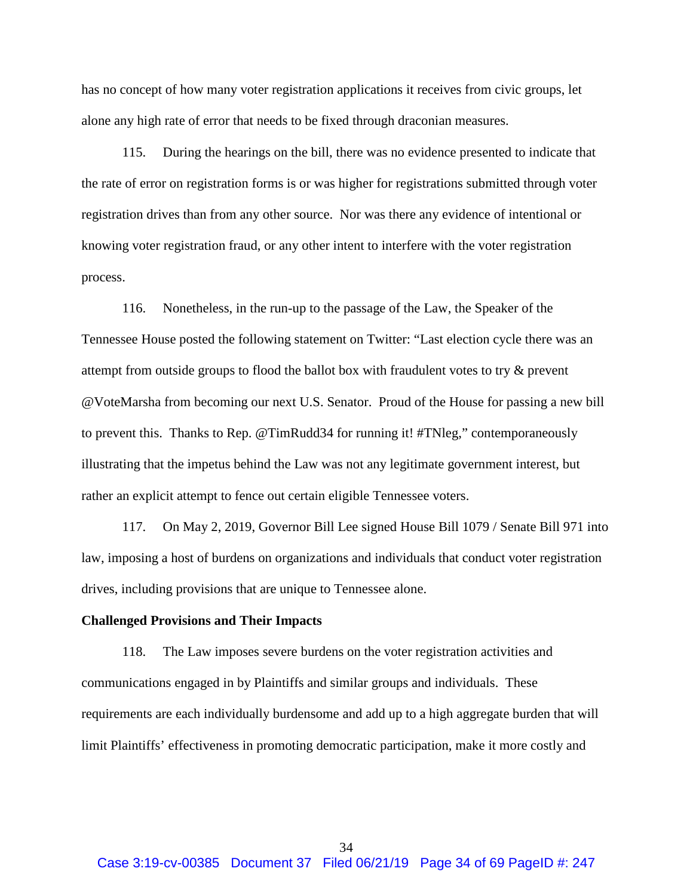has no concept of how many voter registration applications it receives from civic groups, let alone any high rate of error that needs to be fixed through draconian measures.

115. During the hearings on the bill, there was no evidence presented to indicate that the rate of error on registration forms is or was higher for registrations submitted through voter registration drives than from any other source. Nor was there any evidence of intentional or knowing voter registration fraud, or any other intent to interfere with the voter registration process.

116. Nonetheless, in the run-up to the passage of the Law, the Speaker of the Tennessee House posted the following statement on Twitter: "Last election cycle there was an attempt from outside groups to flood the ballot box with fraudulent votes to try & prevent @VoteMarsha from becoming our next U.S. Senator. Proud of the House for passing a new bill to prevent this. Thanks to Rep. @TimRudd34 for running it! #TNleg," contemporaneously illustrating that the impetus behind the Law was not any legitimate government interest, but rather an explicit attempt to fence out certain eligible Tennessee voters.

117. On May 2, 2019, Governor Bill Lee signed House Bill 1079 / Senate Bill 971 into law, imposing a host of burdens on organizations and individuals that conduct voter registration drives, including provisions that are unique to Tennessee alone.

#### **Challenged Provisions and Their Impacts**

118. The Law imposes severe burdens on the voter registration activities and communications engaged in by Plaintiffs and similar groups and individuals. These requirements are each individually burdensome and add up to a high aggregate burden that will limit Plaintiffs' effectiveness in promoting democratic participation, make it more costly and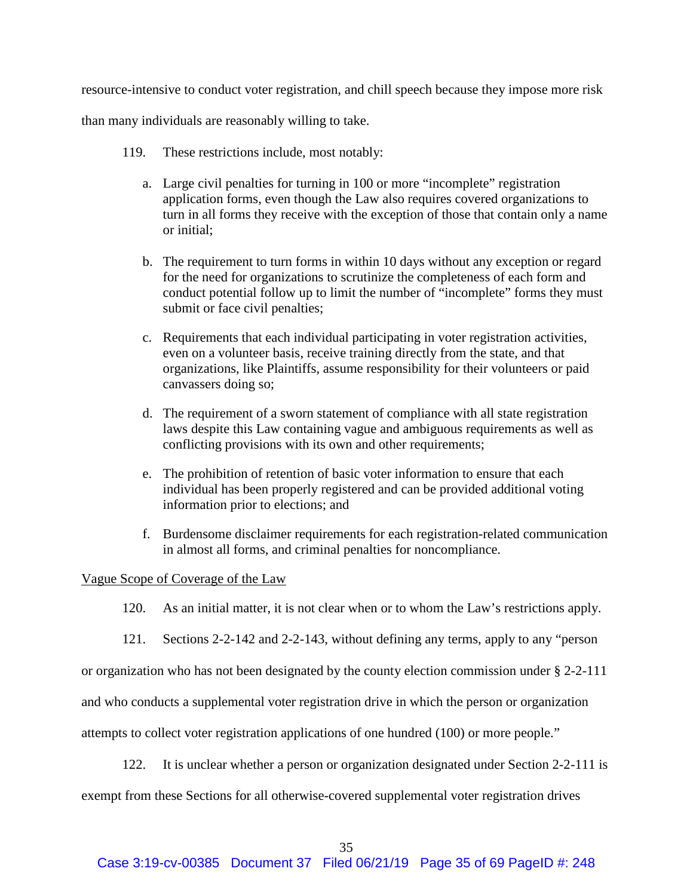resource-intensive to conduct voter registration, and chill speech because they impose more risk

than many individuals are reasonably willing to take.

- 119. These restrictions include, most notably:
	- a. Large civil penalties for turning in 100 or more "incomplete" registration application forms, even though the Law also requires covered organizations to turn in all forms they receive with the exception of those that contain only a name or initial;
	- b. The requirement to turn forms in within 10 days without any exception or regard for the need for organizations to scrutinize the completeness of each form and conduct potential follow up to limit the number of "incomplete" forms they must submit or face civil penalties;
	- c. Requirements that each individual participating in voter registration activities, even on a volunteer basis, receive training directly from the state, and that organizations, like Plaintiffs, assume responsibility for their volunteers or paid canvassers doing so;
	- d. The requirement of a sworn statement of compliance with all state registration laws despite this Law containing vague and ambiguous requirements as well as conflicting provisions with its own and other requirements;
	- e. The prohibition of retention of basic voter information to ensure that each individual has been properly registered and can be provided additional voting information prior to elections; and
	- f. Burdensome disclaimer requirements for each registration-related communication in almost all forms, and criminal penalties for noncompliance.

# Vague Scope of Coverage of the Law

- 120. As an initial matter, it is not clear when or to whom the Law's restrictions apply.
- 121. Sections 2-2-142 and 2-2-143, without defining any terms, apply to any "person

or organization who has not been designated by the county election commission under § 2-2-111

and who conducts a supplemental voter registration drive in which the person or organization

attempts to collect voter registration applications of one hundred (100) or more people."

122. It is unclear whether a person or organization designated under Section 2-2-111 is

exempt from these Sections for all otherwise-covered supplemental voter registration drives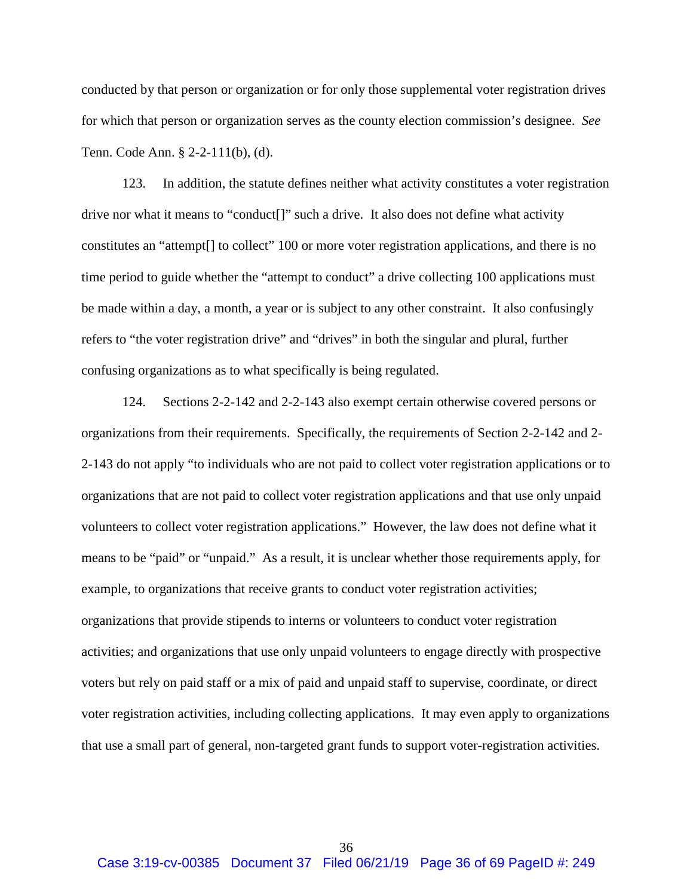conducted by that person or organization or for only those supplemental voter registration drives for which that person or organization serves as the county election commission's designee. *See*  Tenn. Code Ann. § 2-2-111(b), (d).

123. In addition, the statute defines neither what activity constitutes a voter registration drive nor what it means to "conduct[]" such a drive. It also does not define what activity constitutes an "attempt[] to collect" 100 or more voter registration applications, and there is no time period to guide whether the "attempt to conduct" a drive collecting 100 applications must be made within a day, a month, a year or is subject to any other constraint. It also confusingly refers to "the voter registration drive" and "drives" in both the singular and plural, further confusing organizations as to what specifically is being regulated.

124. Sections 2-2-142 and 2-2-143 also exempt certain otherwise covered persons or organizations from their requirements. Specifically, the requirements of Section 2-2-142 and 2- 2-143 do not apply "to individuals who are not paid to collect voter registration applications or to organizations that are not paid to collect voter registration applications and that use only unpaid volunteers to collect voter registration applications." However, the law does not define what it means to be "paid" or "unpaid." As a result, it is unclear whether those requirements apply, for example, to organizations that receive grants to conduct voter registration activities; organizations that provide stipends to interns or volunteers to conduct voter registration activities; and organizations that use only unpaid volunteers to engage directly with prospective voters but rely on paid staff or a mix of paid and unpaid staff to supervise, coordinate, or direct voter registration activities, including collecting applications. It may even apply to organizations that use a small part of general, non-targeted grant funds to support voter-registration activities.

36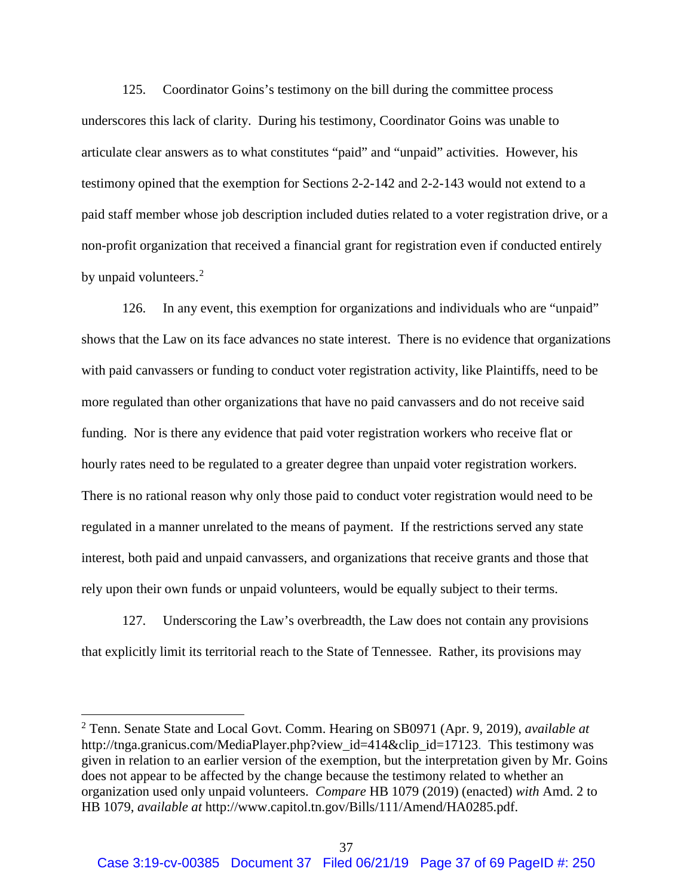125. Coordinator Goins's testimony on the bill during the committee process underscores this lack of clarity. During his testimony, Coordinator Goins was unable to articulate clear answers as to what constitutes "paid" and "unpaid" activities. However, his testimony opined that the exemption for Sections 2-2-142 and 2-2-143 would not extend to a paid staff member whose job description included duties related to a voter registration drive, or a non-profit organization that received a financial grant for registration even if conducted entirely by unpaid volunteers.<sup>[2](#page-36-0)</sup>

126. In any event, this exemption for organizations and individuals who are "unpaid" shows that the Law on its face advances no state interest. There is no evidence that organizations with paid canvassers or funding to conduct voter registration activity, like Plaintiffs, need to be more regulated than other organizations that have no paid canvassers and do not receive said funding. Nor is there any evidence that paid voter registration workers who receive flat or hourly rates need to be regulated to a greater degree than unpaid voter registration workers. There is no rational reason why only those paid to conduct voter registration would need to be regulated in a manner unrelated to the means of payment. If the restrictions served any state interest, both paid and unpaid canvassers, and organizations that receive grants and those that rely upon their own funds or unpaid volunteers, would be equally subject to their terms.

127. Underscoring the Law's overbreadth, the Law does not contain any provisions that explicitly limit its territorial reach to the State of Tennessee. Rather, its provisions may

<span id="page-36-0"></span> <sup>2</sup> Tenn. Senate State and Local Govt. Comm. Hearing on SB0971 (Apr. 9, 2019), *available at* http://tnga.granicus.com/MediaPlayer.php?view\_id=414&clip\_id=17123. This testimony was given in relation to an earlier version of the exemption, but the interpretation given by Mr. Goins does not appear to be affected by the change because the testimony related to whether an organization used only unpaid volunteers. *Compare* HB 1079 (2019) (enacted) *with* Amd. 2 to HB 1079, *available at* http://www.capitol.tn.gov/Bills/111/Amend/HA0285.pdf.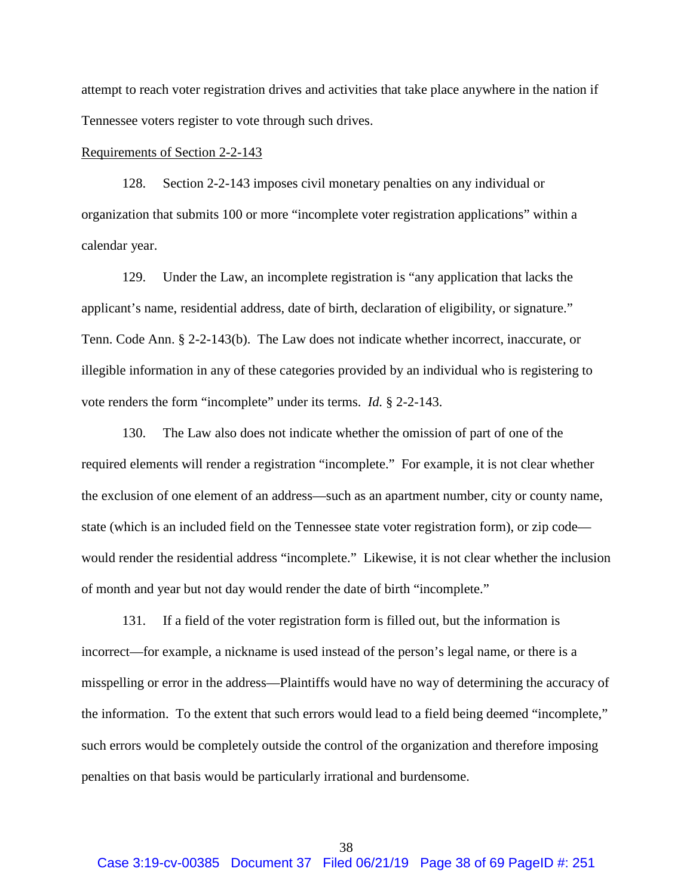attempt to reach voter registration drives and activities that take place anywhere in the nation if Tennessee voters register to vote through such drives.

## Requirements of Section 2-2-143

128. Section 2-2-143 imposes civil monetary penalties on any individual or organization that submits 100 or more "incomplete voter registration applications" within a calendar year.

129. Under the Law, an incomplete registration is "any application that lacks the applicant's name, residential address, date of birth, declaration of eligibility, or signature." Tenn. Code Ann. § 2-2-143(b). The Law does not indicate whether incorrect, inaccurate, or illegible information in any of these categories provided by an individual who is registering to vote renders the form "incomplete" under its terms. *Id.* § 2-2-143.

130. The Law also does not indicate whether the omission of part of one of the required elements will render a registration "incomplete." For example, it is not clear whether the exclusion of one element of an address—such as an apartment number, city or county name, state (which is an included field on the Tennessee state voter registration form), or zip code would render the residential address "incomplete." Likewise, it is not clear whether the inclusion of month and year but not day would render the date of birth "incomplete."

131. If a field of the voter registration form is filled out, but the information is incorrect—for example, a nickname is used instead of the person's legal name, or there is a misspelling or error in the address—Plaintiffs would have no way of determining the accuracy of the information. To the extent that such errors would lead to a field being deemed "incomplete," such errors would be completely outside the control of the organization and therefore imposing penalties on that basis would be particularly irrational and burdensome.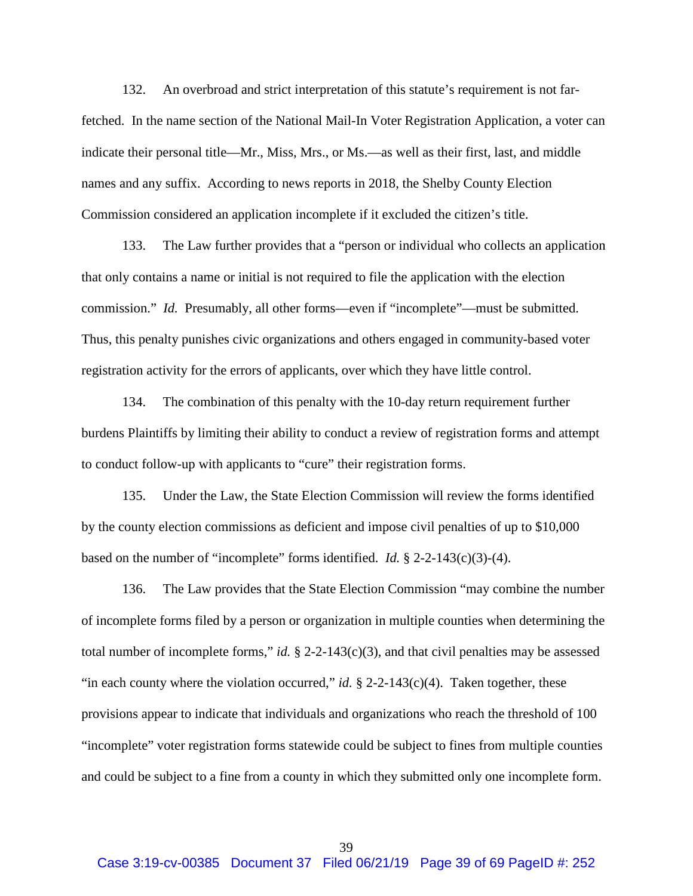132. An overbroad and strict interpretation of this statute's requirement is not farfetched. In the name section of the National Mail-In Voter Registration Application, a voter can indicate their personal title—Mr., Miss, Mrs., or Ms.—as well as their first, last, and middle names and any suffix. According to news reports in 2018, the Shelby County Election Commission considered an application incomplete if it excluded the citizen's title.

133. The Law further provides that a "person or individual who collects an application that only contains a name or initial is not required to file the application with the election commission." *Id.* Presumably, all other forms—even if "incomplete"—must be submitted. Thus, this penalty punishes civic organizations and others engaged in community-based voter registration activity for the errors of applicants, over which they have little control.

134. The combination of this penalty with the 10-day return requirement further burdens Plaintiffs by limiting their ability to conduct a review of registration forms and attempt to conduct follow-up with applicants to "cure" their registration forms.

135. Under the Law, the State Election Commission will review the forms identified by the county election commissions as deficient and impose civil penalties of up to \$10,000 based on the number of "incomplete" forms identified. *Id.* § 2-2-143(c)(3)-(4).

136. The Law provides that the State Election Commission "may combine the number of incomplete forms filed by a person or organization in multiple counties when determining the total number of incomplete forms," *id.*  $\S$  2-2-143(c)(3), and that civil penalties may be assessed "in each county where the violation occurred," *id.*  $\S$  2-2-143(c)(4). Taken together, these provisions appear to indicate that individuals and organizations who reach the threshold of 100 "incomplete" voter registration forms statewide could be subject to fines from multiple counties and could be subject to a fine from a county in which they submitted only one incomplete form.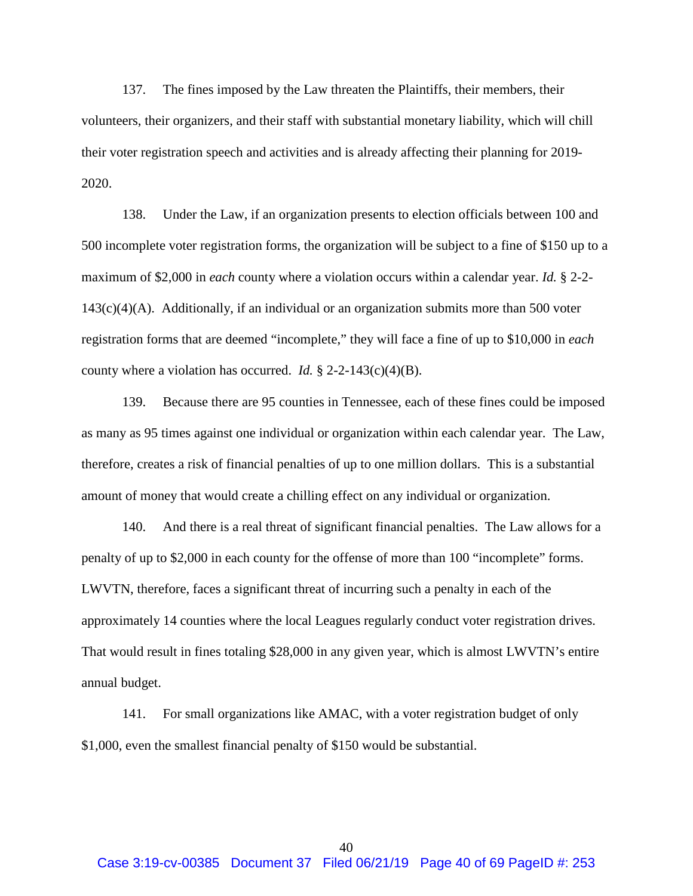137. The fines imposed by the Law threaten the Plaintiffs, their members, their volunteers, their organizers, and their staff with substantial monetary liability, which will chill their voter registration speech and activities and is already affecting their planning for 2019- 2020.

138. Under the Law, if an organization presents to election officials between 100 and 500 incomplete voter registration forms, the organization will be subject to a fine of \$150 up to a maximum of \$2,000 in *each* county where a violation occurs within a calendar year. *Id.* § 2-2-  $143(c)(4)(A)$ . Additionally, if an individual or an organization submits more than 500 voter registration forms that are deemed "incomplete," they will face a fine of up to \$10,000 in *each* county where a violation has occurred. *Id.* § 2-2-143(c)(4)(B).

139. Because there are 95 counties in Tennessee, each of these fines could be imposed as many as 95 times against one individual or organization within each calendar year. The Law, therefore, creates a risk of financial penalties of up to one million dollars. This is a substantial amount of money that would create a chilling effect on any individual or organization.

140. And there is a real threat of significant financial penalties. The Law allows for a penalty of up to \$2,000 in each county for the offense of more than 100 "incomplete" forms. LWVTN, therefore, faces a significant threat of incurring such a penalty in each of the approximately 14 counties where the local Leagues regularly conduct voter registration drives. That would result in fines totaling \$28,000 in any given year, which is almost LWVTN's entire annual budget.

141. For small organizations like AMAC, with a voter registration budget of only \$1,000, even the smallest financial penalty of \$150 would be substantial.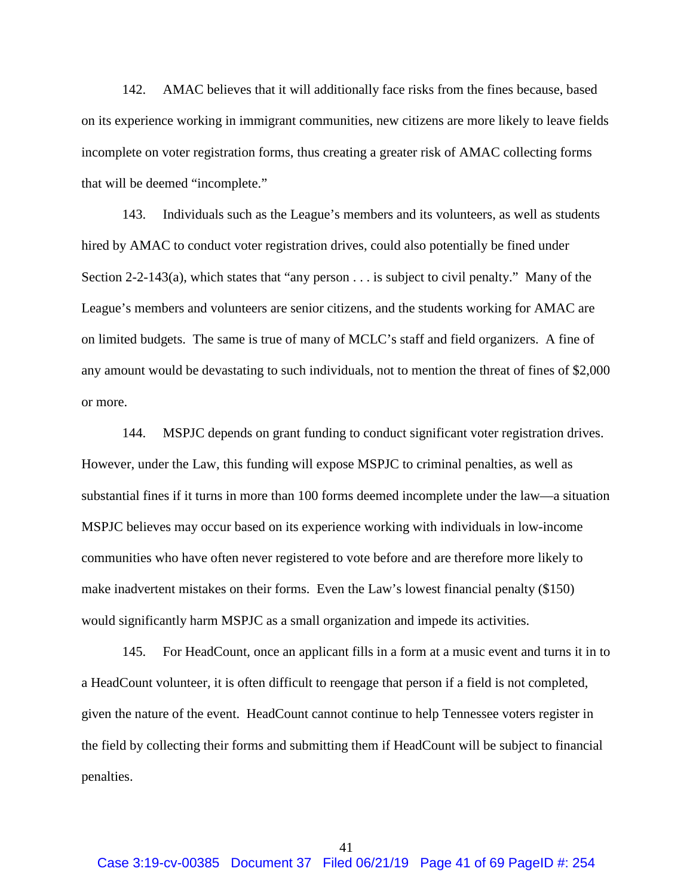142. AMAC believes that it will additionally face risks from the fines because, based on its experience working in immigrant communities, new citizens are more likely to leave fields incomplete on voter registration forms, thus creating a greater risk of AMAC collecting forms that will be deemed "incomplete."

143. Individuals such as the League's members and its volunteers, as well as students hired by AMAC to conduct voter registration drives, could also potentially be fined under Section 2-2-143(a), which states that "any person . . . is subject to civil penalty." Many of the League's members and volunteers are senior citizens, and the students working for AMAC are on limited budgets. The same is true of many of MCLC's staff and field organizers. A fine of any amount would be devastating to such individuals, not to mention the threat of fines of \$2,000 or more.

144. MSPJC depends on grant funding to conduct significant voter registration drives. However, under the Law, this funding will expose MSPJC to criminal penalties, as well as substantial fines if it turns in more than 100 forms deemed incomplete under the law—a situation MSPJC believes may occur based on its experience working with individuals in low-income communities who have often never registered to vote before and are therefore more likely to make inadvertent mistakes on their forms. Even the Law's lowest financial penalty (\$150) would significantly harm MSPJC as a small organization and impede its activities.

145. For HeadCount, once an applicant fills in a form at a music event and turns it in to a HeadCount volunteer, it is often difficult to reengage that person if a field is not completed, given the nature of the event. HeadCount cannot continue to help Tennessee voters register in the field by collecting their forms and submitting them if HeadCount will be subject to financial penalties.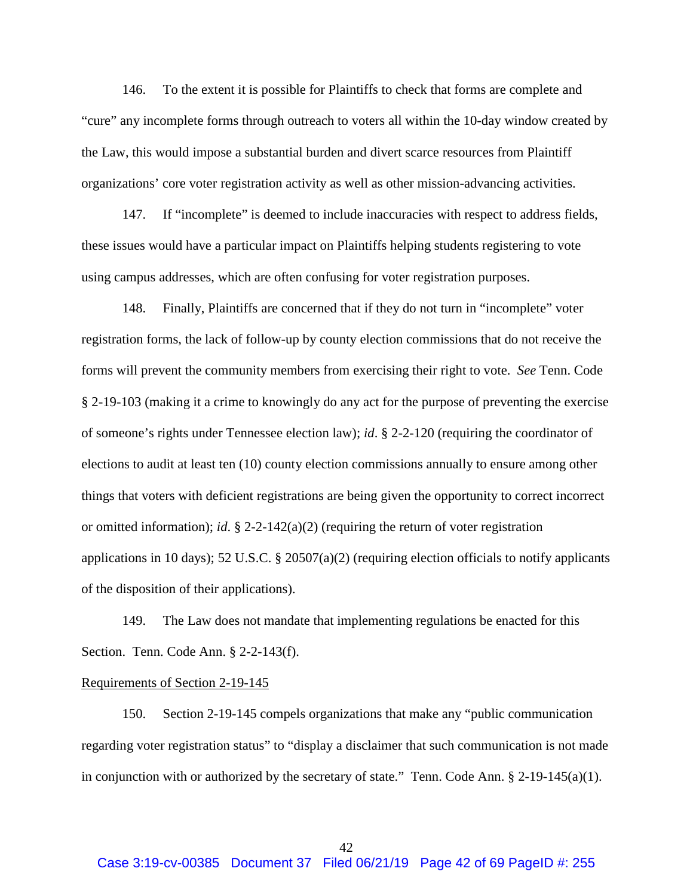146. To the extent it is possible for Plaintiffs to check that forms are complete and "cure" any incomplete forms through outreach to voters all within the 10-day window created by the Law, this would impose a substantial burden and divert scarce resources from Plaintiff organizations' core voter registration activity as well as other mission-advancing activities.

147. If "incomplete" is deemed to include inaccuracies with respect to address fields, these issues would have a particular impact on Plaintiffs helping students registering to vote using campus addresses, which are often confusing for voter registration purposes.

148. Finally, Plaintiffs are concerned that if they do not turn in "incomplete" voter registration forms, the lack of follow-up by county election commissions that do not receive the forms will prevent the community members from exercising their right to vote. *See* Tenn. Code § 2-19-103 (making it a crime to knowingly do any act for the purpose of preventing the exercise of someone's rights under Tennessee election law); *id*. § 2-2-120 (requiring the coordinator of elections to audit at least ten (10) county election commissions annually to ensure among other things that voters with deficient registrations are being given the opportunity to correct incorrect or omitted information); *id*. § 2-2-142(a)(2) (requiring the return of voter registration applications in 10 days); 52 U.S.C. § 20507(a)(2) (requiring election officials to notify applicants of the disposition of their applications).

149. The Law does not mandate that implementing regulations be enacted for this Section. Tenn. Code Ann. § 2-2-143(f).

#### Requirements of Section 2-19-145

150. Section 2-19-145 compels organizations that make any "public communication regarding voter registration status" to "display a disclaimer that such communication is not made in conjunction with or authorized by the secretary of state." Tenn. Code Ann.  $\S 2$ -19-145(a)(1).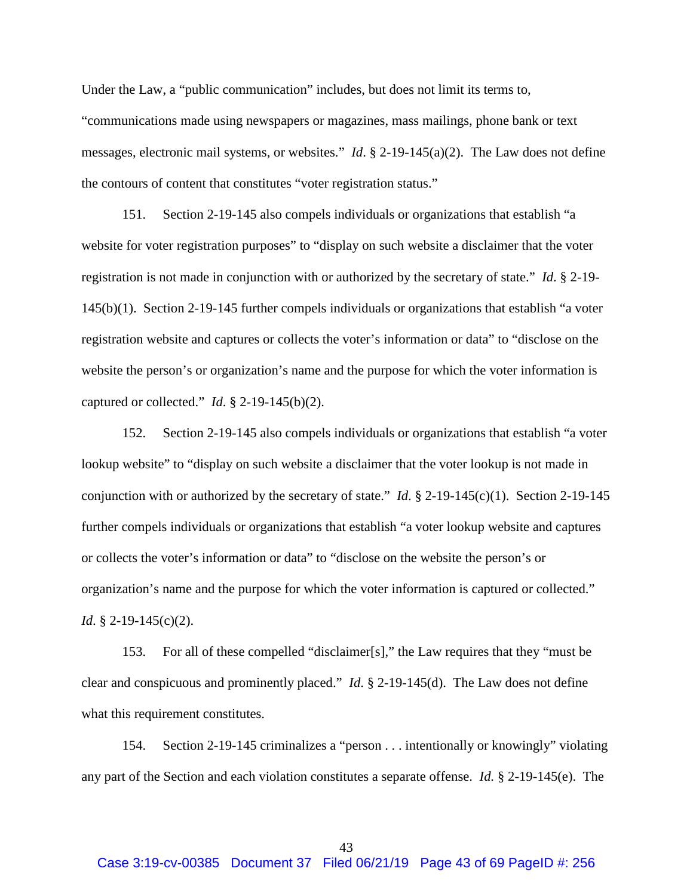Under the Law, a "public communication" includes, but does not limit its terms to, "communications made using newspapers or magazines, mass mailings, phone bank or text messages, electronic mail systems, or websites." *Id*. § 2-19-145(a)(2). The Law does not define the contours of content that constitutes "voter registration status."

151. Section 2-19-145 also compels individuals or organizations that establish "a website for voter registration purposes" to "display on such website a disclaimer that the voter registration is not made in conjunction with or authorized by the secretary of state." *Id*. § 2-19- 145(b)(1). Section 2-19-145 further compels individuals or organizations that establish "a voter registration website and captures or collects the voter's information or data" to "disclose on the website the person's or organization's name and the purpose for which the voter information is captured or collected." *Id*. § 2-19-145(b)(2).

152. Section 2-19-145 also compels individuals or organizations that establish "a voter lookup website" to "display on such website a disclaimer that the voter lookup is not made in conjunction with or authorized by the secretary of state." *Id*. § 2-19-145(c)(1). Section 2-19-145 further compels individuals or organizations that establish "a voter lookup website and captures or collects the voter's information or data" to "disclose on the website the person's or organization's name and the purpose for which the voter information is captured or collected." *Id.* § 2-19-145(c)(2).

153. For all of these compelled "disclaimer[s]," the Law requires that they "must be clear and conspicuous and prominently placed." *Id*. § 2-19-145(d). The Law does not define what this requirement constitutes.

154. Section 2-19-145 criminalizes a "person . . . intentionally or knowingly" violating any part of the Section and each violation constitutes a separate offense. *Id.* § 2-19-145(e). The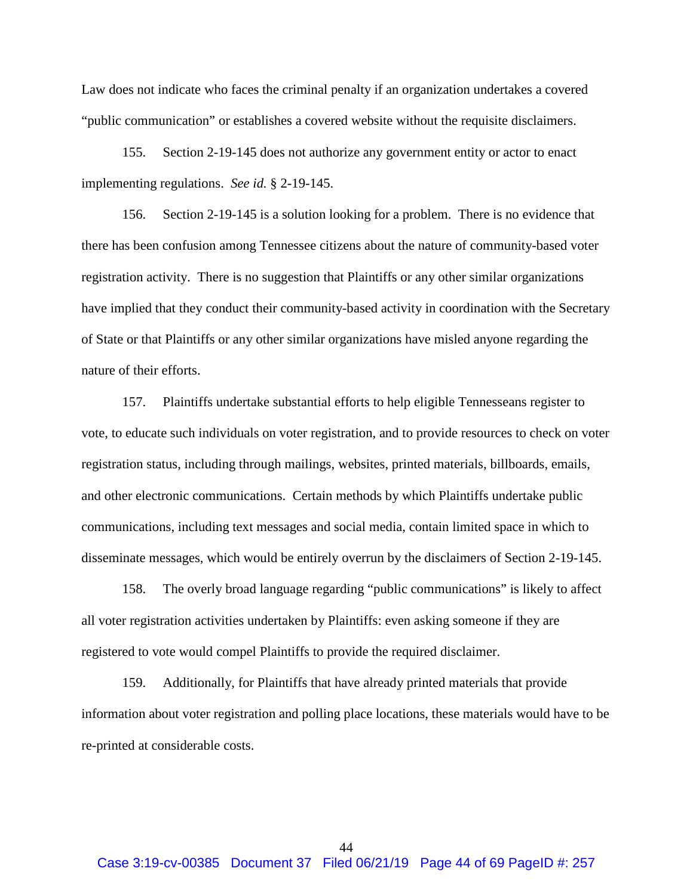Law does not indicate who faces the criminal penalty if an organization undertakes a covered "public communication" or establishes a covered website without the requisite disclaimers.

155. Section 2-19-145 does not authorize any government entity or actor to enact implementing regulations. *See id.* § 2-19-145.

156. Section 2-19-145 is a solution looking for a problem. There is no evidence that there has been confusion among Tennessee citizens about the nature of community-based voter registration activity. There is no suggestion that Plaintiffs or any other similar organizations have implied that they conduct their community-based activity in coordination with the Secretary of State or that Plaintiffs or any other similar organizations have misled anyone regarding the nature of their efforts.

157. Plaintiffs undertake substantial efforts to help eligible Tennesseans register to vote, to educate such individuals on voter registration, and to provide resources to check on voter registration status, including through mailings, websites, printed materials, billboards, emails, and other electronic communications. Certain methods by which Plaintiffs undertake public communications, including text messages and social media, contain limited space in which to disseminate messages, which would be entirely overrun by the disclaimers of Section 2-19-145.

158. The overly broad language regarding "public communications" is likely to affect all voter registration activities undertaken by Plaintiffs: even asking someone if they are registered to vote would compel Plaintiffs to provide the required disclaimer.

159. Additionally, for Plaintiffs that have already printed materials that provide information about voter registration and polling place locations, these materials would have to be re-printed at considerable costs.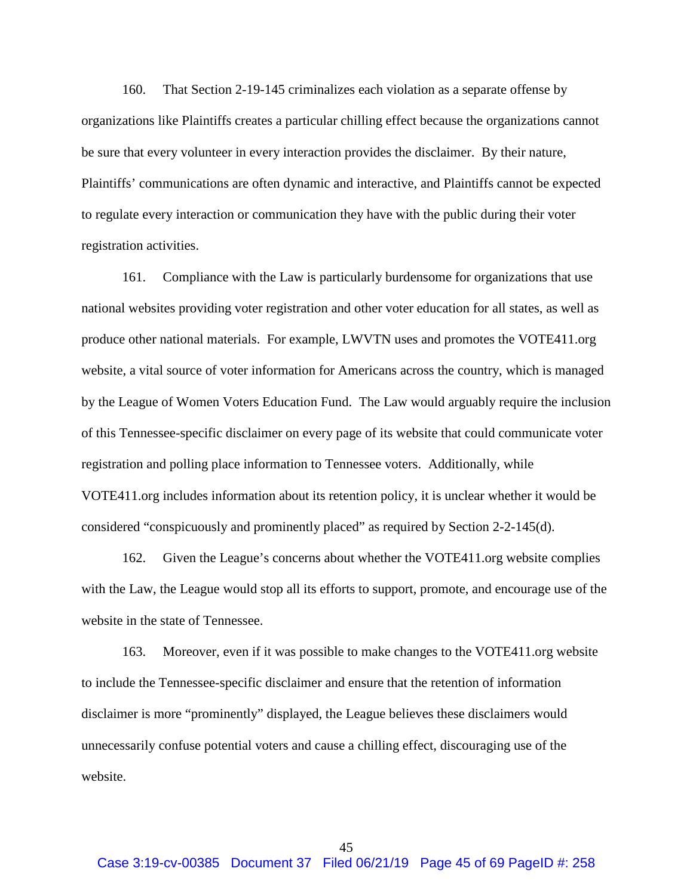160. That Section 2-19-145 criminalizes each violation as a separate offense by organizations like Plaintiffs creates a particular chilling effect because the organizations cannot be sure that every volunteer in every interaction provides the disclaimer. By their nature, Plaintiffs' communications are often dynamic and interactive, and Plaintiffs cannot be expected to regulate every interaction or communication they have with the public during their voter registration activities.

161. Compliance with the Law is particularly burdensome for organizations that use national websites providing voter registration and other voter education for all states, as well as produce other national materials. For example, LWVTN uses and promotes the VOTE411.org website, a vital source of voter information for Americans across the country, which is managed by the League of Women Voters Education Fund. The Law would arguably require the inclusion of this Tennessee-specific disclaimer on every page of its website that could communicate voter registration and polling place information to Tennessee voters. Additionally, while VOTE411.org includes information about its retention policy, it is unclear whether it would be considered "conspicuously and prominently placed" as required by Section 2-2-145(d).

162. Given the League's concerns about whether the VOTE411.org website complies with the Law, the League would stop all its efforts to support, promote, and encourage use of the website in the state of Tennessee.

163. Moreover, even if it was possible to make changes to the VOTE411.org website to include the Tennessee-specific disclaimer and ensure that the retention of information disclaimer is more "prominently" displayed, the League believes these disclaimers would unnecessarily confuse potential voters and cause a chilling effect, discouraging use of the website.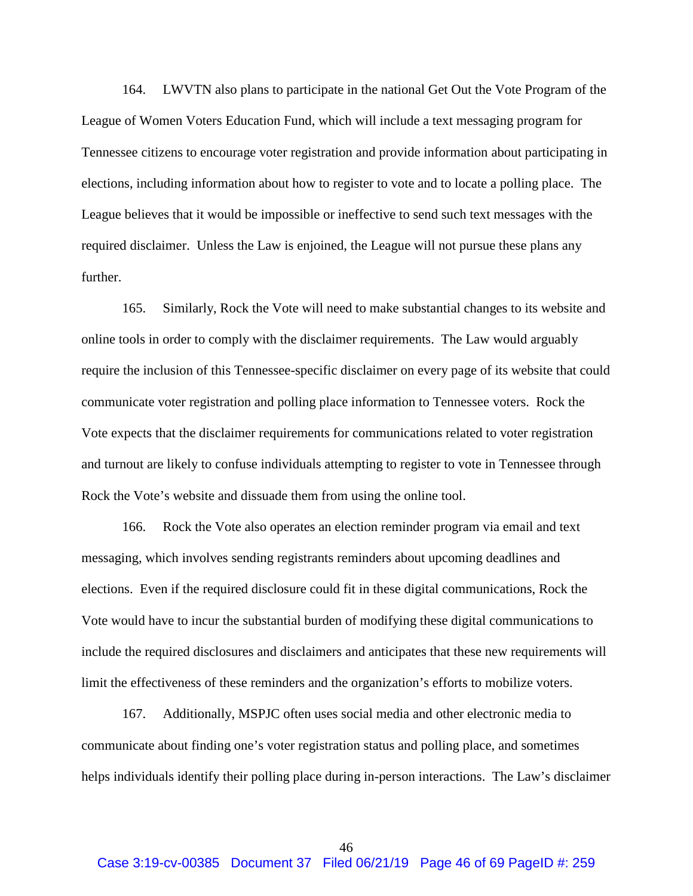164. LWVTN also plans to participate in the national Get Out the Vote Program of the League of Women Voters Education Fund, which will include a text messaging program for Tennessee citizens to encourage voter registration and provide information about participating in elections, including information about how to register to vote and to locate a polling place. The League believes that it would be impossible or ineffective to send such text messages with the required disclaimer. Unless the Law is enjoined, the League will not pursue these plans any further.

165. Similarly, Rock the Vote will need to make substantial changes to its website and online tools in order to comply with the disclaimer requirements. The Law would arguably require the inclusion of this Tennessee-specific disclaimer on every page of its website that could communicate voter registration and polling place information to Tennessee voters. Rock the Vote expects that the disclaimer requirements for communications related to voter registration and turnout are likely to confuse individuals attempting to register to vote in Tennessee through Rock the Vote's website and dissuade them from using the online tool.

166. Rock the Vote also operates an election reminder program via email and text messaging, which involves sending registrants reminders about upcoming deadlines and elections. Even if the required disclosure could fit in these digital communications, Rock the Vote would have to incur the substantial burden of modifying these digital communications to include the required disclosures and disclaimers and anticipates that these new requirements will limit the effectiveness of these reminders and the organization's efforts to mobilize voters.

167. Additionally, MSPJC often uses social media and other electronic media to communicate about finding one's voter registration status and polling place, and sometimes helps individuals identify their polling place during in-person interactions. The Law's disclaimer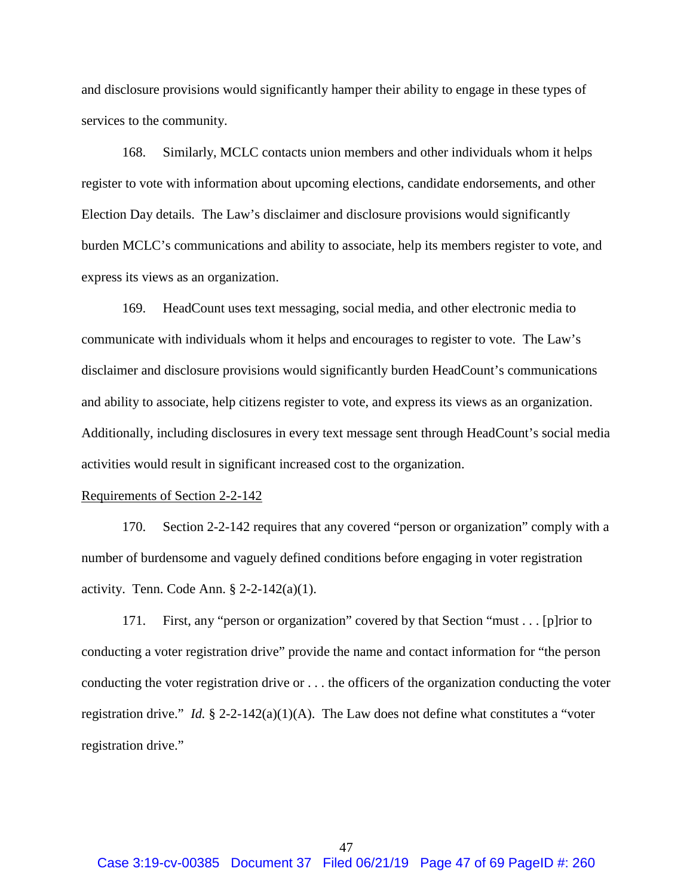and disclosure provisions would significantly hamper their ability to engage in these types of services to the community.

168. Similarly, MCLC contacts union members and other individuals whom it helps register to vote with information about upcoming elections, candidate endorsements, and other Election Day details. The Law's disclaimer and disclosure provisions would significantly burden MCLC's communications and ability to associate, help its members register to vote, and express its views as an organization.

169. HeadCount uses text messaging, social media, and other electronic media to communicate with individuals whom it helps and encourages to register to vote. The Law's disclaimer and disclosure provisions would significantly burden HeadCount's communications and ability to associate, help citizens register to vote, and express its views as an organization. Additionally, including disclosures in every text message sent through HeadCount's social media activities would result in significant increased cost to the organization.

#### Requirements of Section 2-2-142

170. Section 2-2-142 requires that any covered "person or organization" comply with a number of burdensome and vaguely defined conditions before engaging in voter registration activity. Tenn. Code Ann.  $\S$  2-2-142(a)(1).

171. First, any "person or organization" covered by that Section "must . . . [p]rior to conducting a voter registration drive" provide the name and contact information for "the person conducting the voter registration drive or . . . the officers of the organization conducting the voter registration drive." *Id.* § 2-2-142(a)(1)(A). The Law does not define what constitutes a "voter registration drive."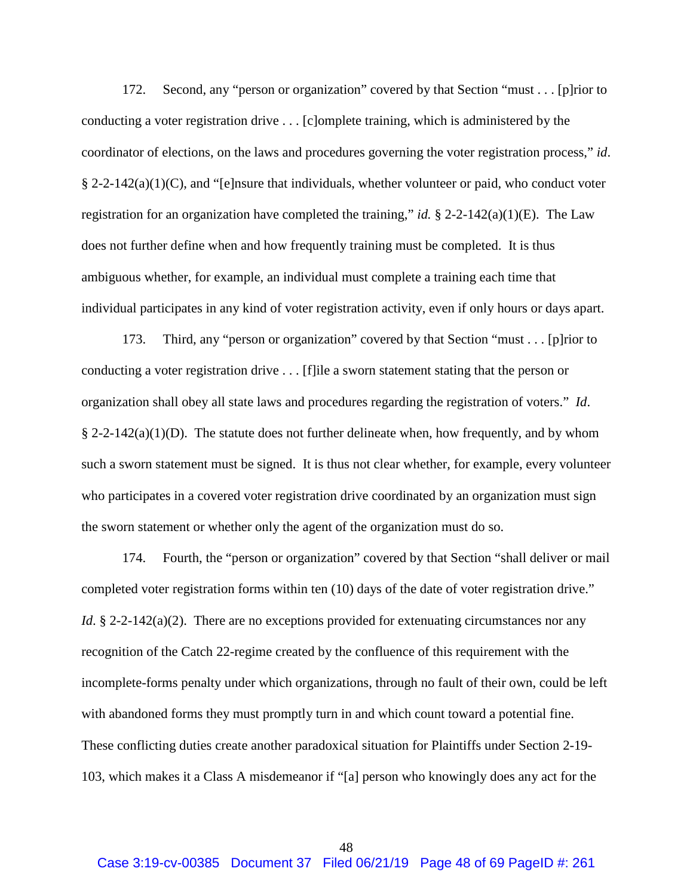172. Second, any "person or organization" covered by that Section "must . . . [p]rior to conducting a voter registration drive . . . [c]omplete training, which is administered by the coordinator of elections, on the laws and procedures governing the voter registration process," *id*.  $\S 2-2-142(a)(1)(C)$ , and "[e]nsure that individuals, whether volunteer or paid, who conduct voter registration for an organization have completed the training," *id.* § 2-2-142(a)(1)(E). The Law does not further define when and how frequently training must be completed. It is thus ambiguous whether, for example, an individual must complete a training each time that individual participates in any kind of voter registration activity, even if only hours or days apart.

173. Third, any "person or organization" covered by that Section "must . . . [p]rior to conducting a voter registration drive . . . [f]ile a sworn statement stating that the person or organization shall obey all state laws and procedures regarding the registration of voters." *Id*.  $\S 2-2-142(a)(1)(D)$ . The statute does not further delineate when, how frequently, and by whom such a sworn statement must be signed. It is thus not clear whether, for example, every volunteer who participates in a covered voter registration drive coordinated by an organization must sign the sworn statement or whether only the agent of the organization must do so.

174. Fourth, the "person or organization" covered by that Section "shall deliver or mail completed voter registration forms within ten (10) days of the date of voter registration drive." *Id*. § 2-2-142(a)(2). There are no exceptions provided for extenuating circumstances nor any recognition of the Catch 22-regime created by the confluence of this requirement with the incomplete-forms penalty under which organizations, through no fault of their own, could be left with abandoned forms they must promptly turn in and which count toward a potential fine. These conflicting duties create another paradoxical situation for Plaintiffs under Section 2-19- 103, which makes it a Class A misdemeanor if "[a] person who knowingly does any act for the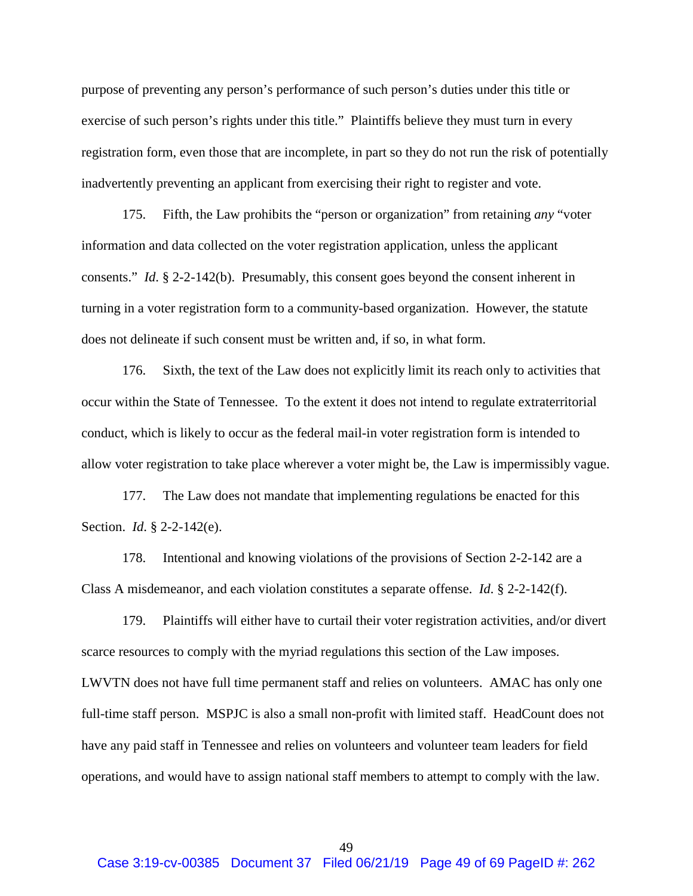purpose of preventing any person's performance of such person's duties under this title or exercise of such person's rights under this title." Plaintiffs believe they must turn in every registration form, even those that are incomplete, in part so they do not run the risk of potentially inadvertently preventing an applicant from exercising their right to register and vote.

175. Fifth, the Law prohibits the "person or organization" from retaining *any* "voter information and data collected on the voter registration application, unless the applicant consents." *Id*. § 2-2-142(b). Presumably, this consent goes beyond the consent inherent in turning in a voter registration form to a community-based organization. However, the statute does not delineate if such consent must be written and, if so, in what form.

176. Sixth, the text of the Law does not explicitly limit its reach only to activities that occur within the State of Tennessee. To the extent it does not intend to regulate extraterritorial conduct, which is likely to occur as the federal mail-in voter registration form is intended to allow voter registration to take place wherever a voter might be, the Law is impermissibly vague.

177. The Law does not mandate that implementing regulations be enacted for this Section. *Id*. § 2-2-142(e).

178. Intentional and knowing violations of the provisions of Section 2-2-142 are a Class A misdemeanor, and each violation constitutes a separate offense. *Id*. § 2-2-142(f).

179. Plaintiffs will either have to curtail their voter registration activities, and/or divert scarce resources to comply with the myriad regulations this section of the Law imposes. LWVTN does not have full time permanent staff and relies on volunteers. AMAC has only one full-time staff person. MSPJC is also a small non-profit with limited staff. HeadCount does not have any paid staff in Tennessee and relies on volunteers and volunteer team leaders for field operations, and would have to assign national staff members to attempt to comply with the law.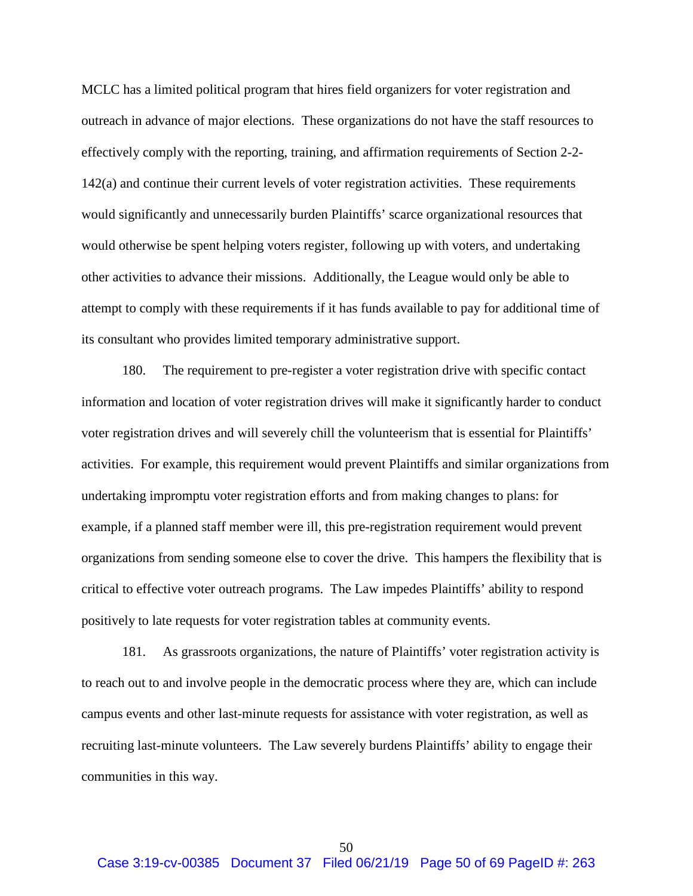MCLC has a limited political program that hires field organizers for voter registration and outreach in advance of major elections. These organizations do not have the staff resources to effectively comply with the reporting, training, and affirmation requirements of Section 2-2- 142(a) and continue their current levels of voter registration activities. These requirements would significantly and unnecessarily burden Plaintiffs' scarce organizational resources that would otherwise be spent helping voters register, following up with voters, and undertaking other activities to advance their missions. Additionally, the League would only be able to attempt to comply with these requirements if it has funds available to pay for additional time of its consultant who provides limited temporary administrative support.

180. The requirement to pre-register a voter registration drive with specific contact information and location of voter registration drives will make it significantly harder to conduct voter registration drives and will severely chill the volunteerism that is essential for Plaintiffs' activities. For example, this requirement would prevent Plaintiffs and similar organizations from undertaking impromptu voter registration efforts and from making changes to plans: for example, if a planned staff member were ill, this pre-registration requirement would prevent organizations from sending someone else to cover the drive. This hampers the flexibility that is critical to effective voter outreach programs. The Law impedes Plaintiffs' ability to respond positively to late requests for voter registration tables at community events.

181. As grassroots organizations, the nature of Plaintiffs' voter registration activity is to reach out to and involve people in the democratic process where they are, which can include campus events and other last-minute requests for assistance with voter registration, as well as recruiting last-minute volunteers. The Law severely burdens Plaintiffs' ability to engage their communities in this way.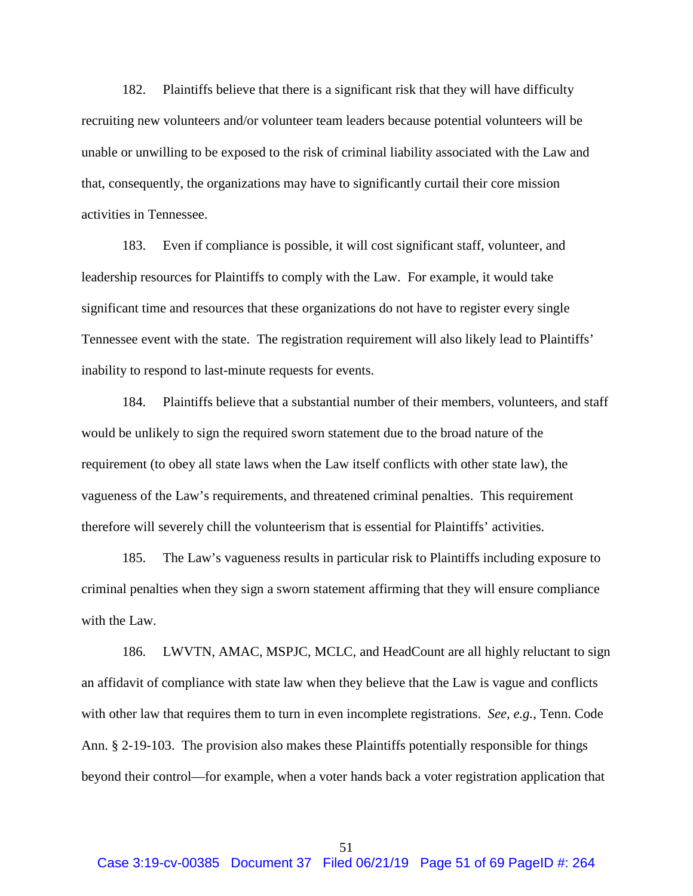182. Plaintiffs believe that there is a significant risk that they will have difficulty recruiting new volunteers and/or volunteer team leaders because potential volunteers will be unable or unwilling to be exposed to the risk of criminal liability associated with the Law and that, consequently, the organizations may have to significantly curtail their core mission activities in Tennessee.

183. Even if compliance is possible, it will cost significant staff, volunteer, and leadership resources for Plaintiffs to comply with the Law. For example, it would take significant time and resources that these organizations do not have to register every single Tennessee event with the state. The registration requirement will also likely lead to Plaintiffs' inability to respond to last-minute requests for events.

184. Plaintiffs believe that a substantial number of their members, volunteers, and staff would be unlikely to sign the required sworn statement due to the broad nature of the requirement (to obey all state laws when the Law itself conflicts with other state law), the vagueness of the Law's requirements, and threatened criminal penalties. This requirement therefore will severely chill the volunteerism that is essential for Plaintiffs' activities.

185. The Law's vagueness results in particular risk to Plaintiffs including exposure to criminal penalties when they sign a sworn statement affirming that they will ensure compliance with the Law.

186. LWVTN, AMAC, MSPJC, MCLC, and HeadCount are all highly reluctant to sign an affidavit of compliance with state law when they believe that the Law is vague and conflicts with other law that requires them to turn in even incomplete registrations. *See, e.g.*, Tenn. Code Ann. § 2-19-103. The provision also makes these Plaintiffs potentially responsible for things beyond their control—for example, when a voter hands back a voter registration application that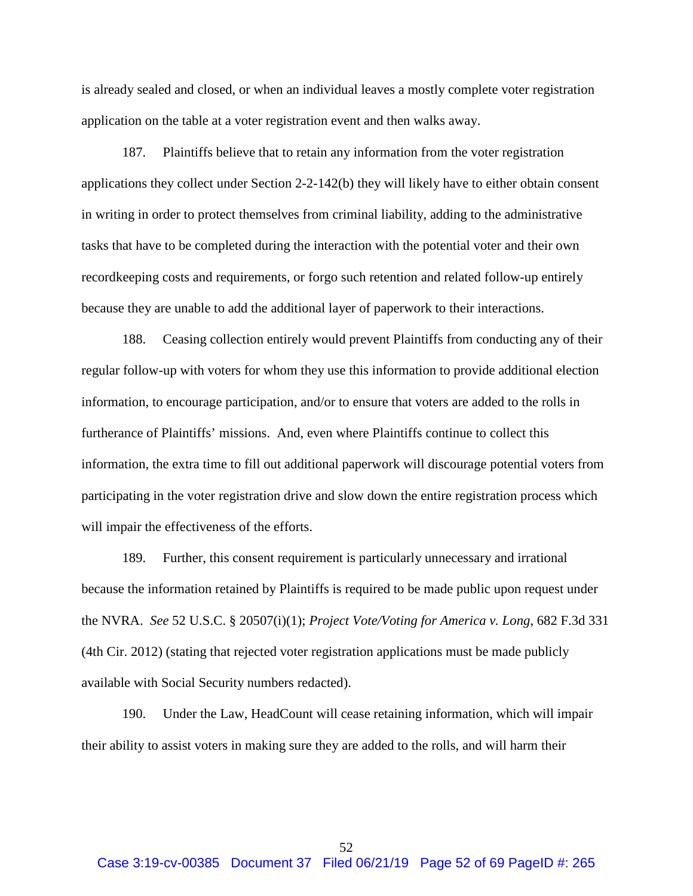is already sealed and closed, or when an individual leaves a mostly complete voter registration application on the table at a voter registration event and then walks away.

187. Plaintiffs believe that to retain any information from the voter registration applications they collect under Section 2-2-142(b) they will likely have to either obtain consent in writing in order to protect themselves from criminal liability, adding to the administrative tasks that have to be completed during the interaction with the potential voter and their own recordkeeping costs and requirements, or forgo such retention and related follow-up entirely because they are unable to add the additional layer of paperwork to their interactions.

188. Ceasing collection entirely would prevent Plaintiffs from conducting any of their regular follow-up with voters for whom they use this information to provide additional election information, to encourage participation, and/or to ensure that voters are added to the rolls in furtherance of Plaintiffs' missions. And, even where Plaintiffs continue to collect this information, the extra time to fill out additional paperwork will discourage potential voters from participating in the voter registration drive and slow down the entire registration process which will impair the effectiveness of the efforts.

189. Further, this consent requirement is particularly unnecessary and irrational because the information retained by Plaintiffs is required to be made public upon request under the NVRA. *See* 52 U.S.C. § 20507(i)(1); *Project Vote/Voting for America v. Long*, 682 F.3d 331 (4th Cir. 2012) (stating that rejected voter registration applications must be made publicly available with Social Security numbers redacted).

190. Under the Law, HeadCount will cease retaining information, which will impair their ability to assist voters in making sure they are added to the rolls, and will harm their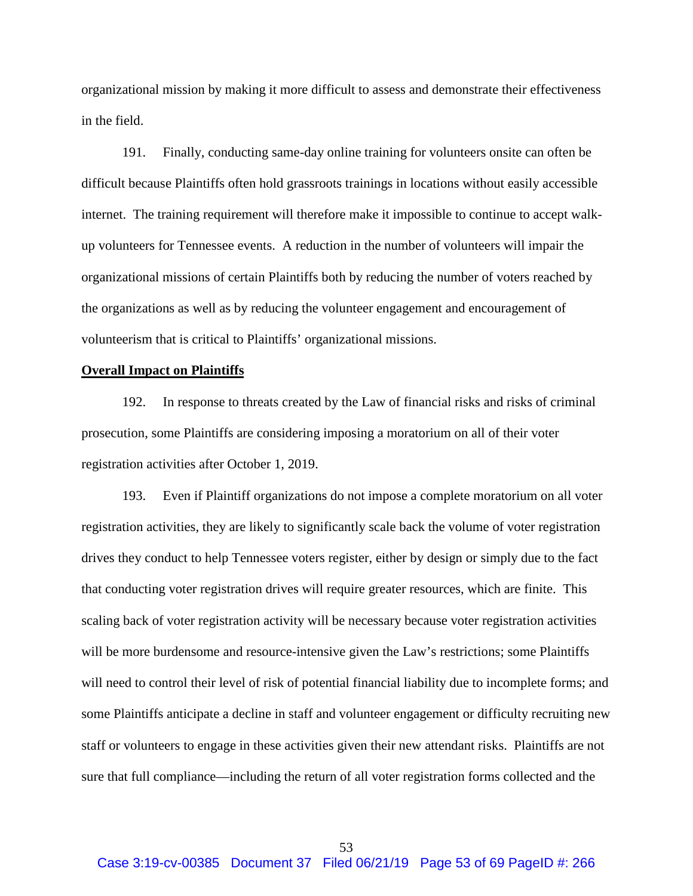organizational mission by making it more difficult to assess and demonstrate their effectiveness in the field.

191. Finally, conducting same-day online training for volunteers onsite can often be difficult because Plaintiffs often hold grassroots trainings in locations without easily accessible internet. The training requirement will therefore make it impossible to continue to accept walkup volunteers for Tennessee events. A reduction in the number of volunteers will impair the organizational missions of certain Plaintiffs both by reducing the number of voters reached by the organizations as well as by reducing the volunteer engagement and encouragement of volunteerism that is critical to Plaintiffs' organizational missions.

## **Overall Impact on Plaintiffs**

192. In response to threats created by the Law of financial risks and risks of criminal prosecution, some Plaintiffs are considering imposing a moratorium on all of their voter registration activities after October 1, 2019.

193. Even if Plaintiff organizations do not impose a complete moratorium on all voter registration activities, they are likely to significantly scale back the volume of voter registration drives they conduct to help Tennessee voters register, either by design or simply due to the fact that conducting voter registration drives will require greater resources, which are finite. This scaling back of voter registration activity will be necessary because voter registration activities will be more burdensome and resource-intensive given the Law's restrictions; some Plaintiffs will need to control their level of risk of potential financial liability due to incomplete forms; and some Plaintiffs anticipate a decline in staff and volunteer engagement or difficulty recruiting new staff or volunteers to engage in these activities given their new attendant risks. Plaintiffs are not sure that full compliance—including the return of all voter registration forms collected and the

53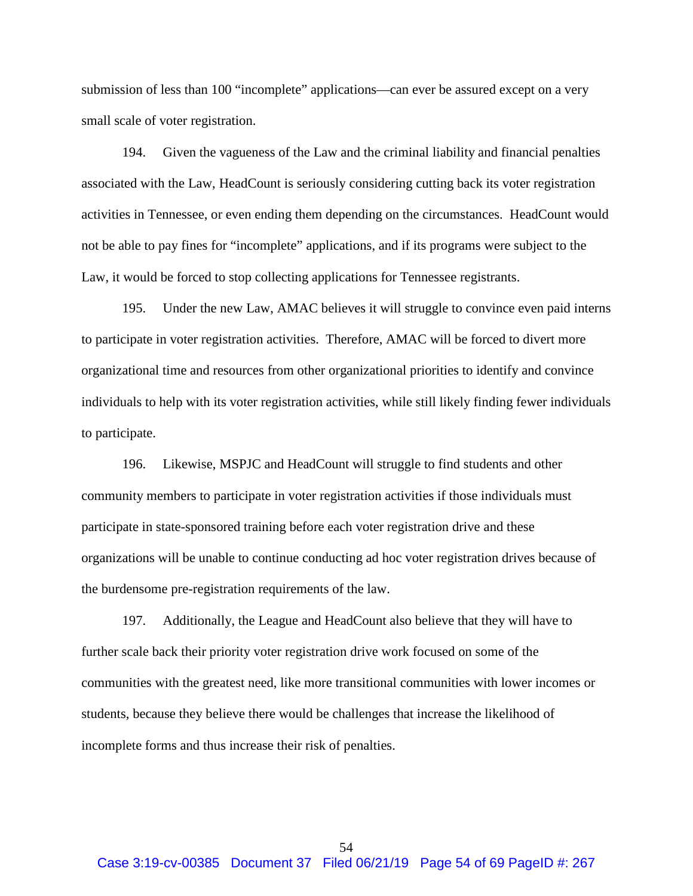submission of less than 100 "incomplete" applications—can ever be assured except on a very small scale of voter registration.

194. Given the vagueness of the Law and the criminal liability and financial penalties associated with the Law, HeadCount is seriously considering cutting back its voter registration activities in Tennessee, or even ending them depending on the circumstances. HeadCount would not be able to pay fines for "incomplete" applications, and if its programs were subject to the Law, it would be forced to stop collecting applications for Tennessee registrants.

195. Under the new Law, AMAC believes it will struggle to convince even paid interns to participate in voter registration activities. Therefore, AMAC will be forced to divert more organizational time and resources from other organizational priorities to identify and convince individuals to help with its voter registration activities, while still likely finding fewer individuals to participate.

196. Likewise, MSPJC and HeadCount will struggle to find students and other community members to participate in voter registration activities if those individuals must participate in state-sponsored training before each voter registration drive and these organizations will be unable to continue conducting ad hoc voter registration drives because of the burdensome pre-registration requirements of the law.

197. Additionally, the League and HeadCount also believe that they will have to further scale back their priority voter registration drive work focused on some of the communities with the greatest need, like more transitional communities with lower incomes or students, because they believe there would be challenges that increase the likelihood of incomplete forms and thus increase their risk of penalties.

54 Case 3:19-cv-00385 Document 37 Filed 06/21/19 Page 54 of 69 PageID #: 267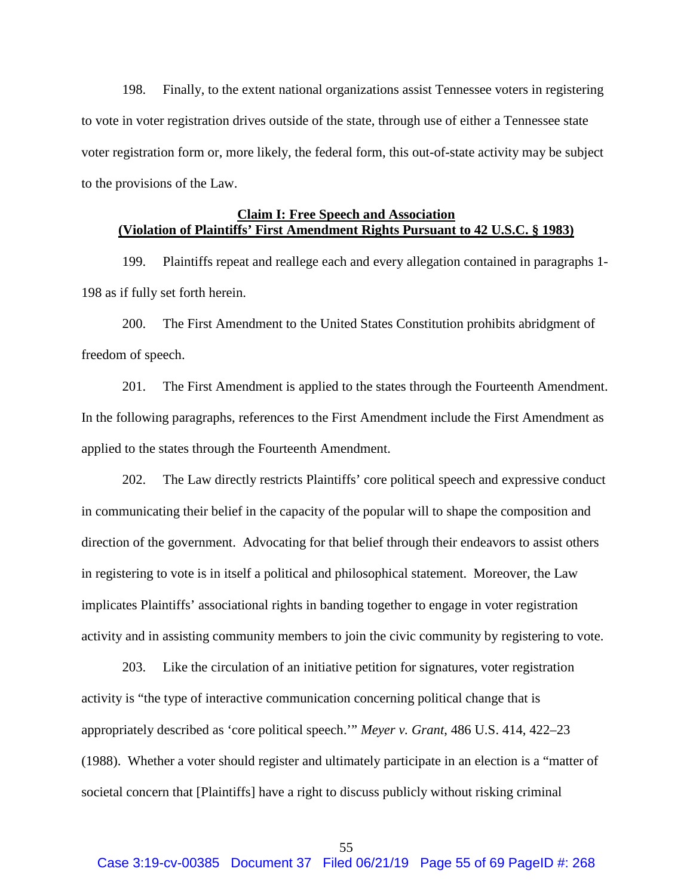<span id="page-54-0"></span>198. Finally, to the extent national organizations assist Tennessee voters in registering to vote in voter registration drives outside of the state, through use of either a Tennessee state voter registration form or, more likely, the federal form, this out-of-state activity may be subject to the provisions of the Law.

# **Claim I: Free Speech and Association (Violation of Plaintiffs' First Amendment Rights Pursuant to 42 U.S.C. § 1983)**

199. Plaintiffs repeat and reallege each and every allegation contained in paragraphs 1- [198](#page-54-0) as if fully set forth herein.

200. The First Amendment to the United States Constitution prohibits abridgment of freedom of speech.

201. The First Amendment is applied to the states through the Fourteenth Amendment. In the following paragraphs, references to the First Amendment include the First Amendment as applied to the states through the Fourteenth Amendment.

202. The Law directly restricts Plaintiffs' core political speech and expressive conduct in communicating their belief in the capacity of the popular will to shape the composition and direction of the government. Advocating for that belief through their endeavors to assist others in registering to vote is in itself a political and philosophical statement. Moreover, the Law implicates Plaintiffs' associational rights in banding together to engage in voter registration activity and in assisting community members to join the civic community by registering to vote.

203. Like the circulation of an initiative petition for signatures, voter registration activity is "the type of interactive communication concerning political change that is appropriately described as 'core political speech.'" *Meyer v. Grant*, 486 U.S. 414, 422–23 (1988). Whether a voter should register and ultimately participate in an election is a "matter of societal concern that [Plaintiffs] have a right to discuss publicly without risking criminal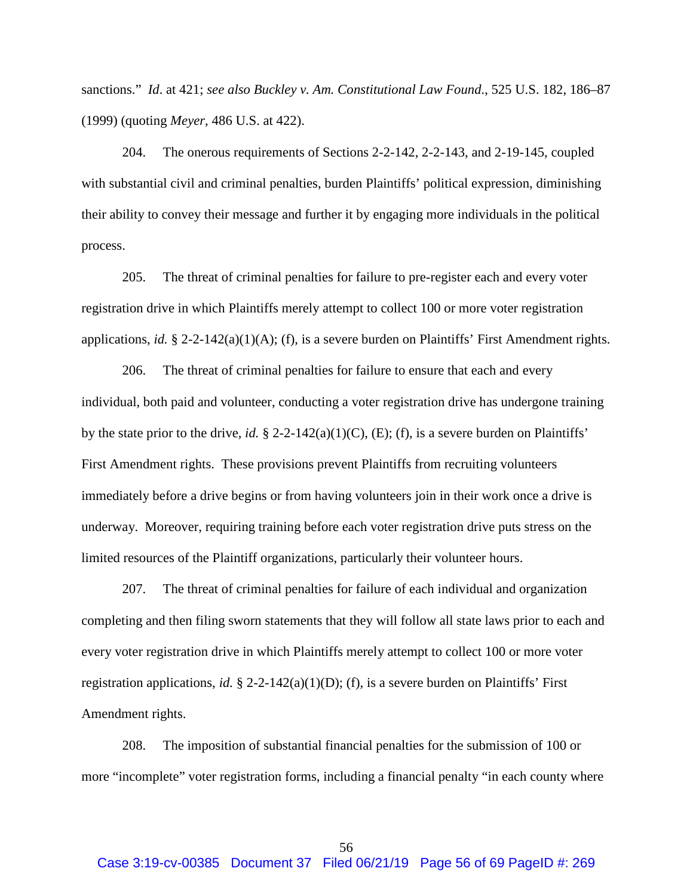sanctions." *Id*. at 421; *see also Buckley v. Am. Constitutional Law Found*., 525 U.S. 182, 186–87 (1999) (quoting *Meyer*, 486 U.S. at 422).

204. The onerous requirements of Sections 2-2-142, 2-2-143, and 2-19-145, coupled with substantial civil and criminal penalties, burden Plaintiffs' political expression, diminishing their ability to convey their message and further it by engaging more individuals in the political process.

205. The threat of criminal penalties for failure to pre-register each and every voter registration drive in which Plaintiffs merely attempt to collect 100 or more voter registration applications, *id.* § 2-2-142(a)(1)(A); (f), is a severe burden on Plaintiffs' First Amendment rights.

206. The threat of criminal penalties for failure to ensure that each and every individual, both paid and volunteer, conducting a voter registration drive has undergone training by the state prior to the drive, *id.* § 2-2-142(a)(1)(C), (E); (f), is a severe burden on Plaintiffs' First Amendment rights. These provisions prevent Plaintiffs from recruiting volunteers immediately before a drive begins or from having volunteers join in their work once a drive is underway. Moreover, requiring training before each voter registration drive puts stress on the limited resources of the Plaintiff organizations, particularly their volunteer hours.

207. The threat of criminal penalties for failure of each individual and organization completing and then filing sworn statements that they will follow all state laws prior to each and every voter registration drive in which Plaintiffs merely attempt to collect 100 or more voter registration applications, *id.* § 2-2-142(a)(1)(D); (f), is a severe burden on Plaintiffs' First Amendment rights.

208. The imposition of substantial financial penalties for the submission of 100 or more "incomplete" voter registration forms, including a financial penalty "in each county where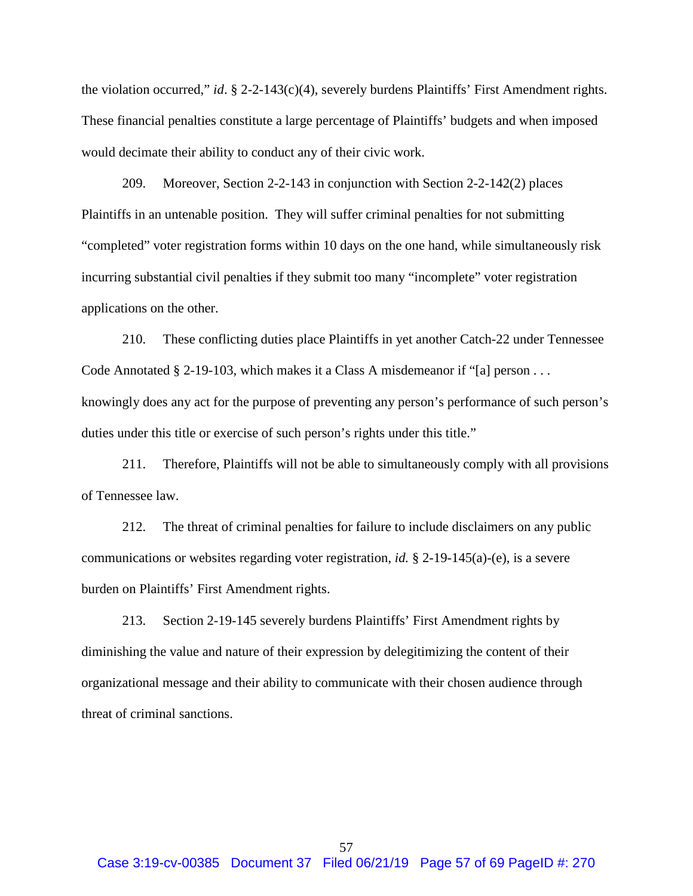the violation occurred," *id*. § 2-2-143(c)(4), severely burdens Plaintiffs' First Amendment rights. These financial penalties constitute a large percentage of Plaintiffs' budgets and when imposed would decimate their ability to conduct any of their civic work.

209. Moreover, Section 2-2-143 in conjunction with Section 2-2-142(2) places Plaintiffs in an untenable position. They will suffer criminal penalties for not submitting "completed" voter registration forms within 10 days on the one hand, while simultaneously risk incurring substantial civil penalties if they submit too many "incomplete" voter registration applications on the other.

210. These conflicting duties place Plaintiffs in yet another Catch-22 under Tennessee Code Annotated § 2-19-103, which makes it a Class A misdemeanor if "[a] person . . . knowingly does any act for the purpose of preventing any person's performance of such person's duties under this title or exercise of such person's rights under this title."

211. Therefore, Plaintiffs will not be able to simultaneously comply with all provisions of Tennessee law.

212. The threat of criminal penalties for failure to include disclaimers on any public communications or websites regarding voter registration, *id.* § 2-19-145(a)-(e), is a severe burden on Plaintiffs' First Amendment rights.

213. Section 2-19-145 severely burdens Plaintiffs' First Amendment rights by diminishing the value and nature of their expression by delegitimizing the content of their organizational message and their ability to communicate with their chosen audience through threat of criminal sanctions.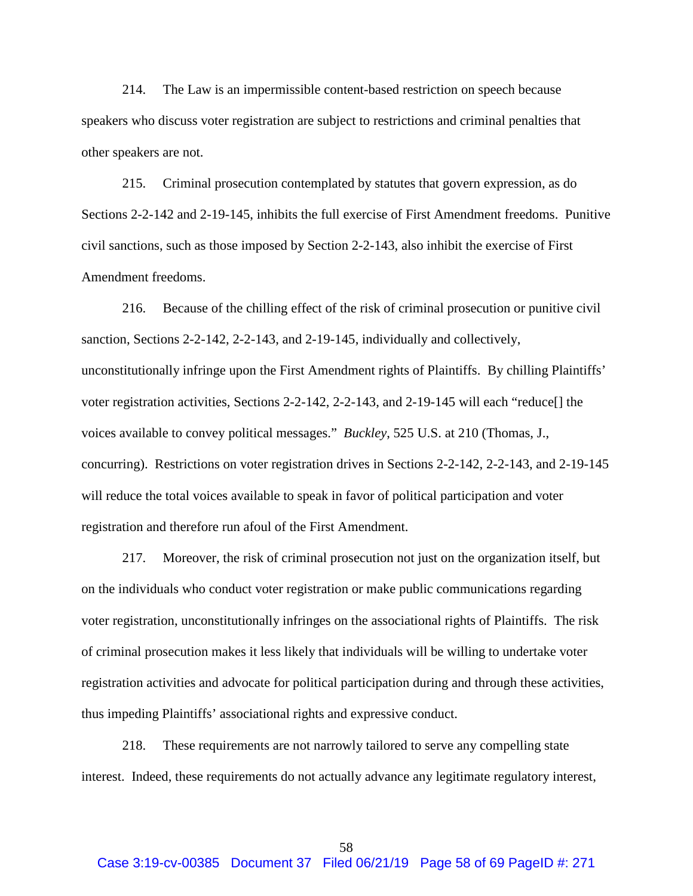214. The Law is an impermissible content-based restriction on speech because speakers who discuss voter registration are subject to restrictions and criminal penalties that other speakers are not.

215. Criminal prosecution contemplated by statutes that govern expression, as do Sections 2-2-142 and 2-19-145, inhibits the full exercise of First Amendment freedoms. Punitive civil sanctions, such as those imposed by Section 2-2-143, also inhibit the exercise of First Amendment freedoms.

216. Because of the chilling effect of the risk of criminal prosecution or punitive civil sanction, Sections 2-2-142, 2-2-143, and 2-19-145, individually and collectively, unconstitutionally infringe upon the First Amendment rights of Plaintiffs. By chilling Plaintiffs' voter registration activities, Sections 2-2-142, 2-2-143, and 2-19-145 will each "reduce[] the voices available to convey political messages." *Buckley*, 525 U.S. at 210 (Thomas, J., concurring). Restrictions on voter registration drives in Sections 2-2-142, 2-2-143, and 2-19-145 will reduce the total voices available to speak in favor of political participation and voter registration and therefore run afoul of the First Amendment.

217. Moreover, the risk of criminal prosecution not just on the organization itself, but on the individuals who conduct voter registration or make public communications regarding voter registration, unconstitutionally infringes on the associational rights of Plaintiffs. The risk of criminal prosecution makes it less likely that individuals will be willing to undertake voter registration activities and advocate for political participation during and through these activities, thus impeding Plaintiffs' associational rights and expressive conduct.

218. These requirements are not narrowly tailored to serve any compelling state interest. Indeed, these requirements do not actually advance any legitimate regulatory interest,

58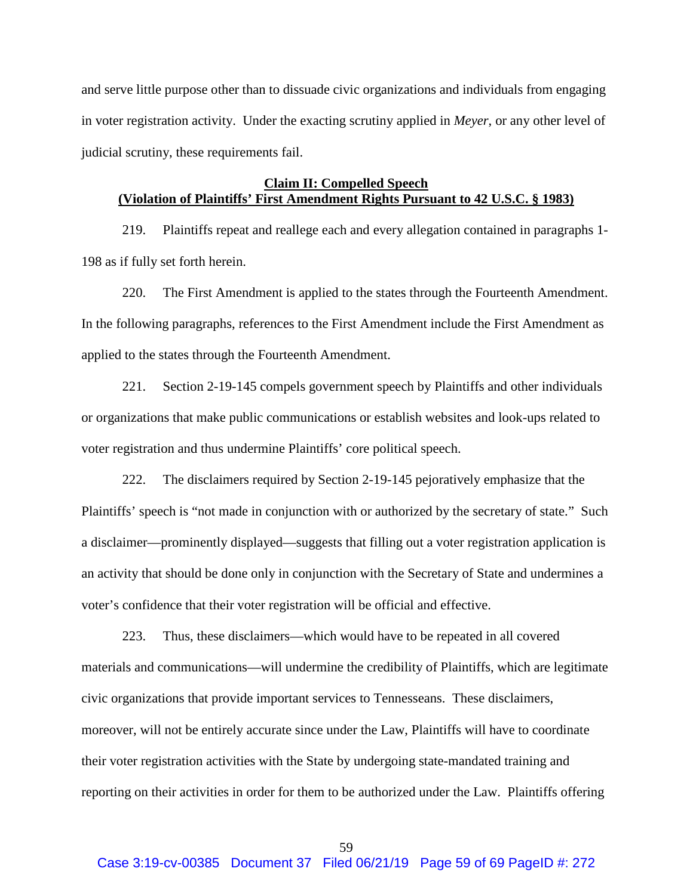and serve little purpose other than to dissuade civic organizations and individuals from engaging in voter registration activity. Under the exacting scrutiny applied in *Meyer*, or any other level of judicial scrutiny, these requirements fail.

# **Claim II: Compelled Speech (Violation of Plaintiffs' First Amendment Rights Pursuant to 42 U.S.C. § 1983)**

219. Plaintiffs repeat and reallege each and every allegation contained in paragraphs 1- [198](#page-54-0) as if fully set forth herein.

220. The First Amendment is applied to the states through the Fourteenth Amendment. In the following paragraphs, references to the First Amendment include the First Amendment as applied to the states through the Fourteenth Amendment.

221. Section 2-19-145 compels government speech by Plaintiffs and other individuals or organizations that make public communications or establish websites and look-ups related to voter registration and thus undermine Plaintiffs' core political speech.

222. The disclaimers required by Section 2-19-145 pejoratively emphasize that the Plaintiffs' speech is "not made in conjunction with or authorized by the secretary of state." Such a disclaimer—prominently displayed—suggests that filling out a voter registration application is an activity that should be done only in conjunction with the Secretary of State and undermines a voter's confidence that their voter registration will be official and effective.

223. Thus, these disclaimers—which would have to be repeated in all covered materials and communications—will undermine the credibility of Plaintiffs, which are legitimate civic organizations that provide important services to Tennesseans. These disclaimers, moreover, will not be entirely accurate since under the Law, Plaintiffs will have to coordinate their voter registration activities with the State by undergoing state-mandated training and reporting on their activities in order for them to be authorized under the Law. Plaintiffs offering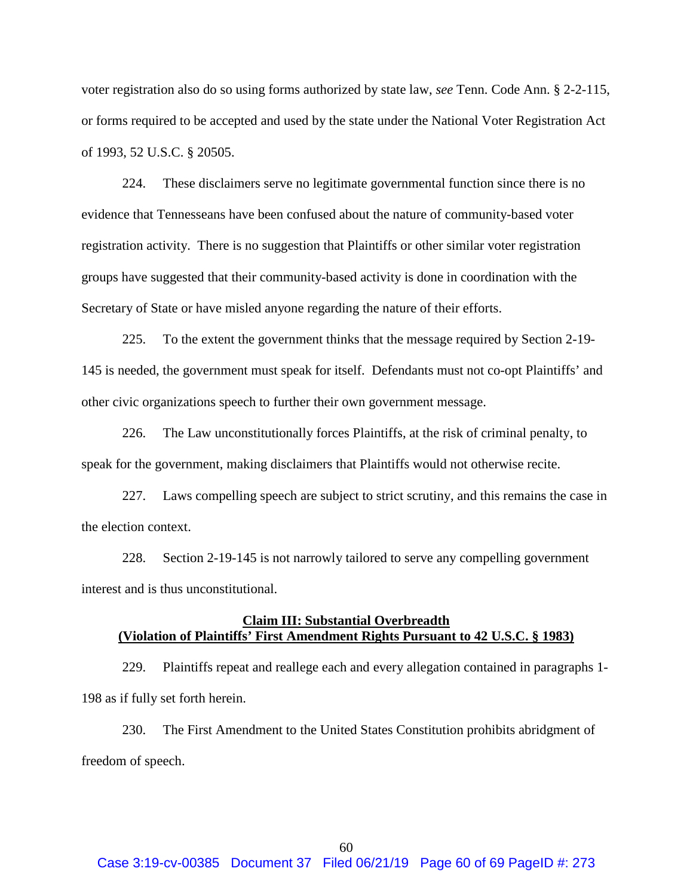voter registration also do so using forms authorized by state law, *see* Tenn. Code Ann. § 2-2-115, or forms required to be accepted and used by the state under the National Voter Registration Act of 1993, 52 U.S.C. § 20505.

224. These disclaimers serve no legitimate governmental function since there is no evidence that Tennesseans have been confused about the nature of community-based voter registration activity. There is no suggestion that Plaintiffs or other similar voter registration groups have suggested that their community-based activity is done in coordination with the Secretary of State or have misled anyone regarding the nature of their efforts.

225. To the extent the government thinks that the message required by Section 2-19- 145 is needed, the government must speak for itself. Defendants must not co-opt Plaintiffs' and other civic organizations speech to further their own government message.

226. The Law unconstitutionally forces Plaintiffs, at the risk of criminal penalty, to speak for the government, making disclaimers that Plaintiffs would not otherwise recite.

227. Laws compelling speech are subject to strict scrutiny, and this remains the case in the election context.

228. Section 2-19-145 is not narrowly tailored to serve any compelling government interest and is thus unconstitutional.

## **Claim III: Substantial Overbreadth (Violation of Plaintiffs' First Amendment Rights Pursuant to 42 U.S.C. § 1983)**

229. Plaintiffs repeat and reallege each and every allegation contained in paragraphs 1- [198](#page-54-0) as if fully set forth herein.

230. The First Amendment to the United States Constitution prohibits abridgment of freedom of speech.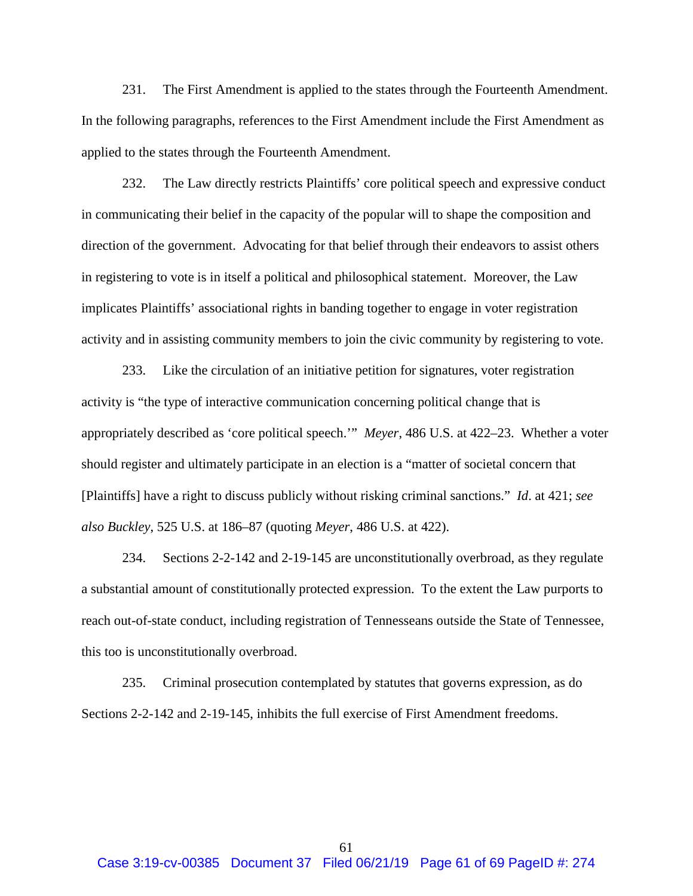231. The First Amendment is applied to the states through the Fourteenth Amendment. In the following paragraphs, references to the First Amendment include the First Amendment as applied to the states through the Fourteenth Amendment.

232. The Law directly restricts Plaintiffs' core political speech and expressive conduct in communicating their belief in the capacity of the popular will to shape the composition and direction of the government. Advocating for that belief through their endeavors to assist others in registering to vote is in itself a political and philosophical statement. Moreover, the Law implicates Plaintiffs' associational rights in banding together to engage in voter registration activity and in assisting community members to join the civic community by registering to vote.

233. Like the circulation of an initiative petition for signatures, voter registration activity is "the type of interactive communication concerning political change that is appropriately described as 'core political speech.'" *Meyer*, 486 U.S. at 422–23. Whether a voter should register and ultimately participate in an election is a "matter of societal concern that [Plaintiffs] have a right to discuss publicly without risking criminal sanctions." *Id*. at 421; *see also Buckley*, 525 U.S. at 186–87 (quoting *Meyer*, 486 U.S. at 422).

234. Sections 2-2-142 and 2-19-145 are unconstitutionally overbroad, as they regulate a substantial amount of constitutionally protected expression. To the extent the Law purports to reach out-of-state conduct, including registration of Tennesseans outside the State of Tennessee, this too is unconstitutionally overbroad.

235. Criminal prosecution contemplated by statutes that governs expression, as do Sections 2-2-142 and 2-19-145, inhibits the full exercise of First Amendment freedoms.

61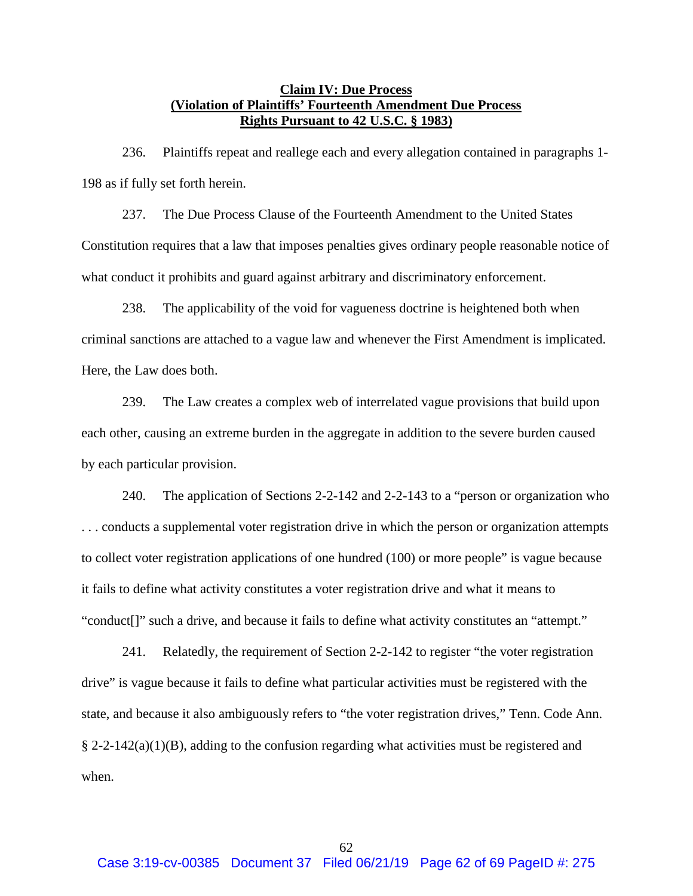## **Claim IV: Due Process (Violation of Plaintiffs' Fourteenth Amendment Due Process Rights Pursuant to 42 U.S.C. § 1983)**

236. Plaintiffs repeat and reallege each and every allegation contained in paragraphs 1- [198](#page-54-0) as if fully set forth herein.

237. The Due Process Clause of the Fourteenth Amendment to the United States Constitution requires that a law that imposes penalties gives ordinary people reasonable notice of what conduct it prohibits and guard against arbitrary and discriminatory enforcement.

238. The applicability of the void for vagueness doctrine is heightened both when criminal sanctions are attached to a vague law and whenever the First Amendment is implicated. Here, the Law does both.

239. The Law creates a complex web of interrelated vague provisions that build upon each other, causing an extreme burden in the aggregate in addition to the severe burden caused by each particular provision.

240. The application of Sections 2-2-142 and 2-2-143 to a "person or organization who . . . conducts a supplemental voter registration drive in which the person or organization attempts to collect voter registration applications of one hundred (100) or more people" is vague because it fails to define what activity constitutes a voter registration drive and what it means to "conduct[]" such a drive, and because it fails to define what activity constitutes an "attempt."

241. Relatedly, the requirement of Section 2-2-142 to register "the voter registration drive" is vague because it fails to define what particular activities must be registered with the state, and because it also ambiguously refers to "the voter registration drives," Tenn. Code Ann.  $\S 2$ -2-142(a)(1)(B), adding to the confusion regarding what activities must be registered and when.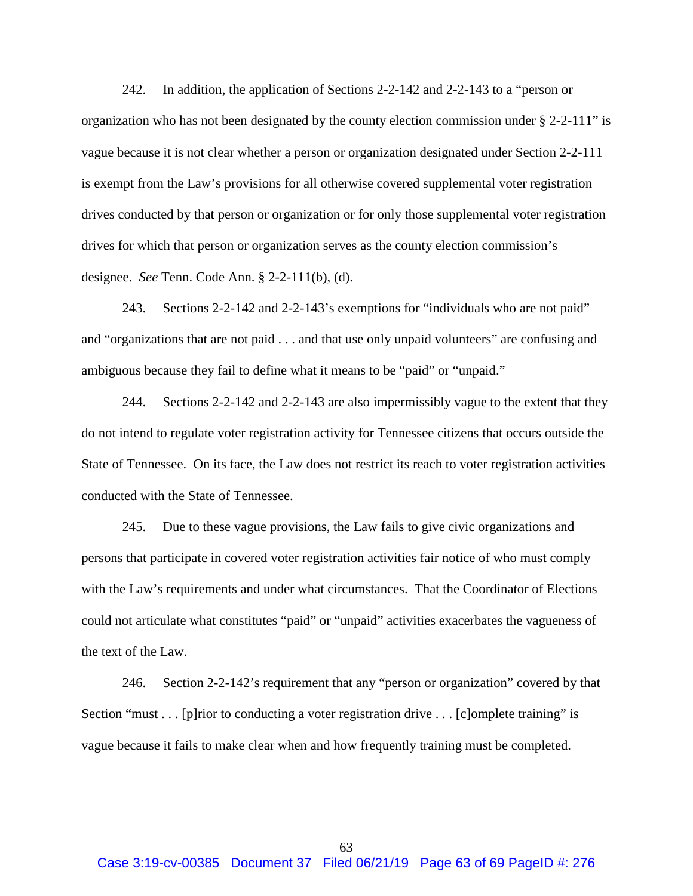242. In addition, the application of Sections 2-2-142 and 2-2-143 to a "person or organization who has not been designated by the county election commission under § 2-2-111" is vague because it is not clear whether a person or organization designated under Section 2-2-111 is exempt from the Law's provisions for all otherwise covered supplemental voter registration drives conducted by that person or organization or for only those supplemental voter registration drives for which that person or organization serves as the county election commission's designee. *See* Tenn. Code Ann. § 2-2-111(b), (d).

243. Sections 2-2-142 and 2-2-143's exemptions for "individuals who are not paid" and "organizations that are not paid . . . and that use only unpaid volunteers" are confusing and ambiguous because they fail to define what it means to be "paid" or "unpaid."

244. Sections 2-2-142 and 2-2-143 are also impermissibly vague to the extent that they do not intend to regulate voter registration activity for Tennessee citizens that occurs outside the State of Tennessee. On its face, the Law does not restrict its reach to voter registration activities conducted with the State of Tennessee.

245. Due to these vague provisions, the Law fails to give civic organizations and persons that participate in covered voter registration activities fair notice of who must comply with the Law's requirements and under what circumstances. That the Coordinator of Elections could not articulate what constitutes "paid" or "unpaid" activities exacerbates the vagueness of the text of the Law.

246. Section 2-2-142's requirement that any "person or organization" covered by that Section "must . . . [p]rior to conducting a voter registration drive . . . [c]omplete training" is vague because it fails to make clear when and how frequently training must be completed.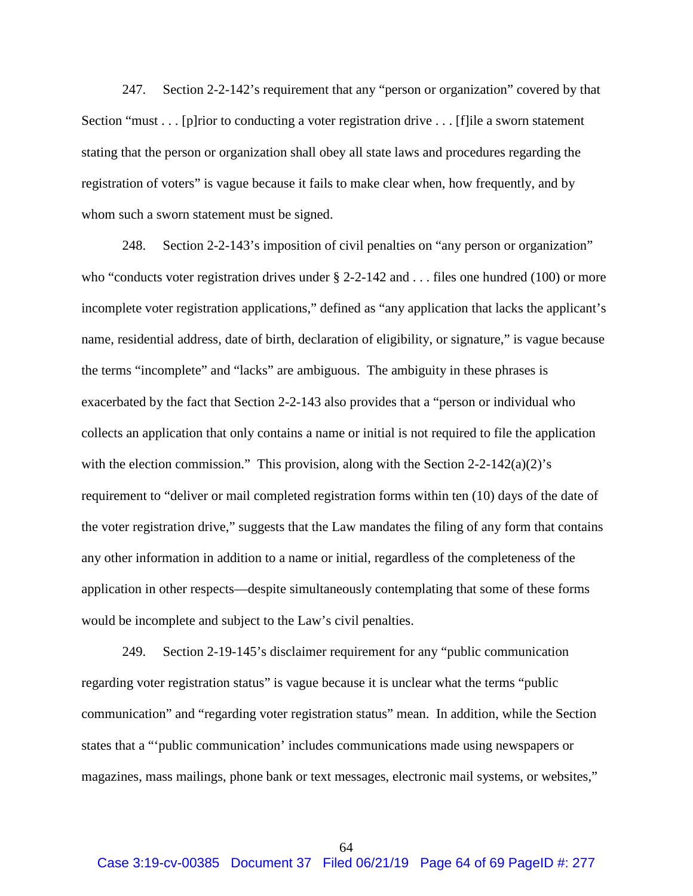247. Section 2-2-142's requirement that any "person or organization" covered by that Section "must . . . [p]rior to conducting a voter registration drive . . . [f]ile a sworn statement stating that the person or organization shall obey all state laws and procedures regarding the registration of voters" is vague because it fails to make clear when, how frequently, and by whom such a sworn statement must be signed.

248. Section 2-2-143's imposition of civil penalties on "any person or organization" who "conducts voter registration drives under  $\S$  2-2-142 and . . . files one hundred (100) or more incomplete voter registration applications," defined as "any application that lacks the applicant's name, residential address, date of birth, declaration of eligibility, or signature," is vague because the terms "incomplete" and "lacks" are ambiguous. The ambiguity in these phrases is exacerbated by the fact that Section 2-2-143 also provides that a "person or individual who collects an application that only contains a name or initial is not required to file the application with the election commission." This provision, along with the Section  $2-2-142(a)(2)$ 's requirement to "deliver or mail completed registration forms within ten (10) days of the date of the voter registration drive," suggests that the Law mandates the filing of any form that contains any other information in addition to a name or initial, regardless of the completeness of the application in other respects—despite simultaneously contemplating that some of these forms would be incomplete and subject to the Law's civil penalties.

249. Section 2-19-145's disclaimer requirement for any "public communication regarding voter registration status" is vague because it is unclear what the terms "public communication" and "regarding voter registration status" mean. In addition, while the Section states that a "'public communication' includes communications made using newspapers or magazines, mass mailings, phone bank or text messages, electronic mail systems, or websites,"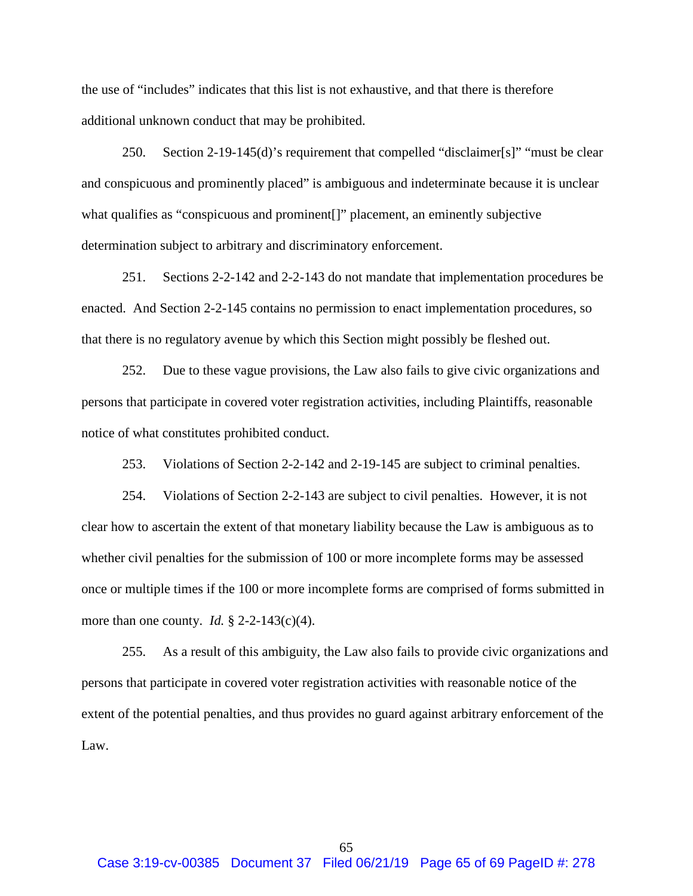the use of "includes" indicates that this list is not exhaustive, and that there is therefore additional unknown conduct that may be prohibited.

250. Section 2-19-145(d)'s requirement that compelled "disclaimer[s]" "must be clear and conspicuous and prominently placed" is ambiguous and indeterminate because it is unclear what qualifies as "conspicuous and prominent[]" placement, an eminently subjective determination subject to arbitrary and discriminatory enforcement.

251. Sections 2-2-142 and 2-2-143 do not mandate that implementation procedures be enacted. And Section 2-2-145 contains no permission to enact implementation procedures, so that there is no regulatory avenue by which this Section might possibly be fleshed out.

252. Due to these vague provisions, the Law also fails to give civic organizations and persons that participate in covered voter registration activities, including Plaintiffs, reasonable notice of what constitutes prohibited conduct.

253. Violations of Section 2-2-142 and 2-19-145 are subject to criminal penalties.

254. Violations of Section 2-2-143 are subject to civil penalties. However, it is not clear how to ascertain the extent of that monetary liability because the Law is ambiguous as to whether civil penalties for the submission of 100 or more incomplete forms may be assessed once or multiple times if the 100 or more incomplete forms are comprised of forms submitted in more than one county. *Id.* § 2-2-143(c)(4).

255. As a result of this ambiguity, the Law also fails to provide civic organizations and persons that participate in covered voter registration activities with reasonable notice of the extent of the potential penalties, and thus provides no guard against arbitrary enforcement of the Law.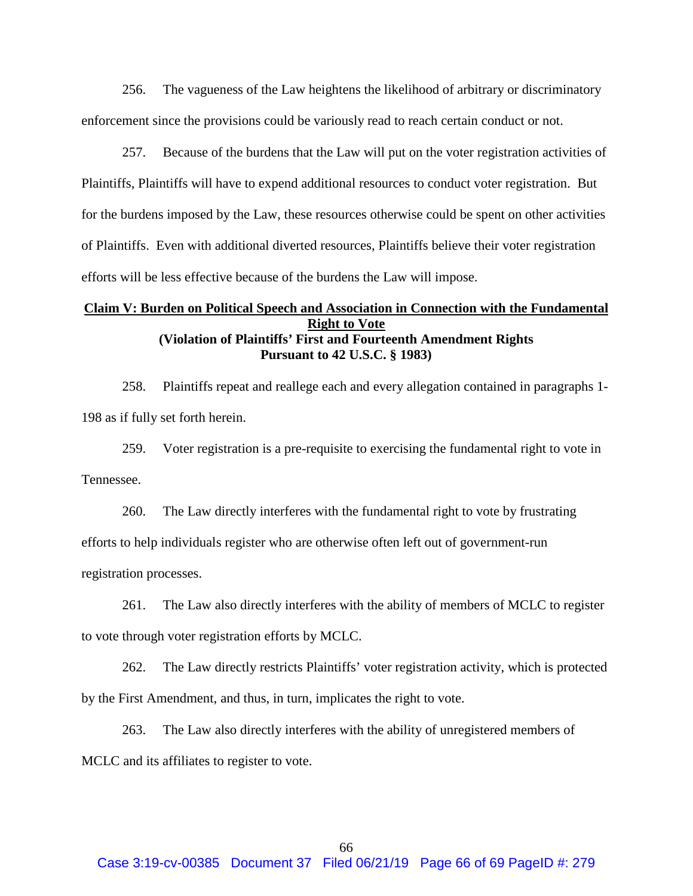256. The vagueness of the Law heightens the likelihood of arbitrary or discriminatory enforcement since the provisions could be variously read to reach certain conduct or not.

257. Because of the burdens that the Law will put on the voter registration activities of Plaintiffs, Plaintiffs will have to expend additional resources to conduct voter registration. But for the burdens imposed by the Law, these resources otherwise could be spent on other activities of Plaintiffs. Even with additional diverted resources, Plaintiffs believe their voter registration efforts will be less effective because of the burdens the Law will impose.

# **Claim V: Burden on Political Speech and Association in Connection with the Fundamental Right to Vote (Violation of Plaintiffs' First and Fourteenth Amendment Rights Pursuant to 42 U.S.C. § 1983)**

258. Plaintiffs repeat and reallege each and every allegation contained in paragraphs 1- [198](#page-54-0) as if fully set forth herein.

259. Voter registration is a pre-requisite to exercising the fundamental right to vote in Tennessee.

260. The Law directly interferes with the fundamental right to vote by frustrating

efforts to help individuals register who are otherwise often left out of government-run

registration processes.

261. The Law also directly interferes with the ability of members of MCLC to register

to vote through voter registration efforts by MCLC.

262. The Law directly restricts Plaintiffs' voter registration activity, which is protected by the First Amendment, and thus, in turn, implicates the right to vote.

263. The Law also directly interferes with the ability of unregistered members of MCLC and its affiliates to register to vote.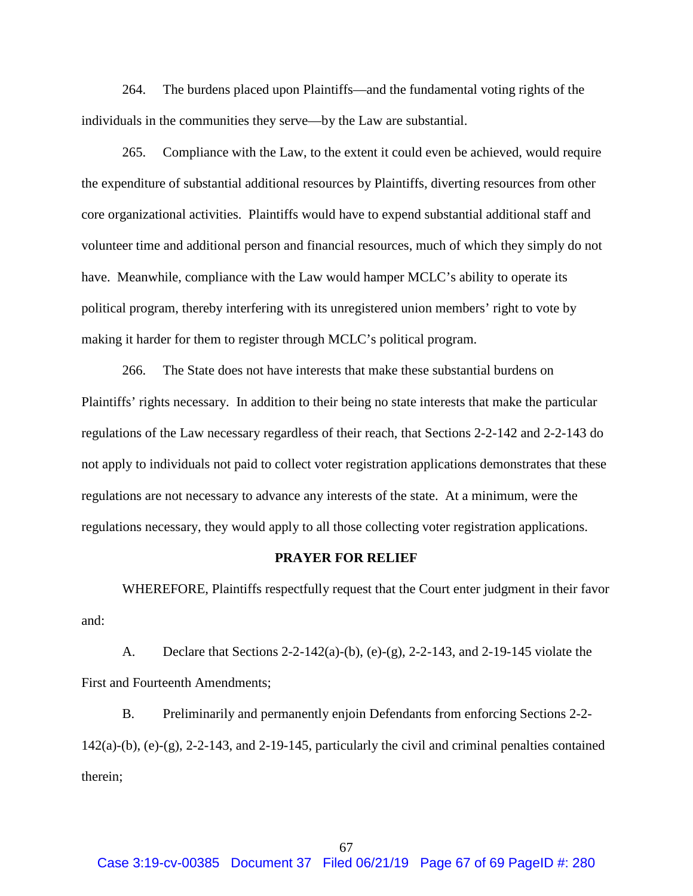264. The burdens placed upon Plaintiffs—and the fundamental voting rights of the individuals in the communities they serve—by the Law are substantial.

265. Compliance with the Law, to the extent it could even be achieved, would require the expenditure of substantial additional resources by Plaintiffs, diverting resources from other core organizational activities. Plaintiffs would have to expend substantial additional staff and volunteer time and additional person and financial resources, much of which they simply do not have. Meanwhile, compliance with the Law would hamper MCLC's ability to operate its political program, thereby interfering with its unregistered union members' right to vote by making it harder for them to register through MCLC's political program.

266. The State does not have interests that make these substantial burdens on Plaintiffs' rights necessary. In addition to their being no state interests that make the particular regulations of the Law necessary regardless of their reach, that Sections 2-2-142 and 2-2-143 do not apply to individuals not paid to collect voter registration applications demonstrates that these regulations are not necessary to advance any interests of the state. At a minimum, were the regulations necessary, they would apply to all those collecting voter registration applications.

### **PRAYER FOR RELIEF**

WHEREFORE, Plaintiffs respectfully request that the Court enter judgment in their favor and:

A. Declare that Sections 2-2-142(a)-(b), (e)-(g), 2-2-143, and 2-19-145 violate the First and Fourteenth Amendments;

B. Preliminarily and permanently enjoin Defendants from enforcing Sections 2-2- 142(a)-(b), (e)-(g), 2-2-143, and 2-19-145, particularly the civil and criminal penalties contained therein;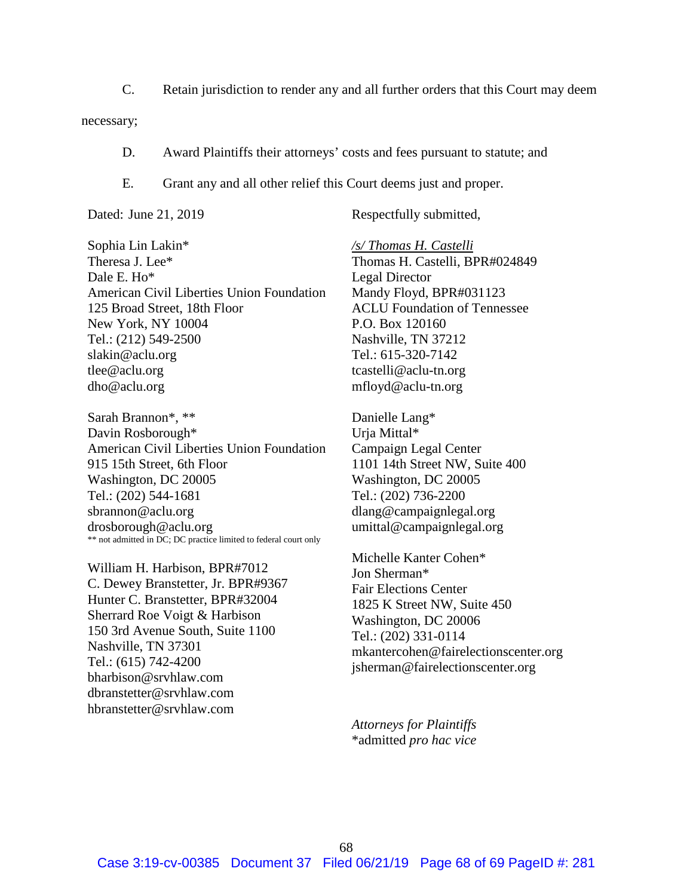C. Retain jurisdiction to render any and all further orders that this Court may deem

necessary;

- D. Award Plaintiffs their attorneys' costs and fees pursuant to statute; and
- E. Grant any and all other relief this Court deems just and proper.

Dated: June 21, 2019 Respectfully submitted,

Sophia Lin Lakin\* Theresa J. Lee\* Dale E. Ho\* American Civil Liberties Union Foundation 125 Broad Street, 18th Floor New York, NY 10004 Tel.: (212) 549-2500 slakin@aclu.org tlee@aclu.org dho@aclu.org

Sarah Brannon\*, \*\* Davin Rosborough\* American Civil Liberties Union Foundation 915 15th Street, 6th Floor Washington, DC 20005 Tel.: (202) 544-1681 sbrannon@aclu.org drosborough@aclu.org \*\* not admitted in DC; DC practice limited to federal court only

William H. Harbison, BPR#7012 C. Dewey Branstetter, Jr. BPR#9367 Hunter C. Branstetter, BPR#32004 Sherrard Roe Voigt & Harbison 150 3rd Avenue South, Suite 1100 Nashville, TN 37301 Tel.: (615) 742-4200 bharbison@srvhlaw.com dbranstetter@srvhlaw.com hbranstetter@srvhlaw.com

*/s/ Thomas H. Castelli* Thomas H. Castelli, BPR#024849 Legal Director Mandy Floyd, BPR#031123 ACLU Foundation of Tennessee P.O. Box 120160 Nashville, TN 37212 Tel.: 615-320-7142 tcastelli@aclu-tn.org mfloyd@aclu-tn.org

Danielle Lang\* Urja Mittal\* Campaign Legal Center 1101 14th Street NW, Suite 400 Washington, DC 20005 Tel.: (202) 736-2200 dlang@campaignlegal.org umittal@campaignlegal.org

Michelle Kanter Cohen\* Jon Sherman\* Fair Elections Center 1825 K Street NW, Suite 450 Washington, DC 20006 Tel.: (202) 331-0114 mkantercohen@fairelectionscenter.org jsherman@fairelectionscenter.org

*Attorneys for Plaintiffs* \*admitted *pro hac vice*